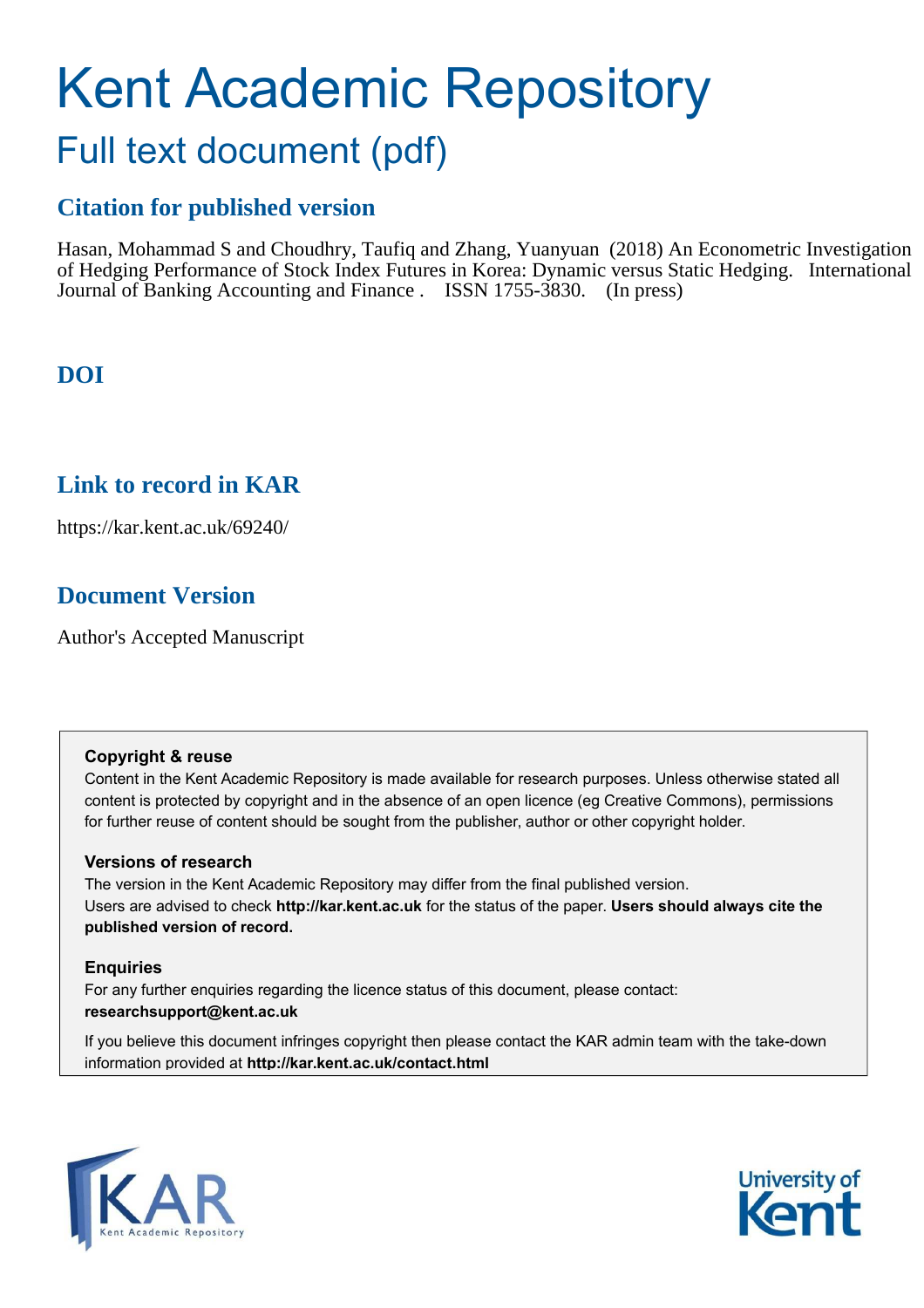# Kent Academic Repository Full text document (pdf)

# **Citation for published version**

Hasan, Mohammad S and Choudhry, Taufiq and Zhang, Yuanyuan (2018) An Econometric Investigation of Hedging Performance of Stock Index Futures in Korea: Dynamic versus Static Hedging. International Journal of Banking Accounting and Finance . ISSN 1755-3830. (In press)

# **DOI**

# **Link to record in KAR**

https://kar.kent.ac.uk/69240/

# **Document Version**

Author's Accepted Manuscript

# **Copyright & reuse**

Content in the Kent Academic Repository is made available for research purposes. Unless otherwise stated all content is protected by copyright and in the absence of an open licence (eg Creative Commons), permissions for further reuse of content should be sought from the publisher, author or other copyright holder.

# **Versions of research**

The version in the Kent Academic Repository may differ from the final published version. Users are advised to check **http://kar.kent.ac.uk** for the status of the paper. **Users should always cite the published version of record.**

# **Enquiries**

For any further enquiries regarding the licence status of this document, please contact: **researchsupport@kent.ac.uk**

If you believe this document infringes copyright then please contact the KAR admin team with the take-down information provided at **http://kar.kent.ac.uk/contact.html**



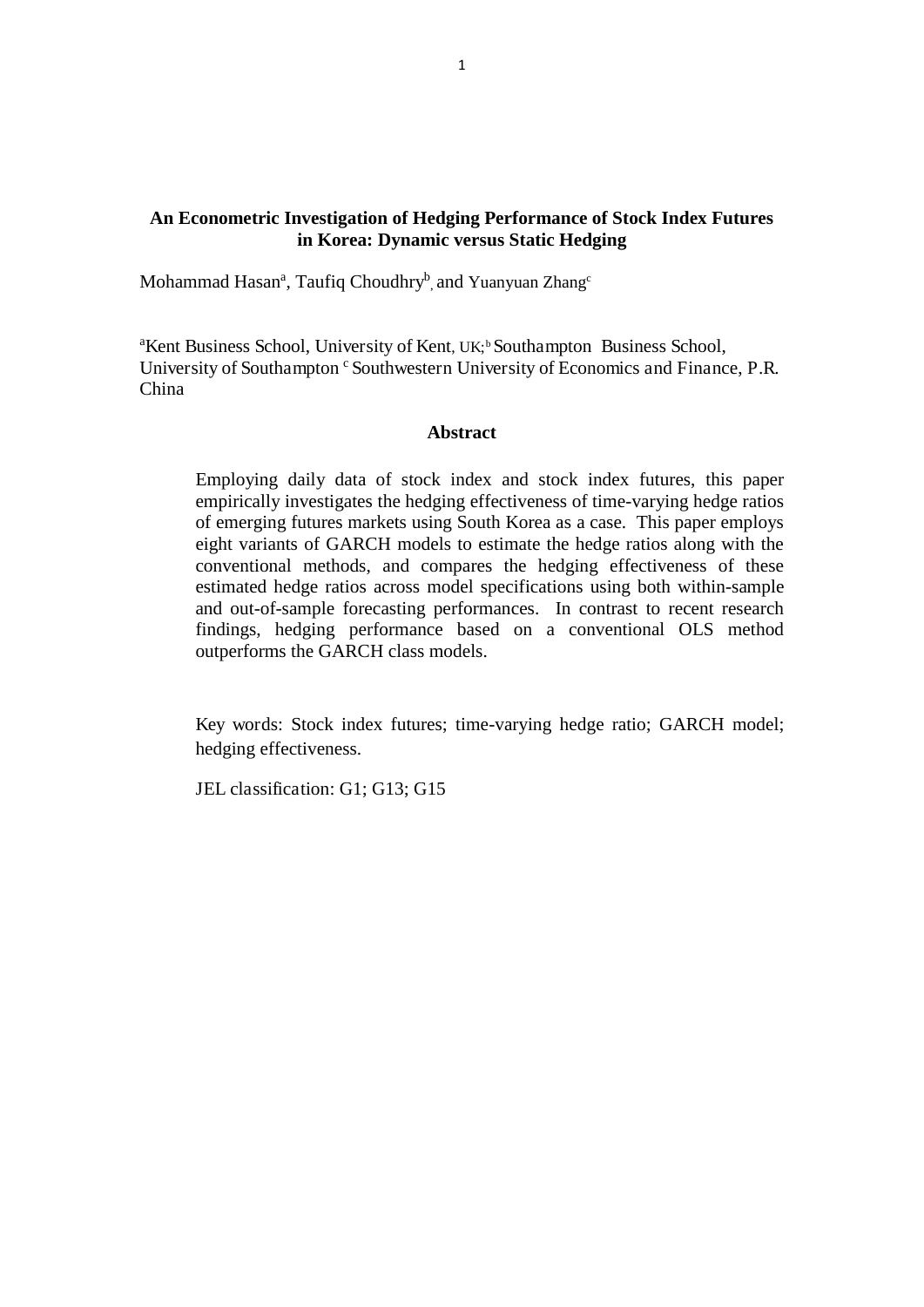# **An Econometric Investigation of Hedging Performance of Stock Index Futures in Korea: Dynamic versus Static Hedging**

Mohammad Hasan<sup>a</sup>, Taufiq Choudhry<sup>b</sup>, and Yuanyuan Zhang<sup>c</sup>

<sup>a</sup>Kent Business School, University of Kent, UK;<sup>b</sup> Southampton Business School, University of Southampton <sup>c</sup> Southwestern University of Economics and Finance, P.R. China

# **Abstract**

Employing daily data of stock index and stock index futures, this paper empirically investigates the hedging effectiveness of time-varying hedge ratios of emerging futures markets using South Korea as a case. This paper employs eight variants of GARCH models to estimate the hedge ratios along with the conventional methods, and compares the hedging effectiveness of these estimated hedge ratios across model specifications using both within-sample and out-of-sample forecasting performances. In contrast to recent research findings, hedging performance based on a conventional OLS method outperforms the GARCH class models.

Key words: Stock index futures; time-varying hedge ratio; GARCH model; hedging effectiveness.

JEL classification: G1; G13; G15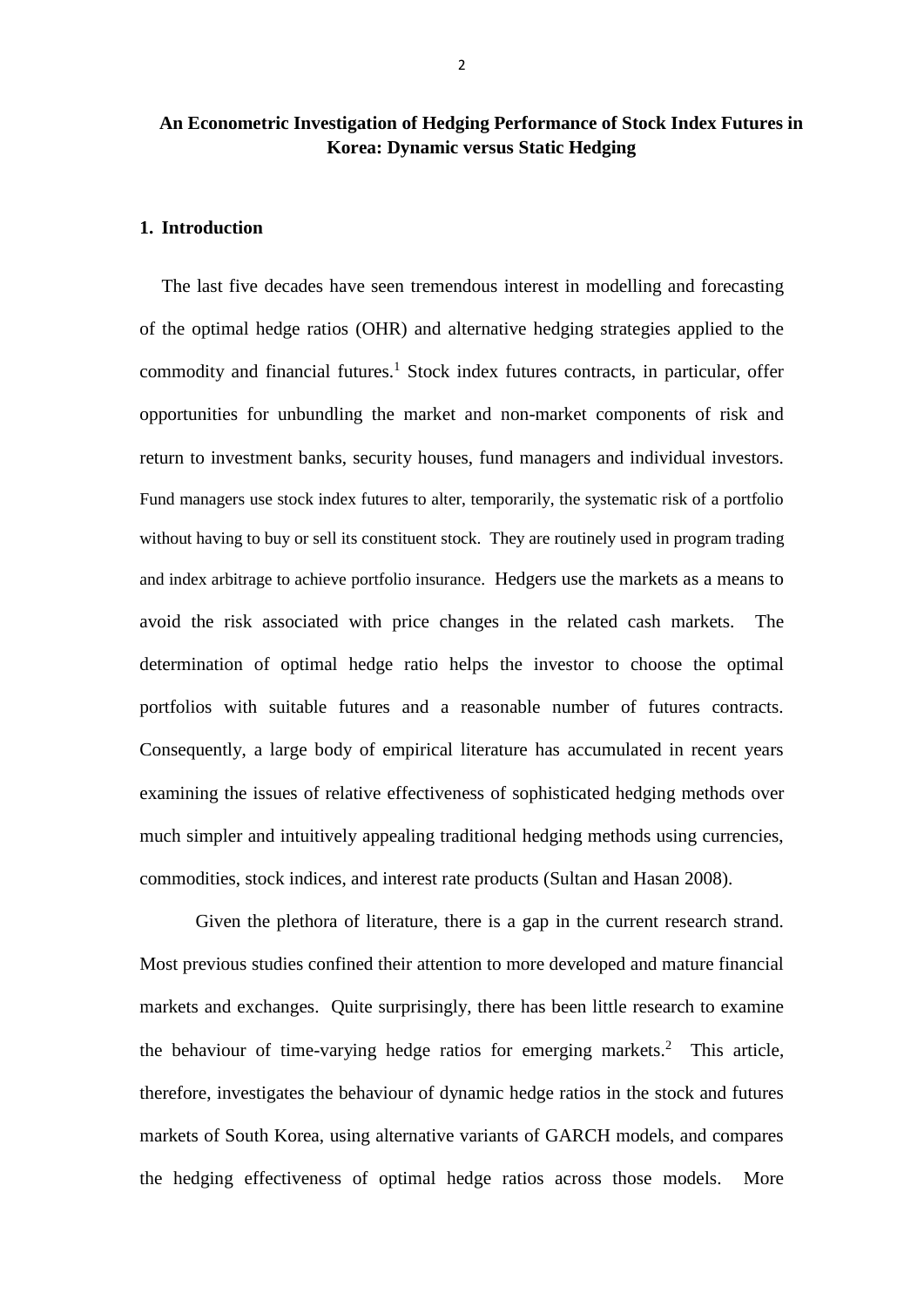# **An Econometric Investigation of Hedging Performance of Stock Index Futures in Korea: Dynamic versus Static Hedging**

#### **1. Introduction**

The last five decades have seen tremendous interest in modelling and forecasting of the optimal hedge ratios (OHR) and alternative hedging strategies applied to the commodity and financial futures.<sup>1</sup> Stock index futures contracts, in particular, offer opportunities for unbundling the market and non-market components of risk and return to investment banks, security houses, fund managers and individual investors. Fund managers use stock index futures to alter, temporarily, the systematic risk of a portfolio without having to buy or sell its constituent stock. They are routinely used in program trading and index arbitrage to achieve portfolio insurance. Hedgers use the markets as a means to avoid the risk associated with price changes in the related cash markets. The determination of optimal hedge ratio helps the investor to choose the optimal portfolios with suitable futures and a reasonable number of futures contracts. Consequently, a large body of empirical literature has accumulated in recent years examining the issues of relative effectiveness of sophisticated hedging methods over much simpler and intuitively appealing traditional hedging methods using currencies, commodities, stock indices, and interest rate products (Sultan and Hasan 2008).

Given the plethora of literature, there is a gap in the current research strand. Most previous studies confined their attention to more developed and mature financial markets and exchanges. Quite surprisingly, there has been little research to examine the behaviour of time-varying hedge ratios for emerging markets.<sup>2</sup> This article, therefore, investigates the behaviour of dynamic hedge ratios in the stock and futures markets of South Korea, using alternative variants of GARCH models, and compares the hedging effectiveness of optimal hedge ratios across those models. More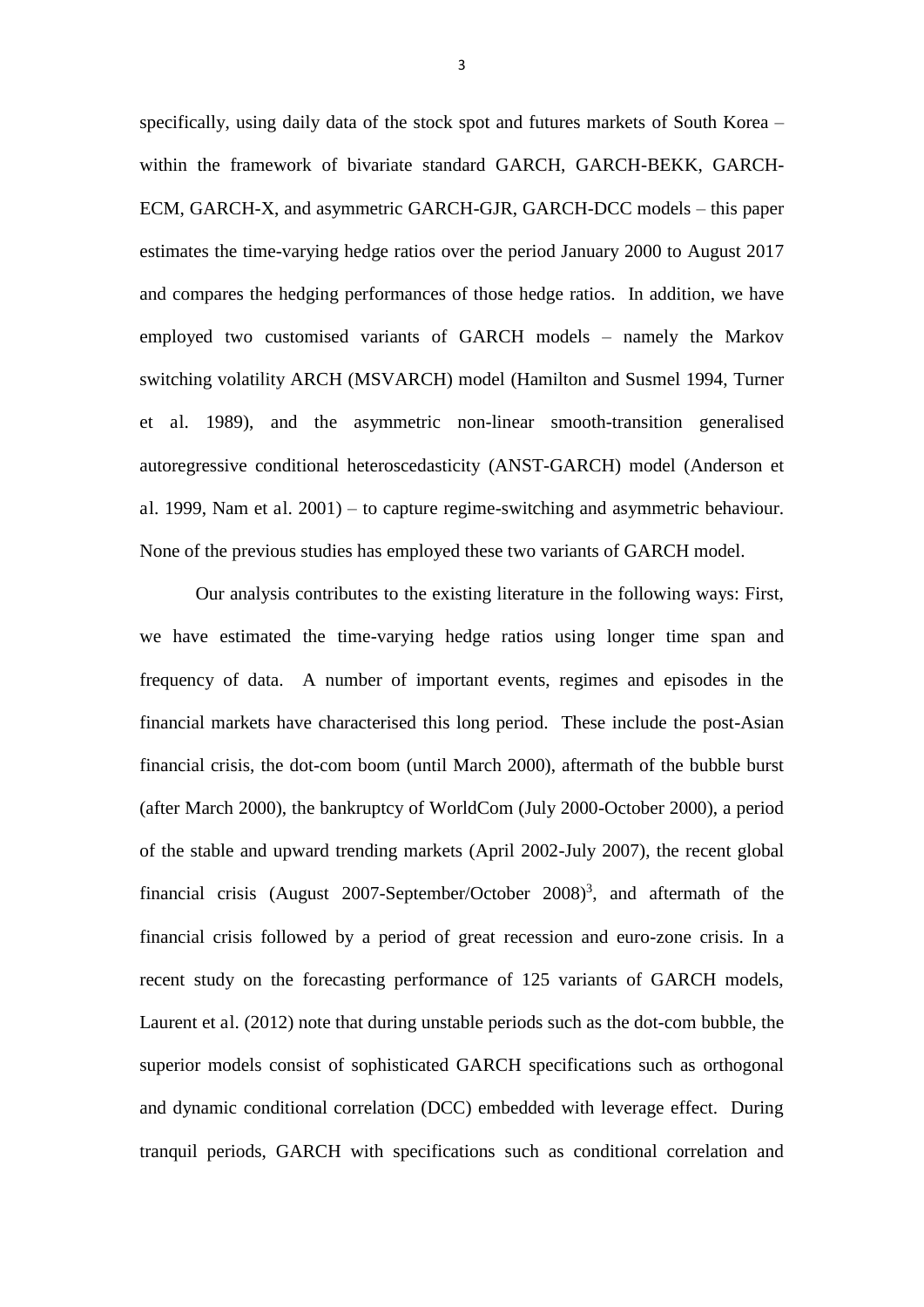specifically, using daily data of the stock spot and futures markets of South Korea – within the framework of bivariate standard GARCH, GARCH-BEKK, GARCH-ECM, GARCH-X, and asymmetric GARCH-GJR, GARCH-DCC models – this paper estimates the time-varying hedge ratios over the period January 2000 to August 2017 and compares the hedging performances of those hedge ratios. In addition, we have employed two customised variants of GARCH models – namely the Markov switching volatility ARCH (MSVARCH) model (Hamilton and Susmel 1994, Turner et al. 1989), and the asymmetric non-linear smooth-transition generalised autoregressive conditional heteroscedasticity (ANST-GARCH) model (Anderson et al. 1999, Nam et al. 2001) – to capture regime-switching and asymmetric behaviour. None of the previous studies has employed these two variants of GARCH model.

Our analysis contributes to the existing literature in the following ways: First, we have estimated the time-varying hedge ratios using longer time span and frequency of data. A number of important events, regimes and episodes in the financial markets have characterised this long period. These include the post-Asian financial crisis, the dot-com boom (until March 2000), aftermath of the bubble burst (after March 2000), the bankruptcy of WorldCom (July 2000-October 2000), a period of the stable and upward trending markets (April 2002-July 2007), the recent global financial crisis (August 2007-September/October  $2008$ )<sup>3</sup>, and aftermath of the financial crisis followed by a period of great recession and euro-zone crisis. In a recent study on the forecasting performance of 125 variants of GARCH models, Laurent et al. (2012) note that during unstable periods such as the dot-com bubble, the superior models consist of sophisticated GARCH specifications such as orthogonal and dynamic conditional correlation (DCC) embedded with leverage effect. During tranquil periods, GARCH with specifications such as conditional correlation and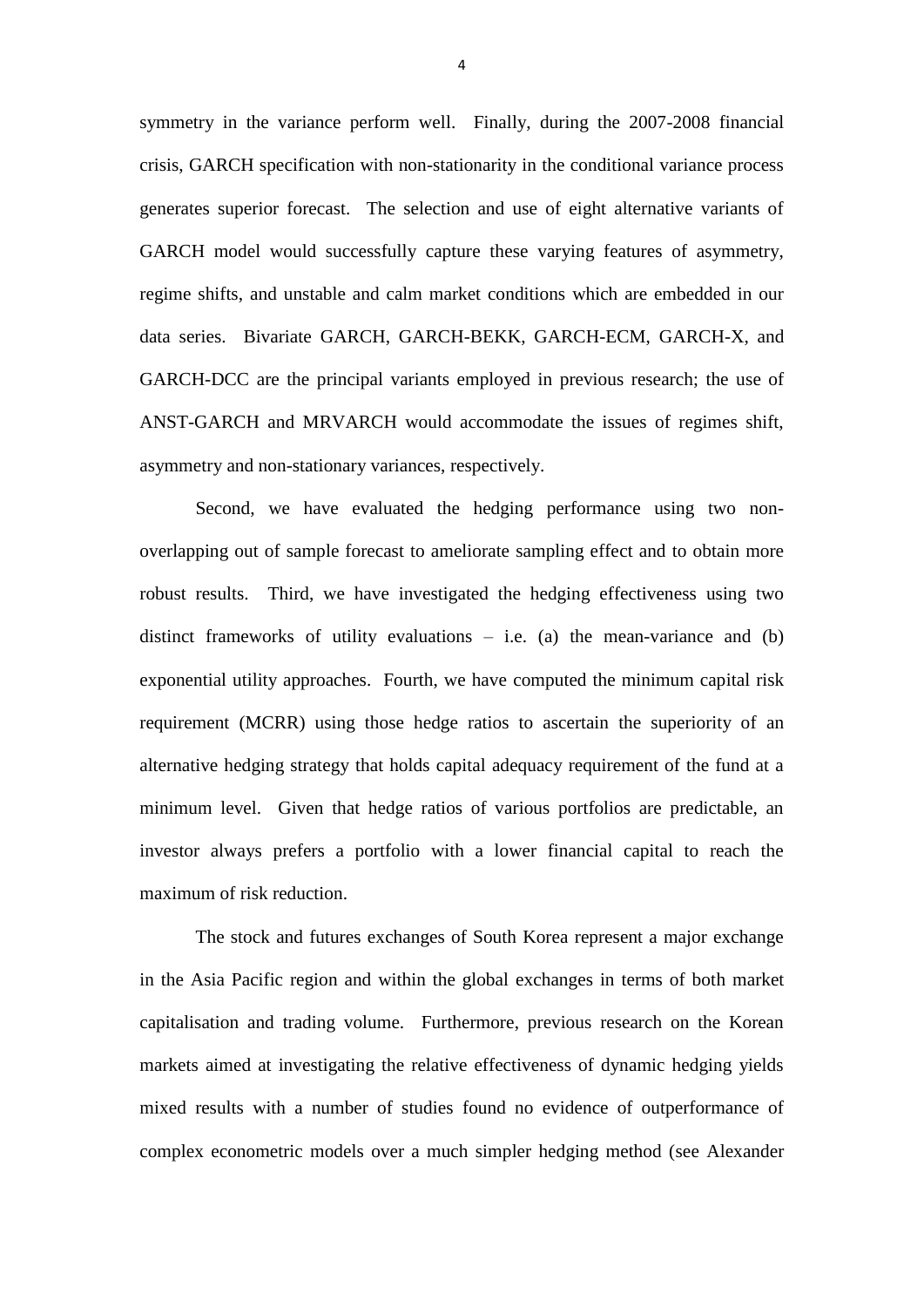symmetry in the variance perform well. Finally, during the 2007-2008 financial crisis, GARCH specification with non-stationarity in the conditional variance process generates superior forecast. The selection and use of eight alternative variants of GARCH model would successfully capture these varying features of asymmetry, regime shifts, and unstable and calm market conditions which are embedded in our data series. Bivariate GARCH, GARCH-BEKK, GARCH-ECM, GARCH-X, and GARCH-DCC are the principal variants employed in previous research; the use of ANST-GARCH and MRVARCH would accommodate the issues of regimes shift, asymmetry and non-stationary variances, respectively.

Second, we have evaluated the hedging performance using two nonoverlapping out of sample forecast to ameliorate sampling effect and to obtain more robust results. Third, we have investigated the hedging effectiveness using two distinct frameworks of utility evaluations  $-$  i.e. (a) the mean-variance and (b) exponential utility approaches. Fourth, we have computed the minimum capital risk requirement (MCRR) using those hedge ratios to ascertain the superiority of an alternative hedging strategy that holds capital adequacy requirement of the fund at a minimum level. Given that hedge ratios of various portfolios are predictable, an investor always prefers a portfolio with a lower financial capital to reach the maximum of risk reduction.

The stock and futures exchanges of South Korea represent a major exchange in the Asia Pacific region and within the global exchanges in terms of both market capitalisation and trading volume. Furthermore, previous research on the Korean markets aimed at investigating the relative effectiveness of dynamic hedging yields mixed results with a number of studies found no evidence of outperformance of complex econometric models over a much simpler hedging method (see Alexander

4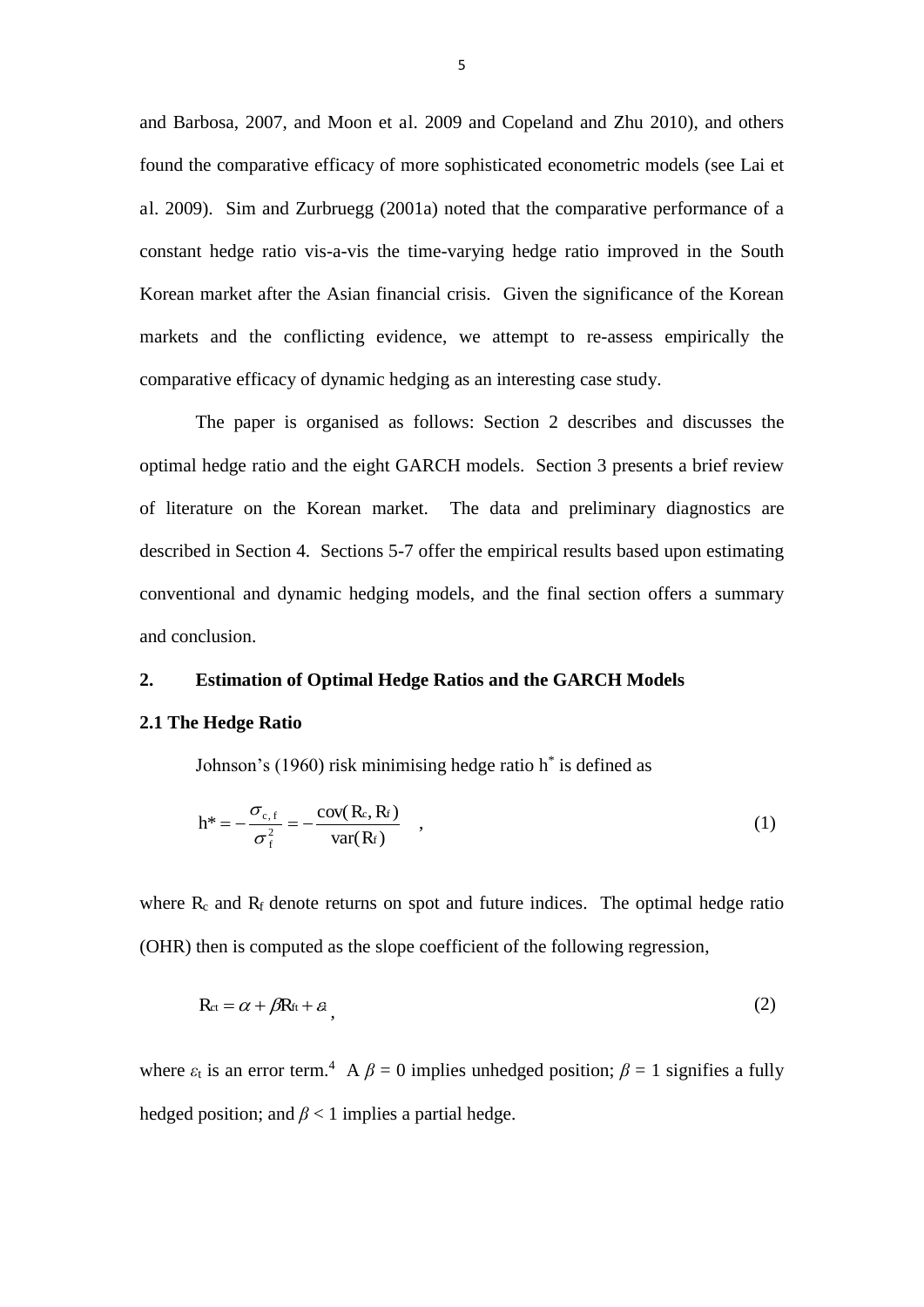and Barbosa, 2007, and Moon et al. 2009 and Copeland and Zhu 2010), and others found the comparative efficacy of more sophisticated econometric models (see Lai et al. 2009). Sim and Zurbruegg (2001a) noted that the comparative performance of a constant hedge ratio vis-a-vis the time-varying hedge ratio improved in the South Korean market after the Asian financial crisis. Given the significance of the Korean markets and the conflicting evidence, we attempt to re-assess empirically the comparative efficacy of dynamic hedging as an interesting case study.

The paper is organised as follows: Section 2 describes and discusses the optimal hedge ratio and the eight GARCH models. Section 3 presents a brief review of literature on the Korean market. The data and preliminary diagnostics are described in Section 4. Sections 5-7 offer the empirical results based upon estimating conventional and dynamic hedging models, and the final section offers a summary and conclusion.

#### **2. Estimation of Optimal Hedge Ratios and the GARCH Models**

#### **2.1 The Hedge Ratio**

Johnson's (1960) risk minimising hedge ratio h\* is defined as

$$
h^* = -\frac{\sigma_{c,f}}{\sigma_f^2} = -\frac{cov(R_c, R_f)}{var(R_f)} \quad , \tag{1}
$$

where  $R_c$  and  $R_f$  denote returns on spot and future indices. The optimal hedge ratio (OHR) then is computed as the slope coefficient of the following regression,

$$
R_{ct} = \alpha + \beta R_{ft} + \varepsilon, \tag{2}
$$

where  $\varepsilon_t$  is an error term.<sup>4</sup> A  $\beta = 0$  implies unhedged position;  $\beta = 1$  signifies a fully hedged position; and  $\beta$  < 1 implies a partial hedge.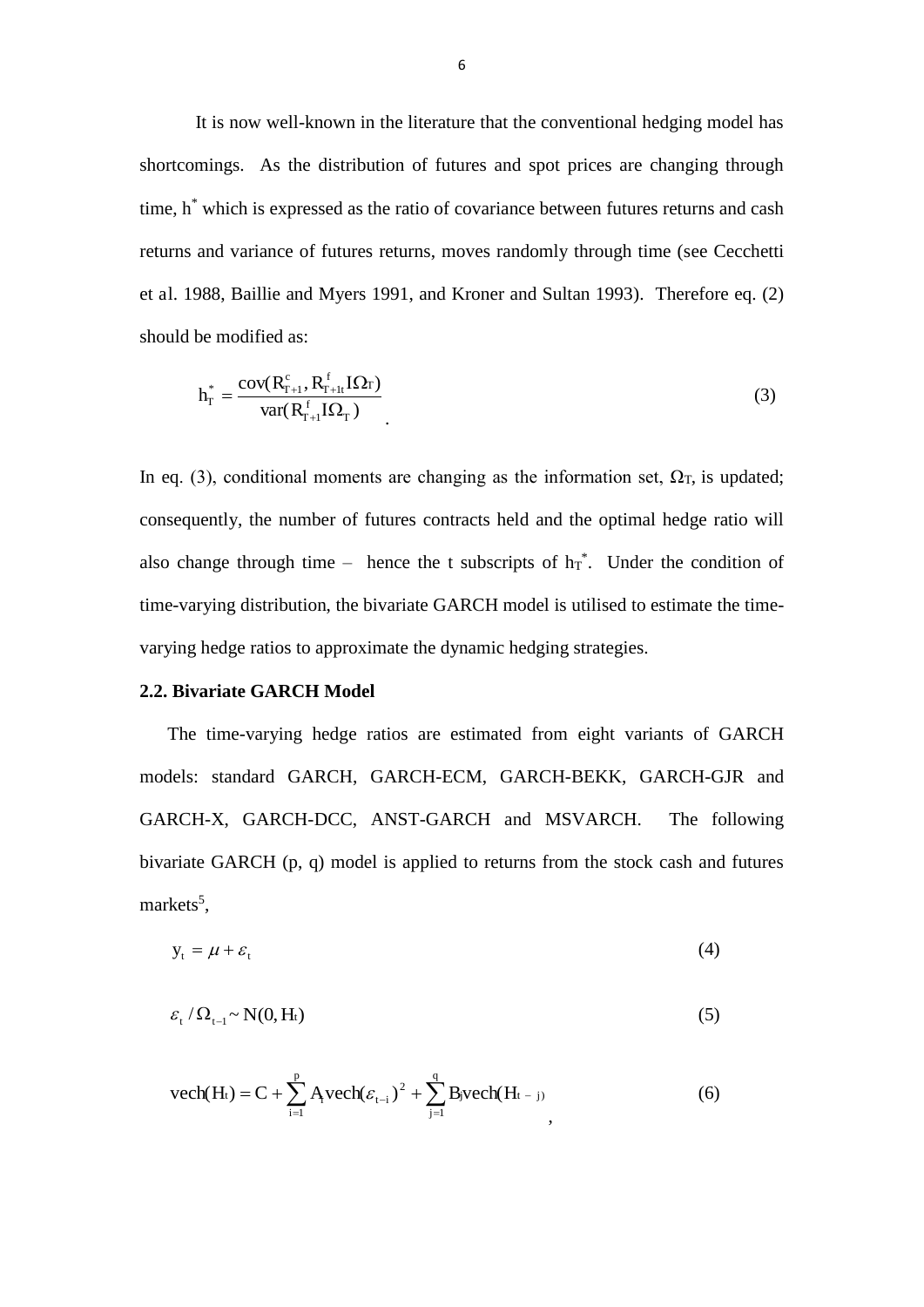It is now well-known in the literature that the conventional hedging model has shortcomings. As the distribution of futures and spot prices are changing through time, h<sup>\*</sup> which is expressed as the ratio of covariance between futures returns and cash returns and variance of futures returns, moves randomly through time (see Cecchetti et al. 1988, Baillie and Myers 1991, and Kroner and Sultan 1993). Therefore eq. (2) should be modified as:

$$
h_{\Gamma}^* = \frac{\text{cov}(R_{\Gamma+1}^c, R_{\Gamma+1}^f I \Omega_{\Gamma})}{\text{var}(R_{\Gamma+1}^f I \Omega_{\Gamma})} \tag{3}
$$

In eq. (3), conditional moments are changing as the information set,  $\Omega$ <sub>T</sub>, is updated; consequently, the number of futures contracts held and the optimal hedge ratio will also change through time – hence the t subscripts of  $h_T^*$ . Under the condition of time-varying distribution, the bivariate GARCH model is utilised to estimate the timevarying hedge ratios to approximate the dynamic hedging strategies.

### **2.2. Bivariate GARCH Model**

The time-varying hedge ratios are estimated from eight variants of GARCH models: standard GARCH, GARCH-ECM, GARCH-BEKK, GARCH-GJR and GARCH-X, GARCH-DCC, ANST-GARCH and MSVARCH. The following bivariate GARCH (p, q) model is applied to returns from the stock cash and futures markets<sup>5</sup>,

$$
y_t = \mu + \varepsilon_t \tag{4}
$$

$$
\varepsilon_{\rm t}/\Omega_{\rm t-1} \sim N(0, \rm H_{\rm t})\tag{5}
$$

$$
\text{vech}(H_t) = C + \sum_{i=1}^{p} A_i \text{vech}(\varepsilon_{t-i})^2 + \sum_{j=1}^{q} B_j \text{vech}(H_{t-j})
$$
(6)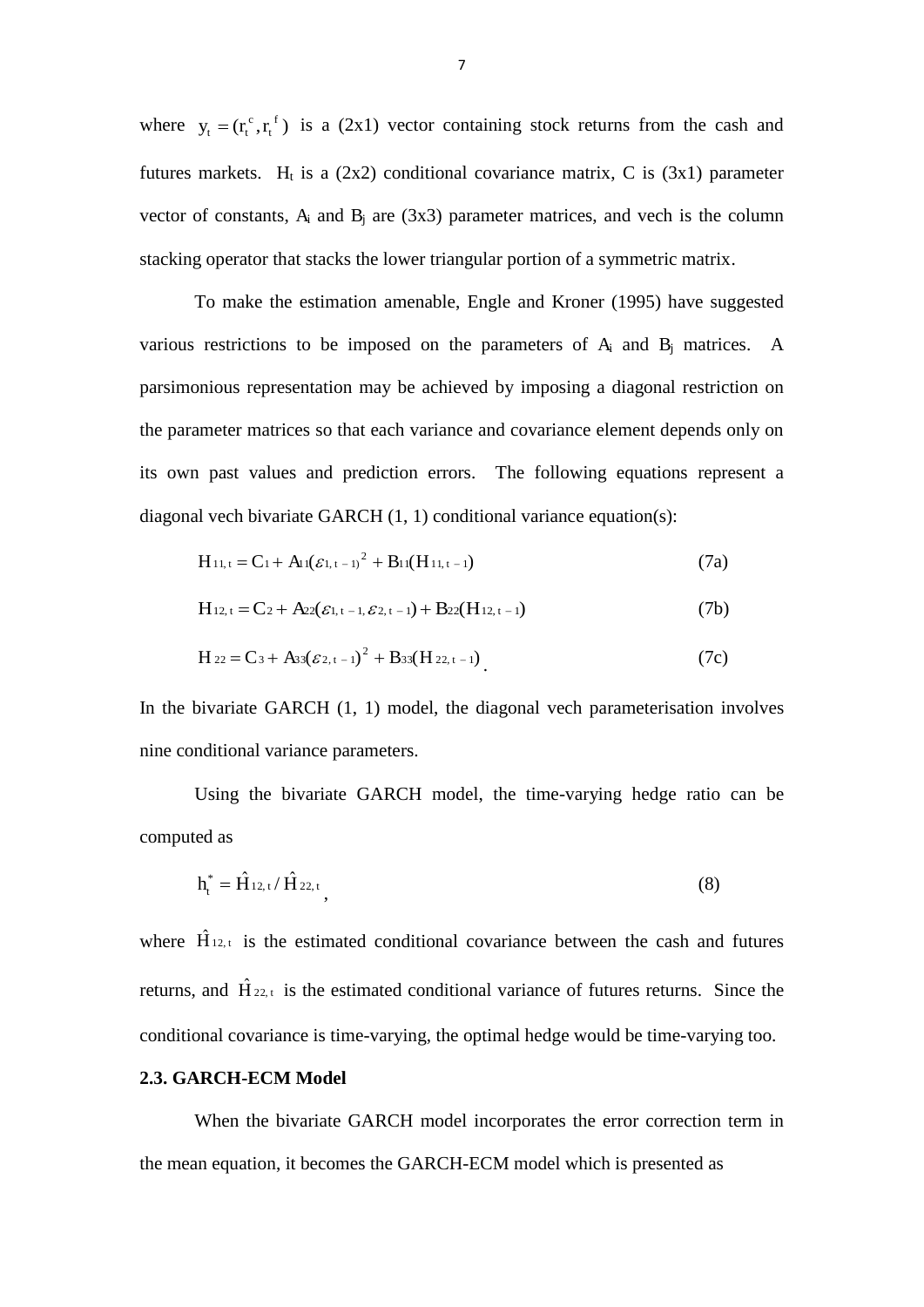where  $y_t = (r_t^c, r_t^f)$ t c  $y_t = (r_t^c, r_t^f)$  is a (2x1) vector containing stock returns from the cash and futures markets. H<sub>t</sub> is a  $(2x2)$  conditional covariance matrix, C is  $(3x1)$  parameter vector of constants,  $A_i$  and  $B_i$  are (3x3) parameter matrices, and vech is the column stacking operator that stacks the lower triangular portion of a symmetric matrix.

To make the estimation amenable, Engle and Kroner (1995) have suggested various restrictions to be imposed on the parameters of  $A_i$  and  $B_j$  matrices. A parsimonious representation may be achieved by imposing a diagonal restriction on the parameter matrices so that each variance and covariance element depends only on its own past values and prediction errors. The following equations represent a diagonal vech bivariate GARCH (1, 1) conditional variance equation(s):

$$
H_{11,t} = C_1 + A_1(\varepsilon_{1,t-1})^2 + B_1((H_{11,t-1})
$$
\n(7a)

$$
H_{12,t} = C_2 + A_{22}(\varepsilon_{1,t-1}, \varepsilon_{2,t-1}) + B_{22}(H_{12,t-1})
$$
\n(7b)

$$
H_{22} = C_3 + A_{33}(\mathcal{E}_{2,t-1})^2 + B_{33}(H_{22,t-1})
$$
\n(7c)

In the bivariate GARCH (1, 1) model, the diagonal vech parameterisation involves nine conditional variance parameters.

Using the bivariate GARCH model, the time-varying hedge ratio can be computed as

$$
h_t^* = \hat{H}_{12, t} / \hat{H}_{22, t}, \qquad (8)
$$

where  $\hat{H}_{12,t}$  is the estimated conditional covariance between the cash and futures returns, and  $\hat{H}_{22,t}$  is the estimated conditional variance of futures returns. Since the conditional covariance is time-varying, the optimal hedge would be time-varying too.

## **2.3. GARCH-ECM Model**

When the bivariate GARCH model incorporates the error correction term in the mean equation, it becomes the GARCH-ECM model which is presented as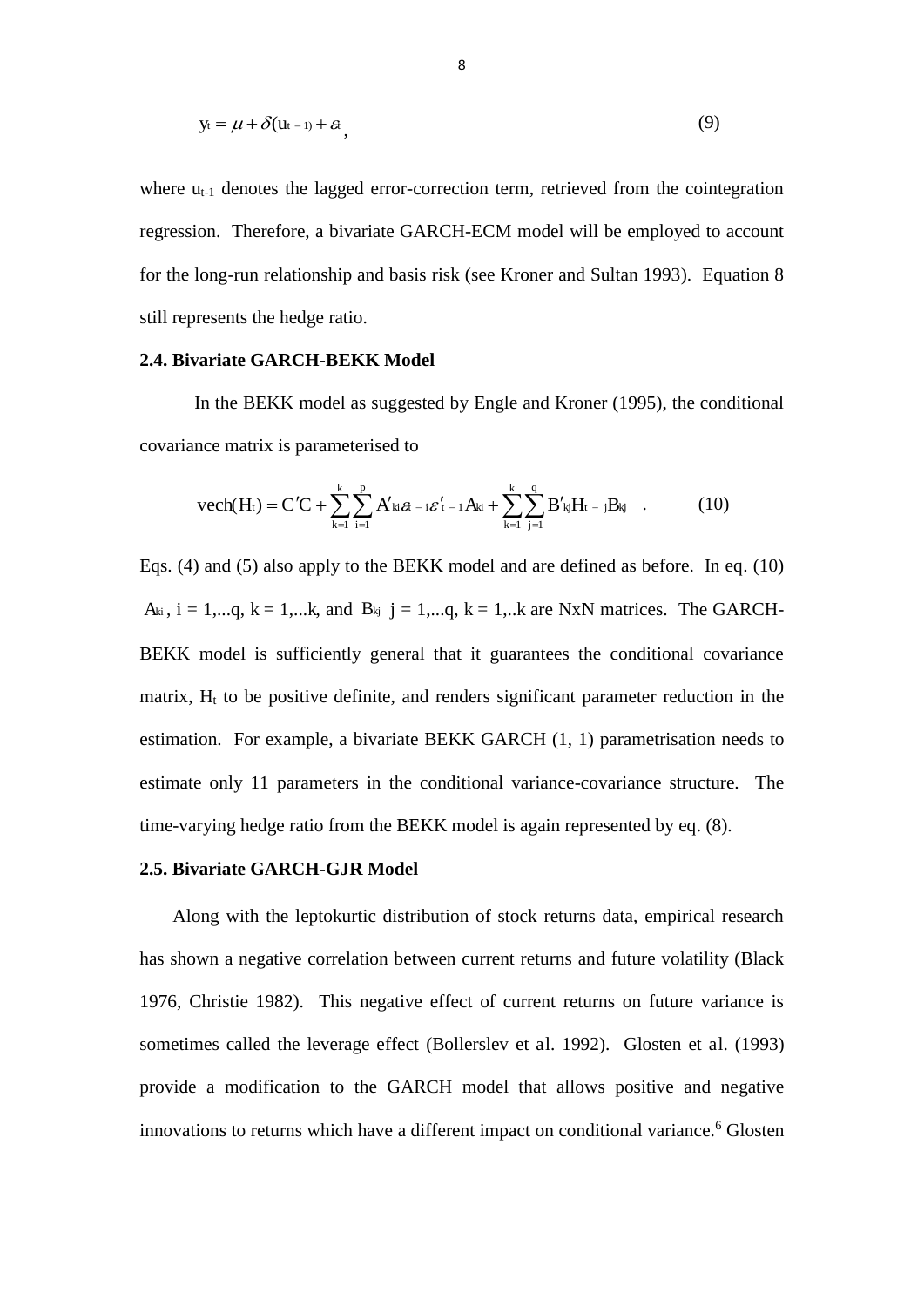$$
y_t = \mu + \delta(u_{t-1}) + \varepsilon, \tag{9}
$$

where  $u_{t-1}$  denotes the lagged error-correction term, retrieved from the cointegration regression. Therefore, a bivariate GARCH-ECM model will be employed to account for the long-run relationship and basis risk (see Kroner and Sultan 1993). Equation 8 still represents the hedge ratio.

## **2.4. Bivariate GARCH-BEKK Model**

In the BEKK model as suggested by Engle and Kroner (1995), the conditional covariance matrix is parameterised to

$$
vech(H_t) = C'C + \sum_{k=1}^{k} \sum_{i=1}^{p} A'_{ki} \varepsilon_{t-i} \varepsilon'_{t-1} A_{ki} + \sum_{k=1}^{k} \sum_{j=1}^{q} B'_{kj} H_{t-j} B_{kj} \quad . \tag{10}
$$

Eqs. (4) and (5) also apply to the BEKK model and are defined as before. In eq. (10)  $A_{ki}$ ,  $i = 1,...q$ ,  $k = 1,...k$ , and  $B_{kj}$   $j = 1,...q$ ,  $k = 1,...k$  are NxN matrices. The GARCH-BEKK model is sufficiently general that it guarantees the conditional covariance matrix,  $H_t$  to be positive definite, and renders significant parameter reduction in the estimation. For example, a bivariate BEKK GARCH (1, 1) parametrisation needs to estimate only 11 parameters in the conditional variance-covariance structure. The time-varying hedge ratio from the BEKK model is again represented by eq. (8).

### **2.5. Bivariate GARCH-GJR Model**

Along with the leptokurtic distribution of stock returns data, empirical research has shown a negative correlation between current returns and future volatility (Black 1976, Christie 1982). This negative effect of current returns on future variance is sometimes called the leverage effect (Bollerslev et al. 1992). Glosten et al. (1993) provide a modification to the GARCH model that allows positive and negative innovations to returns which have a different impact on conditional variance.<sup>6</sup> Glosten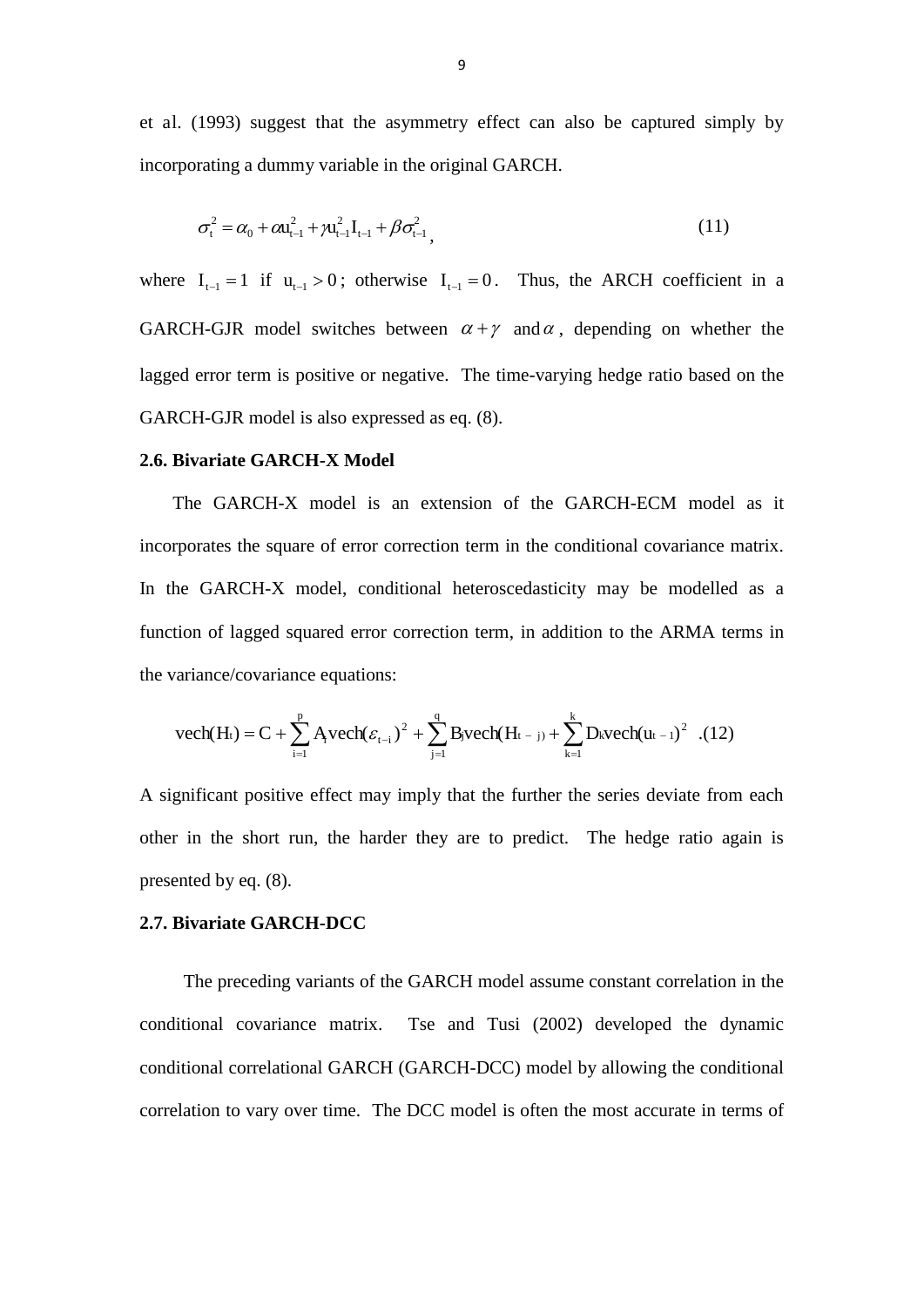et al. (1993) suggest that the asymmetry effect can also be captured simply by incorporating a dummy variable in the original GARCH.

$$
\sigma_{t}^{2} = \alpha_{0} + \alpha u_{t-1}^{2} + \gamma u_{t-1}^{2} I_{t-1} + \beta \sigma_{t-1}^{2},
$$
\n(11)

where  $I_{t-1} = 1$  if  $u_{t-1} > 0$ ; otherwise  $I_{t-1} = 0$ . Thus, the ARCH coefficient in a GARCH-GJR model switches between  $\alpha + \gamma$  and  $\alpha$ , depending on whether the lagged error term is positive or negative. The time-varying hedge ratio based on the GARCH-GJR model is also expressed as eq. (8).

# **2.6. Bivariate GARCH-X Model**

The GARCH-X model is an extension of the GARCH-ECM model as it incorporates the square of error correction term in the conditional covariance matrix. In the GARCH-X model, conditional heteroscedasticity may be modelled as a function of lagged squared error correction term, in addition to the ARMA terms in the variance/covariance equations:

$$
vech(H_t) = C + \sum_{i=1}^{p} Avech(\varepsilon_{t-i})^2 + \sum_{j=1}^{q} B_jvech(H_{t-j}) + \sum_{k=1}^{k} D_kvech(u_{t-1})^2
$$
.(12)

A significant positive effect may imply that the further the series deviate from each other in the short run, the harder they are to predict. The hedge ratio again is presented by eq. (8).

#### **2.7. Bivariate GARCH-DCC**

The preceding variants of the GARCH model assume constant correlation in the conditional covariance matrix. Tse and Tusi (2002) developed the dynamic conditional correlational GARCH (GARCH-DCC) model by allowing the conditional correlation to vary over time. The DCC model is often the most accurate in terms of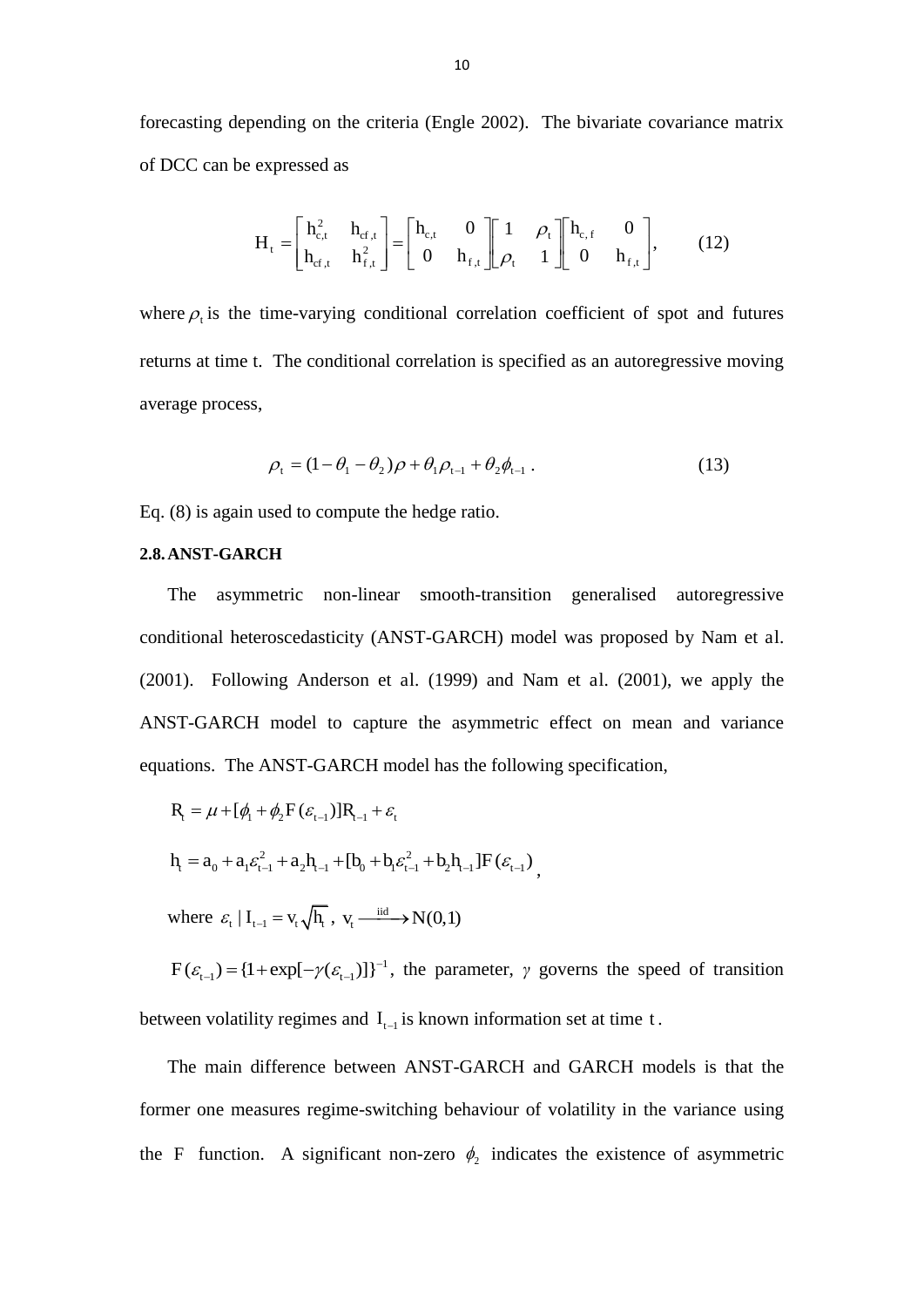forecasting depending on the criteria (Engle 2002). The bivariate covariance matrix of DCC can be expressed as

$$
H_{t} = \begin{bmatrix} h_{c,t}^{2} & h_{cf,t} \\ h_{cf,t} & h_{f,t}^{2} \end{bmatrix} = \begin{bmatrix} h_{c,t} & 0 \\ 0 & h_{f,t} \end{bmatrix} \begin{bmatrix} 1 & \rho_{t} \\ \rho_{t} & 1 \end{bmatrix} \begin{bmatrix} h_{c,f} & 0 \\ 0 & h_{f,t} \end{bmatrix},
$$
 (12)

where  $\rho_t$  is the time-varying conditional correlation coefficient of spot and futures returns at time t. The conditional correlation is specified as an autoregressive moving average process,

$$
\rho_{t} = (1 - \theta_{1} - \theta_{2})\rho + \theta_{1}\rho_{t-1} + \theta_{2}\phi_{t-1}.
$$
\n(13)

Eq. (8) is again used to compute the hedge ratio.

#### **2.8.ANST-GARCH**

The asymmetric non-linear smooth-transition generalised autoregressive conditional heteroscedasticity (ANST-GARCH) model was proposed by Nam et al. (2001). Following Anderson et al. (1999) and Nam et al. (2001), we apply the ANST-GARCH model to capture the asymmetric effect on mean and variance equations. The ANST-GARCH model has the following specification,

$$
R_{t} = \mu + [\phi_{t} + \phi_{2} F(\varepsilon_{t-1})] R_{t-1} + \varepsilon_{t}
$$
  
\n
$$
h_{t} = a_{0} + a_{1} \varepsilon_{t-1}^{2} + a_{2} h_{t-1} + [b_{0} + b_{1} \varepsilon_{t-1}^{2} + b_{2} h_{t-1}] F(\varepsilon_{t-1}),
$$

where  $\varepsilon_t | I_{t-1} = v_t \sqrt{h_t}$ ,  $v_t \xrightarrow{\text{iid}} N(0,1)$ |

 $F(\varepsilon_{t-1}) = \{1 + \exp[-\gamma(\varepsilon_{t-1})]\}^{-1}$ , the parameter,  $\gamma$  governs the speed of transition between volatility regimes and  $I_{t-1}$  is known information set at time t.

The main difference between ANST-GARCH and GARCH models is that the former one measures regime-switching behaviour of volatility in the variance using the F function. A significant non-zero  $\phi_2$  indicates the existence of asymmetric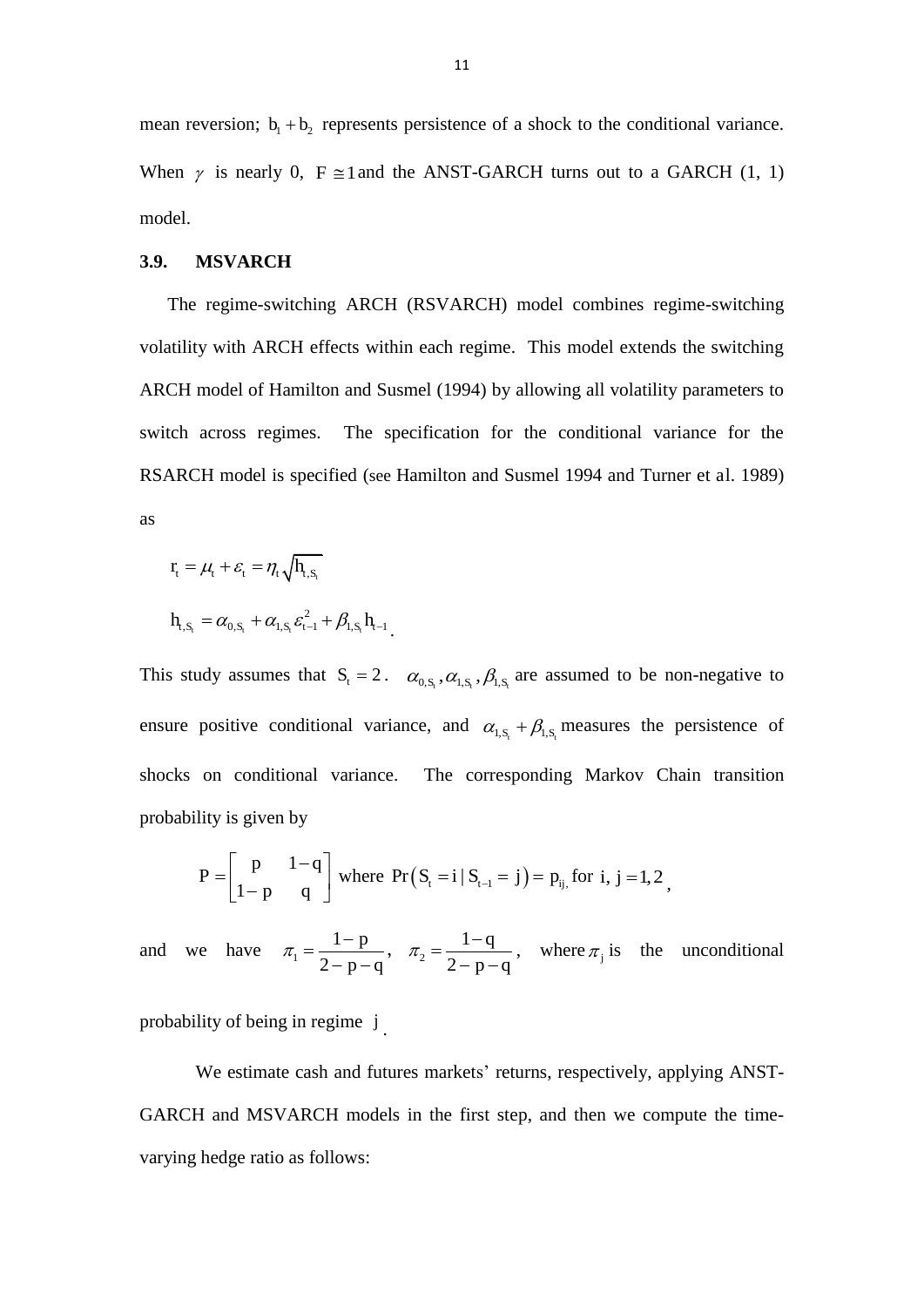mean reversion;  $b_1 + b_2$  represents persistence of a shock to the conditional variance. When  $\gamma$  is nearly 0, F  $\approx$  1 and the ANST-GARCH turns out to a GARCH (1, 1) model.

#### **3.9. MSVARCH**

The regime-switching ARCH (RSVARCH) model combines regime-switching volatility with ARCH effects within each regime. This model extends the switching ARCH model of Hamilton and Susmel (1994) by allowing all volatility parameters to switch across regimes. The specification for the conditional variance for the RSARCH model is specified (see Hamilton and Susmel 1994 and Turner et al. 1989) as

$$
\begin{aligned} r_{t} &= \mu_{t} + \varepsilon_{t} = \eta_{t} \sqrt{h_{t, S_{t}}} \\ h_{t, S_{t}} &= \alpha_{0, S_{t}} + \alpha_{t, S_{t}} \varepsilon_{t-1}^{2} + \beta_{t, S_{t}} h_{t-1} \end{aligned}
$$

This study assumes that  $S_t = 2$ .  $\alpha_{0,S_t}, \alpha_{1,S_t}, \beta_{1,S_t}$  are assumed to be non-negative to ensure positive conditional variance, and  $\alpha_{1, S_t} + \beta_{1, S_t}$  measures the persistence of shocks on conditional variance. The corresponding Markov Chain transition probability is given by

$$
P = \begin{bmatrix} p & 1-q \\ 1-p & q \end{bmatrix}
$$
 where  $Pr(S_t = i | S_{t-1} = j) = p_{ij}$ , for  $i, j = 1, 2$ ,

and we have  $\pi_1 = \frac{1}{2}$ 2 p  $\pi_1 = \frac{1-p}{2-p-q}$  $\frac{1-p}{-p-q}$ ,  $\pi_2 = \frac{1}{2-p-q}$ 2 q  $\pi_2 = \frac{1-q}{2-p-q}$  $\frac{1}{p-1}$ , where  $\pi_j$  is the unconditional

probability of being in regime j.

We estimate cash and futures markets' returns, respectively, applying ANST-GARCH and MSVARCH models in the first step, and then we compute the timevarying hedge ratio as follows: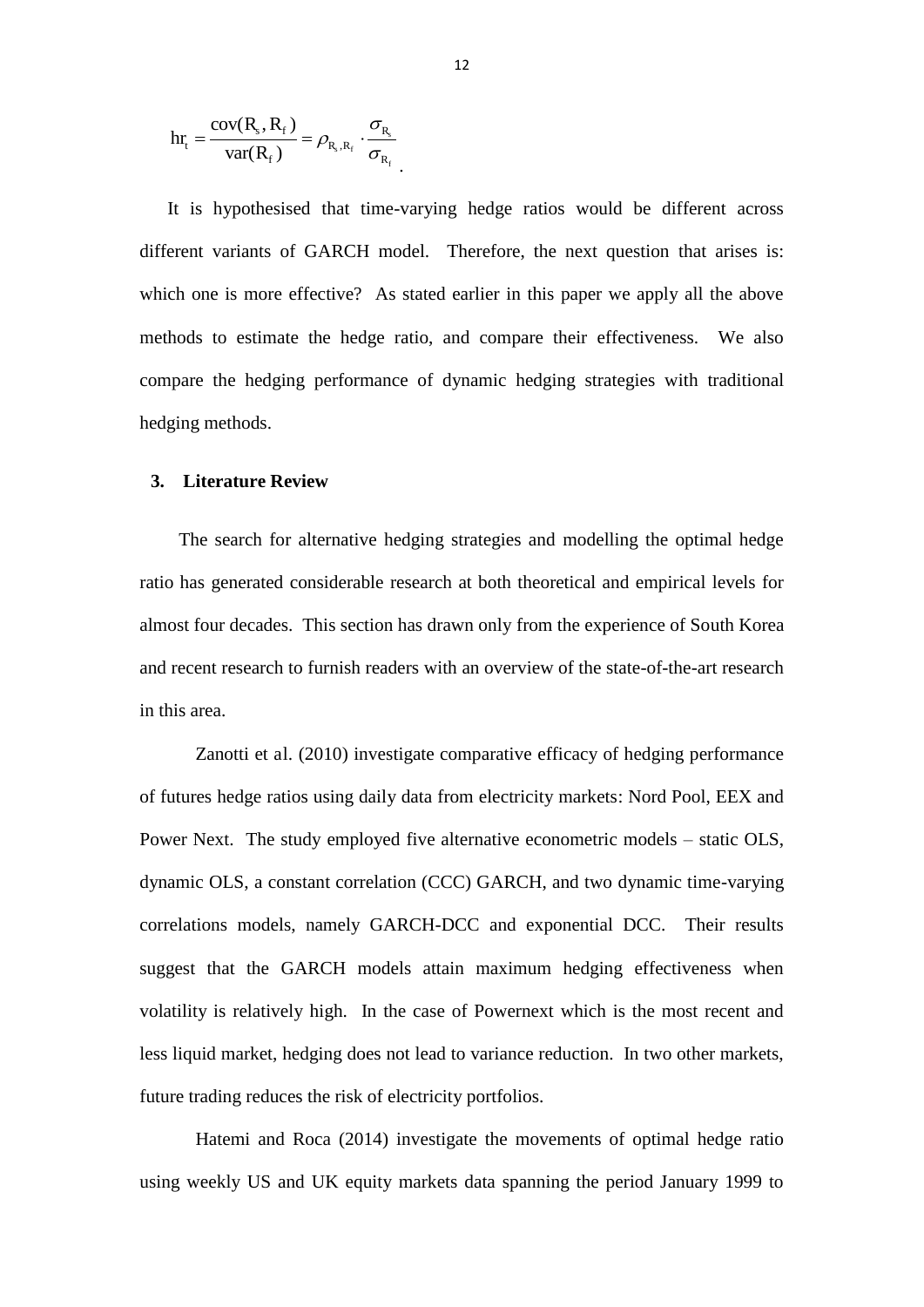$$
hr_{t} = \frac{\text{cov}(R_{s}, R_{f})}{\text{var}(R_{f})} = \rho_{R_{s}, R_{f}} \cdot \frac{\sigma_{R_{s}}}{\sigma_{R_{f}}}
$$

It is hypothesised that time-varying hedge ratios would be different across different variants of GARCH model. Therefore, the next question that arises is: which one is more effective? As stated earlier in this paper we apply all the above methods to estimate the hedge ratio, and compare their effectiveness. We also compare the hedging performance of dynamic hedging strategies with traditional hedging methods.

#### **3. Literature Review**

The search for alternative hedging strategies and modelling the optimal hedge ratio has generated considerable research at both theoretical and empirical levels for almost four decades. This section has drawn only from the experience of South Korea and recent research to furnish readers with an overview of the state-of-the-art research in this area.

Zanotti et al. (2010) investigate comparative efficacy of hedging performance of futures hedge ratios using daily data from electricity markets: Nord Pool, EEX and Power Next. The study employed five alternative econometric models – static OLS, dynamic OLS, a constant correlation (CCC) GARCH, and two dynamic time-varying correlations models, namely GARCH-DCC and exponential DCC. Their results suggest that the GARCH models attain maximum hedging effectiveness when volatility is relatively high. In the case of Powernext which is the most recent and less liquid market, hedging does not lead to variance reduction. In two other markets, future trading reduces the risk of electricity portfolios.

Hatemi and Roca (2014) investigate the movements of optimal hedge ratio using weekly US and UK equity markets data spanning the period January 1999 to

.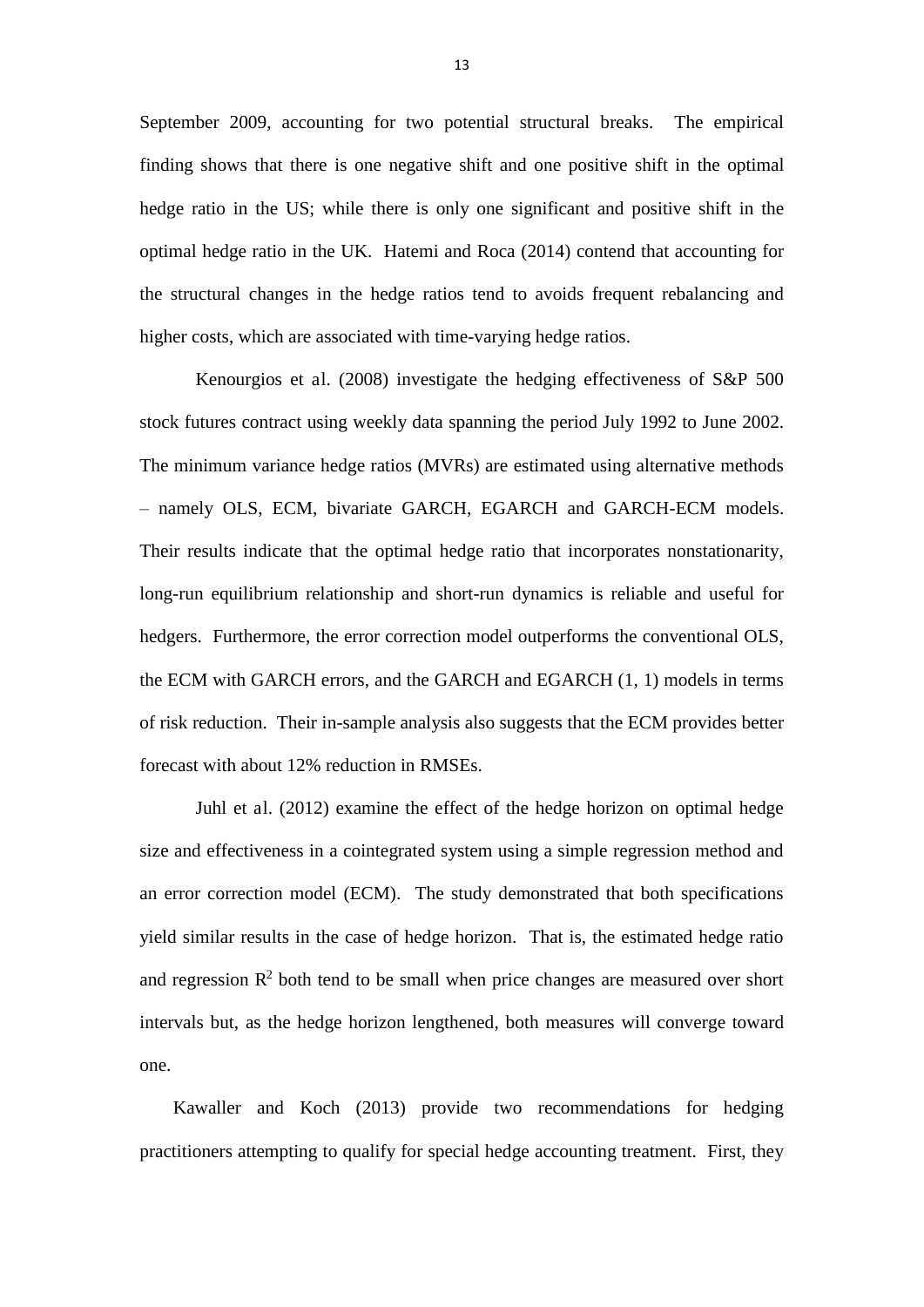September 2009, accounting for two potential structural breaks. The empirical finding shows that there is one negative shift and one positive shift in the optimal hedge ratio in the US; while there is only one significant and positive shift in the optimal hedge ratio in the UK. Hatemi and Roca (2014) contend that accounting for the structural changes in the hedge ratios tend to avoids frequent rebalancing and higher costs, which are associated with time-varying hedge ratios.

Kenourgios et al. (2008) investigate the hedging effectiveness of S&P 500 stock futures contract using weekly data spanning the period July 1992 to June 2002. The minimum variance hedge ratios (MVRs) are estimated using alternative methods – namely OLS, ECM, bivariate GARCH, EGARCH and GARCH-ECM models. Their results indicate that the optimal hedge ratio that incorporates nonstationarity, long-run equilibrium relationship and short-run dynamics is reliable and useful for hedgers. Furthermore, the error correction model outperforms the conventional OLS, the ECM with GARCH errors, and the GARCH and EGARCH (1, 1) models in terms of risk reduction. Their in-sample analysis also suggests that the ECM provides better forecast with about 12% reduction in RMSEs.

Juhl et al. (2012) examine the effect of the hedge horizon on optimal hedge size and effectiveness in a cointegrated system using a simple regression method and an error correction model (ECM). The study demonstrated that both specifications yield similar results in the case of hedge horizon. That is, the estimated hedge ratio and regression  $\mathbb{R}^2$  both tend to be small when price changes are measured over short intervals but, as the hedge horizon lengthened, both measures will converge toward one.

Kawaller and Koch (2013) provide two recommendations for hedging practitioners attempting to qualify for special hedge accounting treatment. First, they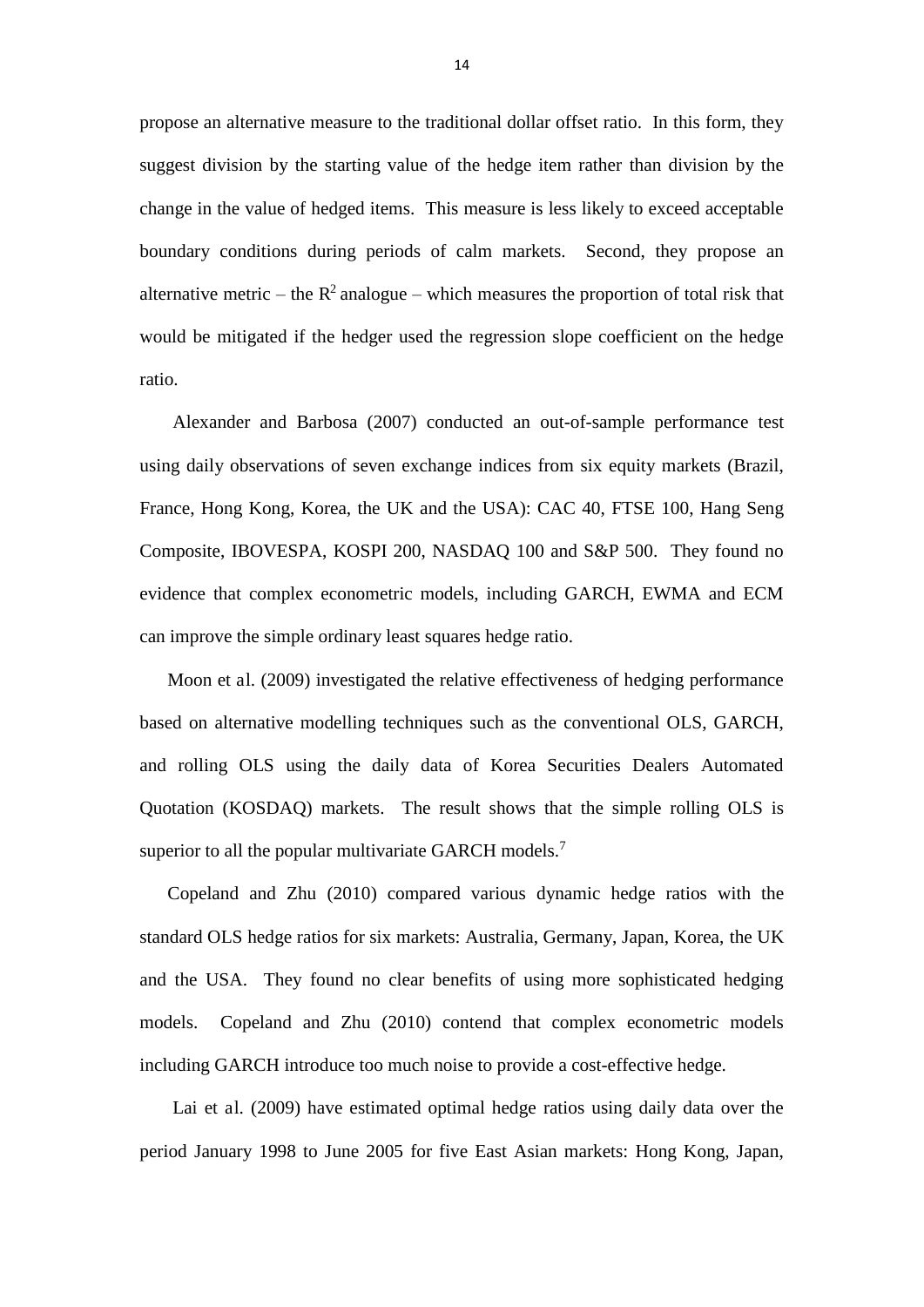propose an alternative measure to the traditional dollar offset ratio. In this form, they suggest division by the starting value of the hedge item rather than division by the change in the value of hedged items. This measure is less likely to exceed acceptable boundary conditions during periods of calm markets. Second, they propose an alternative metric – the  $R^2$  analogue – which measures the proportion of total risk that would be mitigated if the hedger used the regression slope coefficient on the hedge ratio.

Alexander and Barbosa (2007) conducted an out-of-sample performance test using daily observations of seven exchange indices from six equity markets (Brazil, France, Hong Kong, Korea, the UK and the USA): CAC 40, FTSE 100, Hang Seng Composite, IBOVESPA, KOSPI 200, NASDAQ 100 and S&P 500. They found no evidence that complex econometric models, including GARCH, EWMA and ECM can improve the simple ordinary least squares hedge ratio.

Moon et al. (2009) investigated the relative effectiveness of hedging performance based on alternative modelling techniques such as the conventional OLS, GARCH, and rolling OLS using the daily data of Korea Securities Dealers Automated Quotation (KOSDAQ) markets. The result shows that the simple rolling OLS is superior to all the popular multivariate GARCH models.<sup>7</sup>

Copeland and Zhu (2010) compared various dynamic hedge ratios with the standard OLS hedge ratios for six markets: Australia, Germany, Japan, Korea, the UK and the USA. They found no clear benefits of using more sophisticated hedging models. Copeland and Zhu (2010) contend that complex econometric models including GARCH introduce too much noise to provide a cost-effective hedge.

Lai et al. (2009) have estimated optimal hedge ratios using daily data over the period January 1998 to June 2005 for five East Asian markets: Hong Kong, Japan,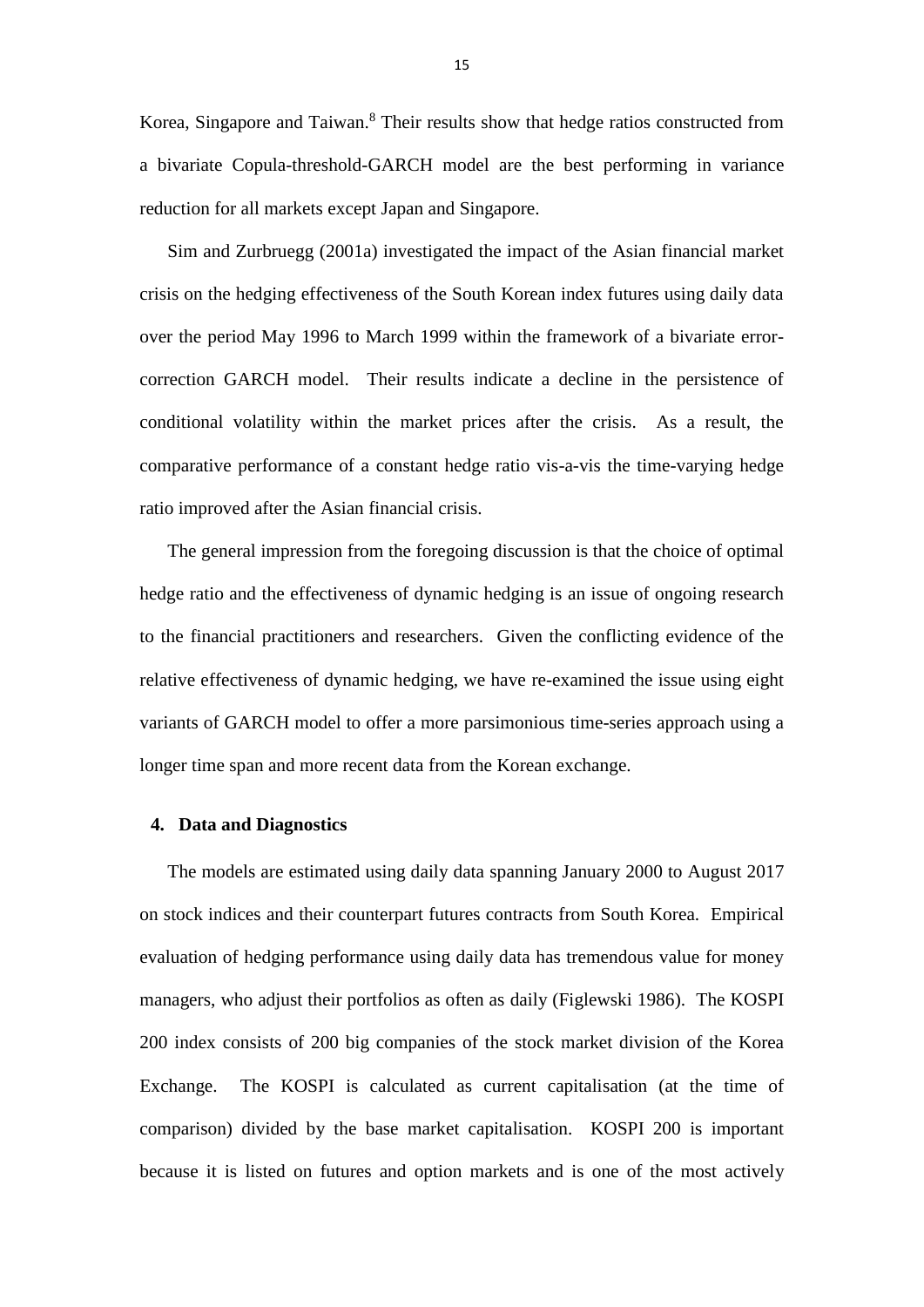Korea, Singapore and Taiwan.<sup>8</sup> Their results show that hedge ratios constructed from a bivariate Copula-threshold-GARCH model are the best performing in variance reduction for all markets except Japan and Singapore.

Sim and Zurbruegg (2001a) investigated the impact of the Asian financial market crisis on the hedging effectiveness of the South Korean index futures using daily data over the period May 1996 to March 1999 within the framework of a bivariate errorcorrection GARCH model. Their results indicate a decline in the persistence of conditional volatility within the market prices after the crisis. As a result, the comparative performance of a constant hedge ratio vis-a-vis the time-varying hedge ratio improved after the Asian financial crisis.

The general impression from the foregoing discussion is that the choice of optimal hedge ratio and the effectiveness of dynamic hedging is an issue of ongoing research to the financial practitioners and researchers. Given the conflicting evidence of the relative effectiveness of dynamic hedging, we have re-examined the issue using eight variants of GARCH model to offer a more parsimonious time-series approach using a longer time span and more recent data from the Korean exchange.

#### **4. Data and Diagnostics**

The models are estimated using daily data spanning January 2000 to August 2017 on stock indices and their counterpart futures contracts from South Korea. Empirical evaluation of hedging performance using daily data has tremendous value for money managers, who adjust their portfolios as often as daily (Figlewski 1986). The KOSPI 200 index consists of 200 big companies of the stock market division of the Korea Exchange. The KOSPI is calculated as current capitalisation (at the time of comparison) divided by the base market capitalisation. KOSPI 200 is important because it is listed on futures and option markets and is one of the most actively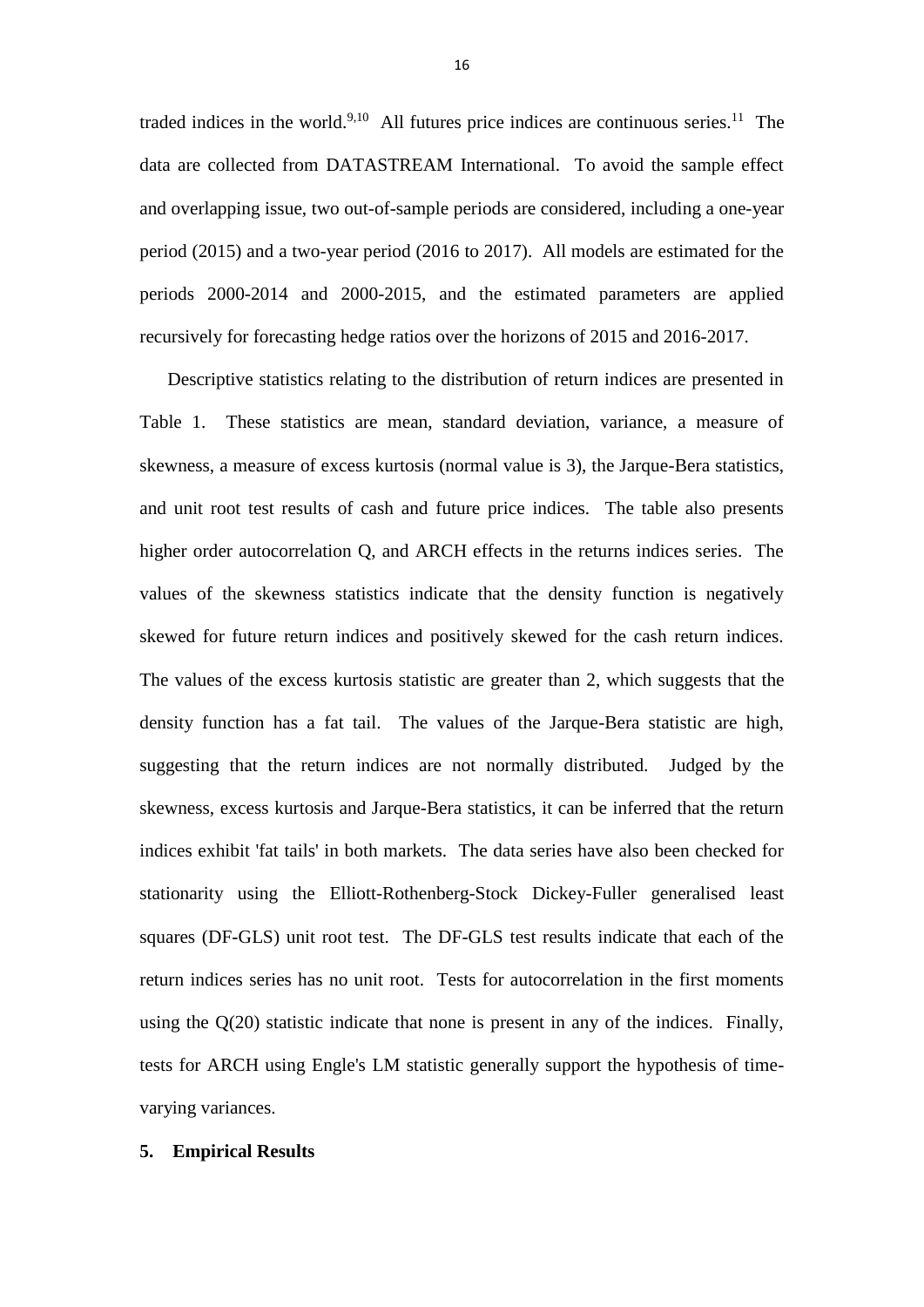traded indices in the world.<sup>9,10</sup> All futures price indices are continuous series.<sup>11</sup> The data are collected from DATASTREAM International. To avoid the sample effect and overlapping issue, two out-of-sample periods are considered, including a one-year period (2015) and a two-year period (2016 to 2017). All models are estimated for the periods 2000-2014 and 2000-2015, and the estimated parameters are applied recursively for forecasting hedge ratios over the horizons of 2015 and 2016-2017.

Descriptive statistics relating to the distribution of return indices are presented in Table 1. These statistics are mean, standard deviation, variance, a measure of skewness, a measure of excess kurtosis (normal value is 3), the Jarque-Bera statistics, and unit root test results of cash and future price indices. The table also presents higher order autocorrelation Q, and ARCH effects in the returns indices series. The values of the skewness statistics indicate that the density function is negatively skewed for future return indices and positively skewed for the cash return indices. The values of the excess kurtosis statistic are greater than 2, which suggests that the density function has a fat tail. The values of the Jarque-Bera statistic are high, suggesting that the return indices are not normally distributed. Judged by the skewness, excess kurtosis and Jarque-Bera statistics, it can be inferred that the return indices exhibit 'fat tails' in both markets. The data series have also been checked for stationarity using the Elliott-Rothenberg-Stock Dickey-Fuller generalised least squares (DF-GLS) unit root test. The DF-GLS test results indicate that each of the return indices series has no unit root. Tests for autocorrelation in the first moments using the Q(20) statistic indicate that none is present in any of the indices. Finally, tests for ARCH using Engle's LM statistic generally support the hypothesis of timevarying variances.

## **5. Empirical Results**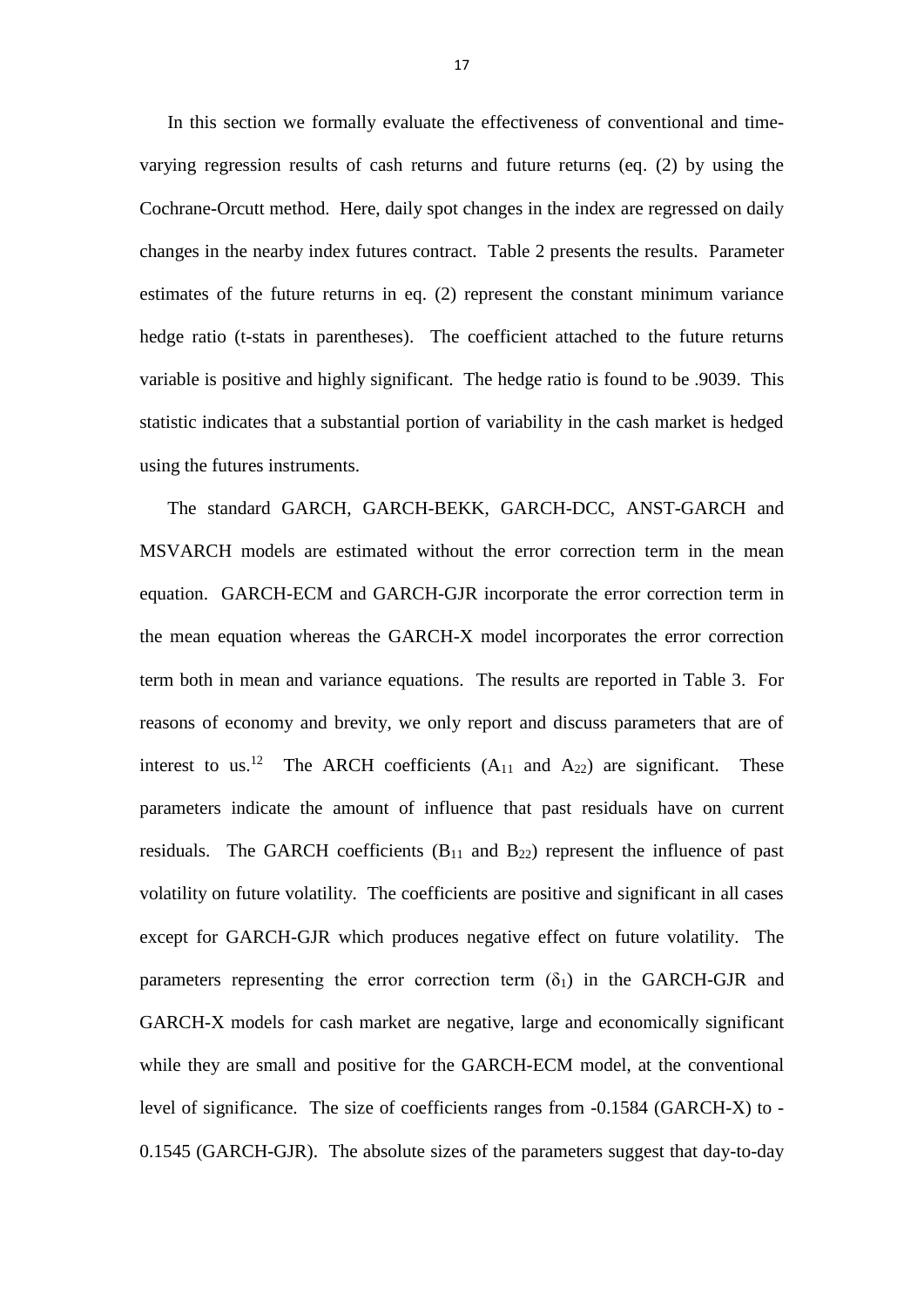In this section we formally evaluate the effectiveness of conventional and timevarying regression results of cash returns and future returns (eq. (2) by using the Cochrane-Orcutt method. Here, daily spot changes in the index are regressed on daily changes in the nearby index futures contract. Table 2 presents the results. Parameter estimates of the future returns in eq. (2) represent the constant minimum variance hedge ratio (t-stats in parentheses). The coefficient attached to the future returns variable is positive and highly significant. The hedge ratio is found to be .9039. This statistic indicates that a substantial portion of variability in the cash market is hedged using the futures instruments.

The standard GARCH, GARCH-BEKK, GARCH-DCC, ANST-GARCH and MSVARCH models are estimated without the error correction term in the mean equation. GARCH-ECM and GARCH-GJR incorporate the error correction term in the mean equation whereas the GARCH-X model incorporates the error correction term both in mean and variance equations. The results are reported in Table 3. For reasons of economy and brevity, we only report and discuss parameters that are of interest to us.<sup>12</sup> The ARCH coefficients  $(A_{11}$  and  $A_{22})$  are significant. These parameters indicate the amount of influence that past residuals have on current residuals. The GARCH coefficients  $(B_{11}$  and  $B_{22})$  represent the influence of past volatility on future volatility. The coefficients are positive and significant in all cases except for GARCH-GJR which produces negative effect on future volatility. The parameters representing the error correction term  $(\delta_1)$  in the GARCH-GJR and GARCH-X models for cash market are negative, large and economically significant while they are small and positive for the GARCH-ECM model, at the conventional level of significance. The size of coefficients ranges from -0.1584 (GARCH-X) to - 0.1545 (GARCH-GJR). The absolute sizes of the parameters suggest that day-to-day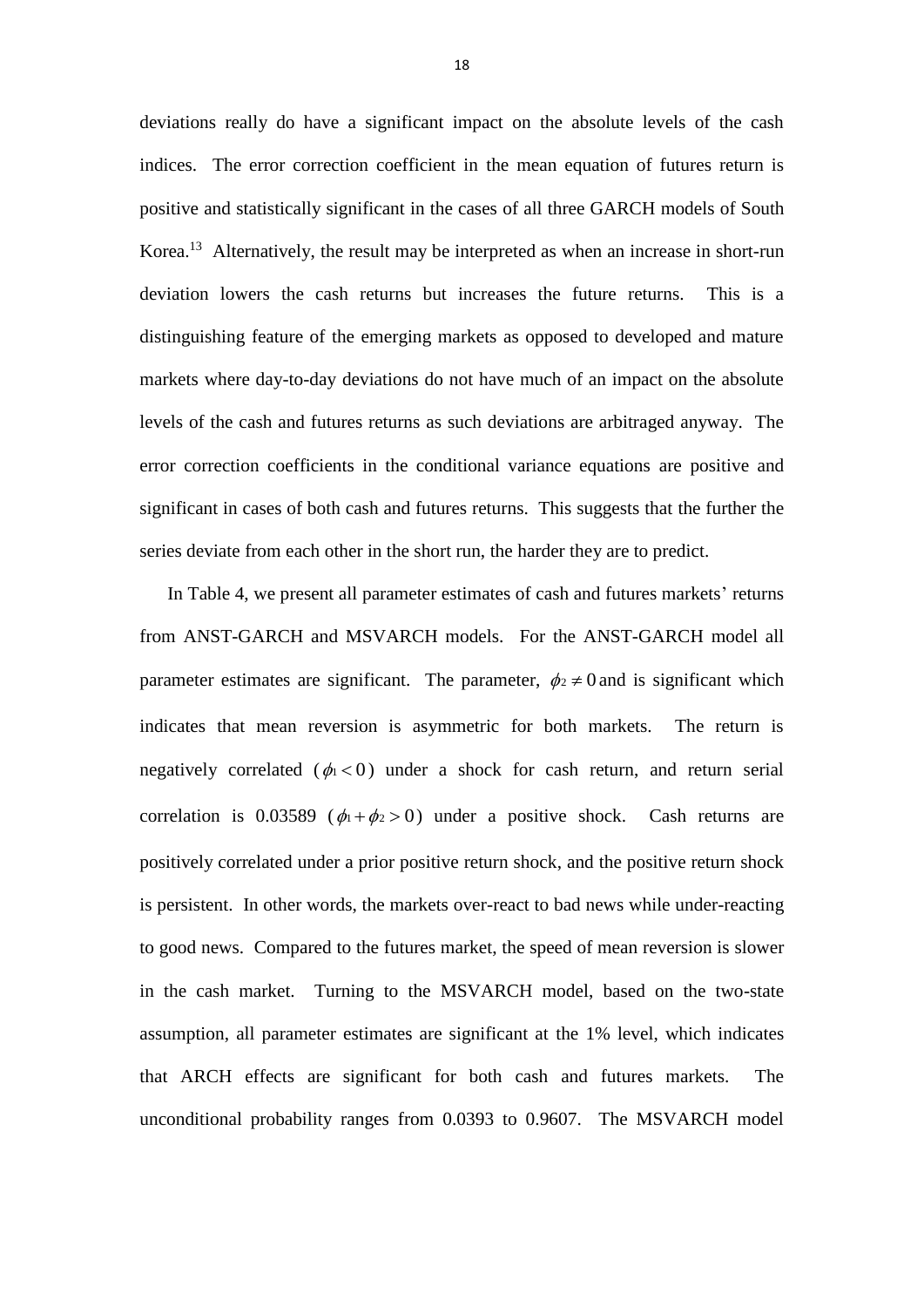deviations really do have a significant impact on the absolute levels of the cash indices. The error correction coefficient in the mean equation of futures return is positive and statistically significant in the cases of all three GARCH models of South Korea.<sup>13</sup> Alternatively, the result may be interpreted as when an increase in short-run deviation lowers the cash returns but increases the future returns. This is a distinguishing feature of the emerging markets as opposed to developed and mature markets where day-to-day deviations do not have much of an impact on the absolute levels of the cash and futures returns as such deviations are arbitraged anyway. The error correction coefficients in the conditional variance equations are positive and significant in cases of both cash and futures returns. This suggests that the further the series deviate from each other in the short run, the harder they are to predict.

In Table 4, we present all parameter estimates of cash and futures markets' returns from ANST-GARCH and MSVARCH models. For the ANST-GARCH model all parameter estimates are significant. The parameter,  $\phi_2 \neq 0$  and is significant which indicates that mean reversion is asymmetric for both markets. The return is negatively correlated ( $\phi_1 < 0$ ) under a shock for cash return, and return serial correlation is 0.03589 ( $\phi_1 + \phi_2 > 0$ ) under a positive shock. Cash returns are positively correlated under a prior positive return shock, and the positive return shock is persistent. In other words, the markets over-react to bad news while under-reacting to good news. Compared to the futures market, the speed of mean reversion is slower in the cash market. Turning to the MSVARCH model, based on the two-state assumption, all parameter estimates are significant at the 1% level, which indicates that ARCH effects are significant for both cash and futures markets. The unconditional probability ranges from 0.0393 to 0.9607. The MSVARCH model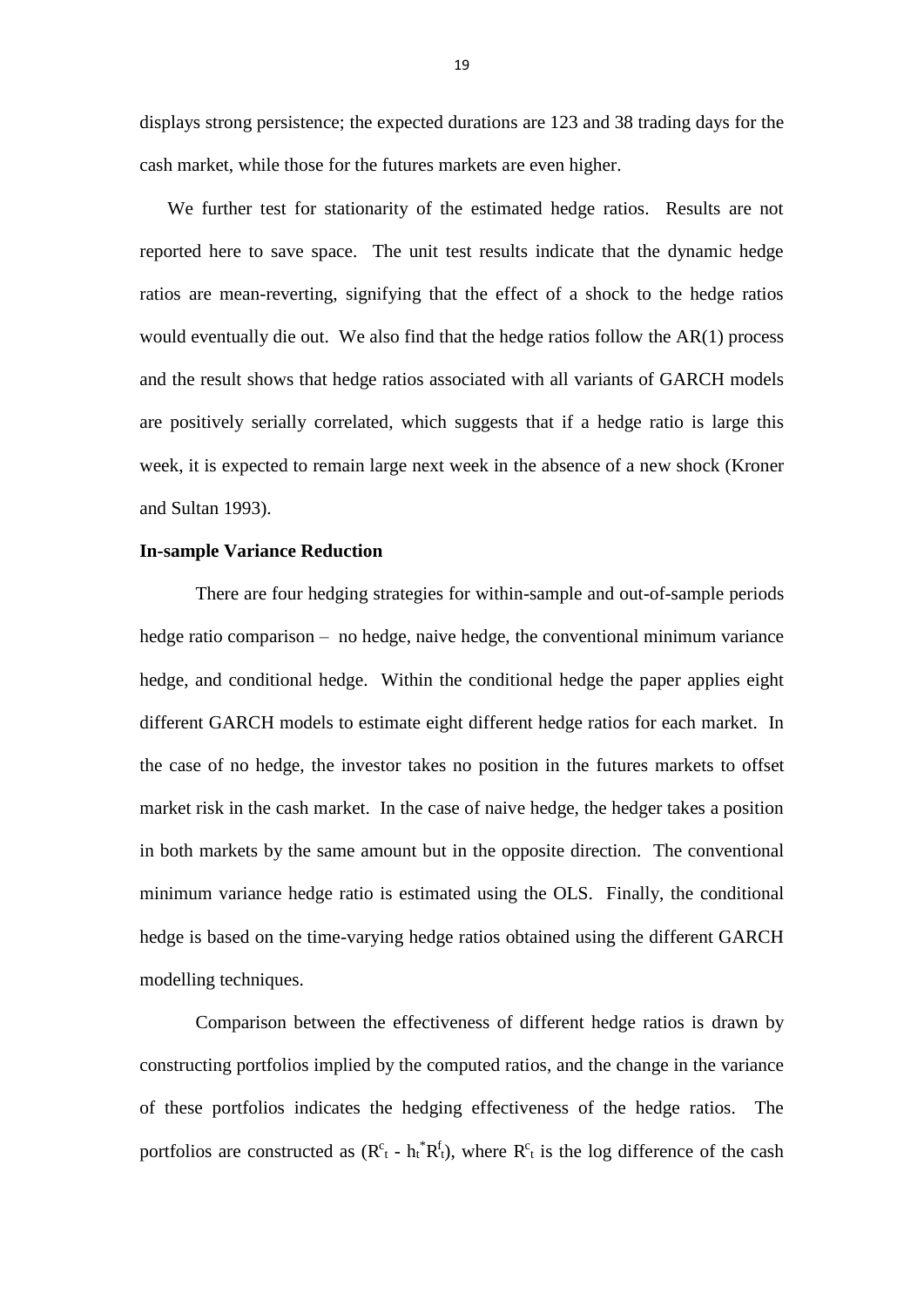displays strong persistence; the expected durations are 123 and 38 trading days for the cash market, while those for the futures markets are even higher.

We further test for stationarity of the estimated hedge ratios. Results are not reported here to save space. The unit test results indicate that the dynamic hedge ratios are mean-reverting, signifying that the effect of a shock to the hedge ratios would eventually die out. We also find that the hedge ratios follow the AR(1) process and the result shows that hedge ratios associated with all variants of GARCH models are positively serially correlated, which suggests that if a hedge ratio is large this week, it is expected to remain large next week in the absence of a new shock (Kroner and Sultan 1993).

## **In-sample Variance Reduction**

There are four hedging strategies for within-sample and out-of-sample periods hedge ratio comparison – no hedge, naive hedge, the conventional minimum variance hedge, and conditional hedge. Within the conditional hedge the paper applies eight different GARCH models to estimate eight different hedge ratios for each market. In the case of no hedge, the investor takes no position in the futures markets to offset market risk in the cash market. In the case of naive hedge, the hedger takes a position in both markets by the same amount but in the opposite direction. The conventional minimum variance hedge ratio is estimated using the OLS. Finally, the conditional hedge is based on the time-varying hedge ratios obtained using the different GARCH modelling techniques.

Comparison between the effectiveness of different hedge ratios is drawn by constructing portfolios implied by the computed ratios, and the change in the variance of these portfolios indicates the hedging effectiveness of the hedge ratios. The portfolios are constructed as  $(R<sup>c</sup><sub>t</sub> - h<sup>*</sup><sub>t</sub> R<sup>t</sup><sub>t</sub>$ , where  $R<sup>c</sup><sub>t</sub>$  is the log difference of the cash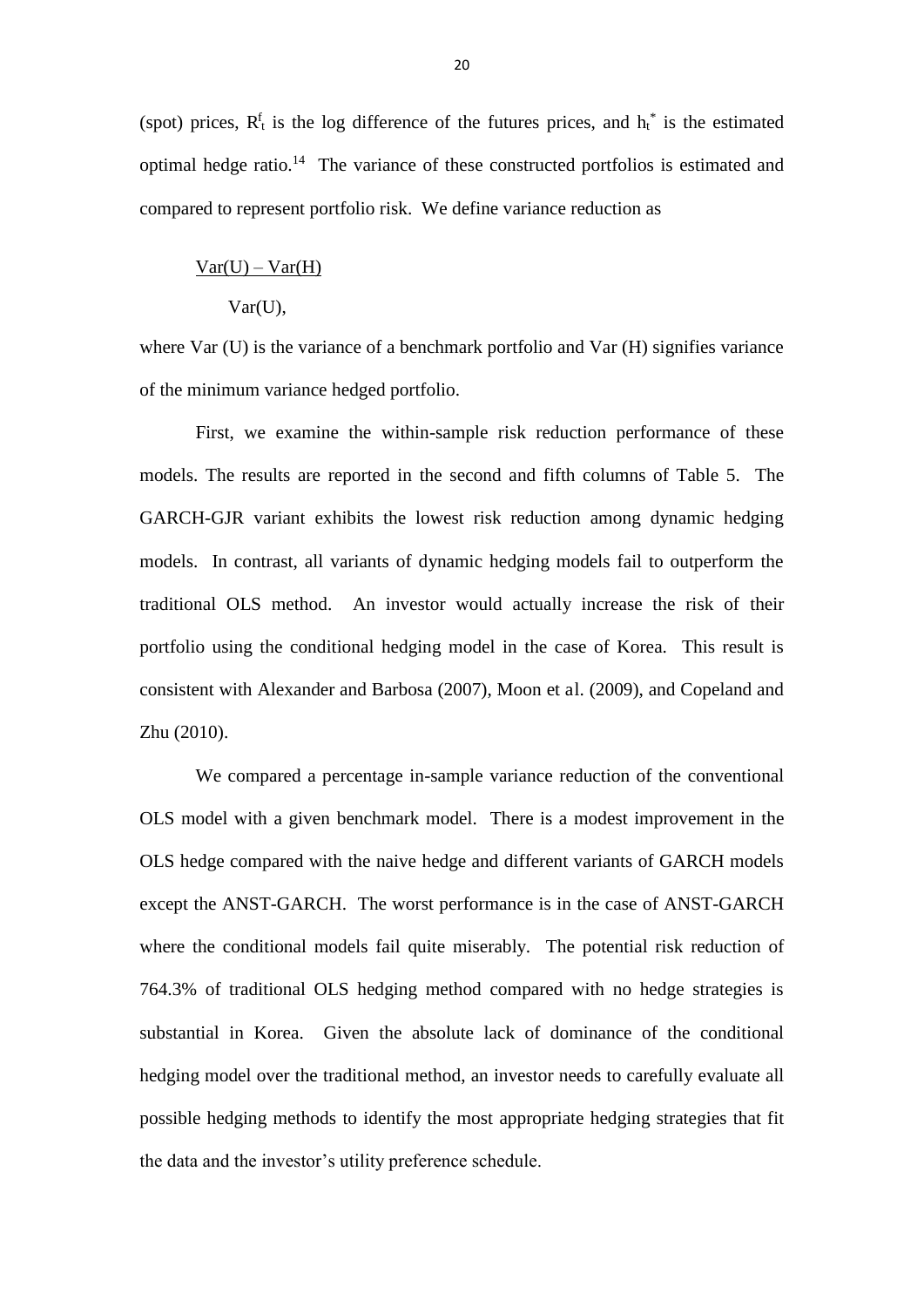(spot) prices,  $R_t^f$  is the log difference of the futures prices, and  $h_t^*$  is the estimated optimal hedge ratio.<sup>14</sup> The variance of these constructed portfolios is estimated and compared to represent portfolio risk. We define variance reduction as

# $Var(U) - Var(H)$

#### Var(U),

where Var (U) is the variance of a benchmark portfolio and Var (H) signifies variance of the minimum variance hedged portfolio.

First, we examine the within-sample risk reduction performance of these models. The results are reported in the second and fifth columns of Table 5. The GARCH-GJR variant exhibits the lowest risk reduction among dynamic hedging models. In contrast, all variants of dynamic hedging models fail to outperform the traditional OLS method. An investor would actually increase the risk of their portfolio using the conditional hedging model in the case of Korea. This result is consistent with Alexander and Barbosa (2007), Moon et al. (2009), and Copeland and Zhu (2010).

We compared a percentage in-sample variance reduction of the conventional OLS model with a given benchmark model. There is a modest improvement in the OLS hedge compared with the naive hedge and different variants of GARCH models except the ANST-GARCH. The worst performance is in the case of ANST-GARCH where the conditional models fail quite miserably. The potential risk reduction of 764.3% of traditional OLS hedging method compared with no hedge strategies is substantial in Korea. Given the absolute lack of dominance of the conditional hedging model over the traditional method, an investor needs to carefully evaluate all possible hedging methods to identify the most appropriate hedging strategies that fit the data and the investor's utility preference schedule.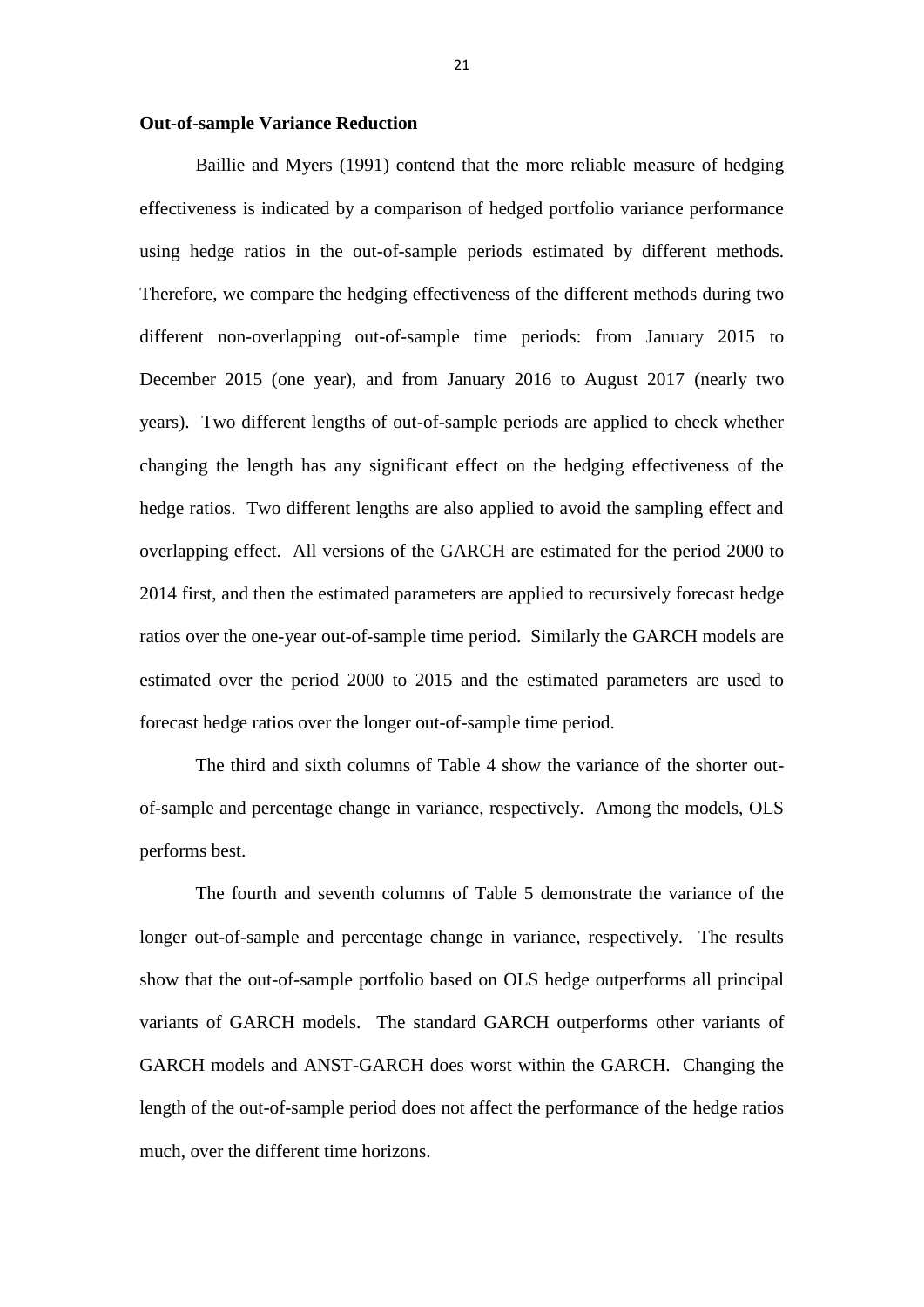#### **Out-of-sample Variance Reduction**

Baillie and Myers (1991) contend that the more reliable measure of hedging effectiveness is indicated by a comparison of hedged portfolio variance performance using hedge ratios in the out-of-sample periods estimated by different methods. Therefore, we compare the hedging effectiveness of the different methods during two different non-overlapping out-of-sample time periods: from January 2015 to December 2015 (one year), and from January 2016 to August 2017 (nearly two years). Two different lengths of out-of-sample periods are applied to check whether changing the length has any significant effect on the hedging effectiveness of the hedge ratios. Two different lengths are also applied to avoid the sampling effect and overlapping effect. All versions of the GARCH are estimated for the period 2000 to 2014 first, and then the estimated parameters are applied to recursively forecast hedge ratios over the one-year out-of-sample time period. Similarly the GARCH models are estimated over the period 2000 to 2015 and the estimated parameters are used to forecast hedge ratios over the longer out-of-sample time period.

The third and sixth columns of Table 4 show the variance of the shorter outof-sample and percentage change in variance, respectively. Among the models, OLS performs best.

The fourth and seventh columns of Table 5 demonstrate the variance of the longer out-of-sample and percentage change in variance, respectively. The results show that the out-of-sample portfolio based on OLS hedge outperforms all principal variants of GARCH models. The standard GARCH outperforms other variants of GARCH models and ANST-GARCH does worst within the GARCH. Changing the length of the out-of-sample period does not affect the performance of the hedge ratios much, over the different time horizons.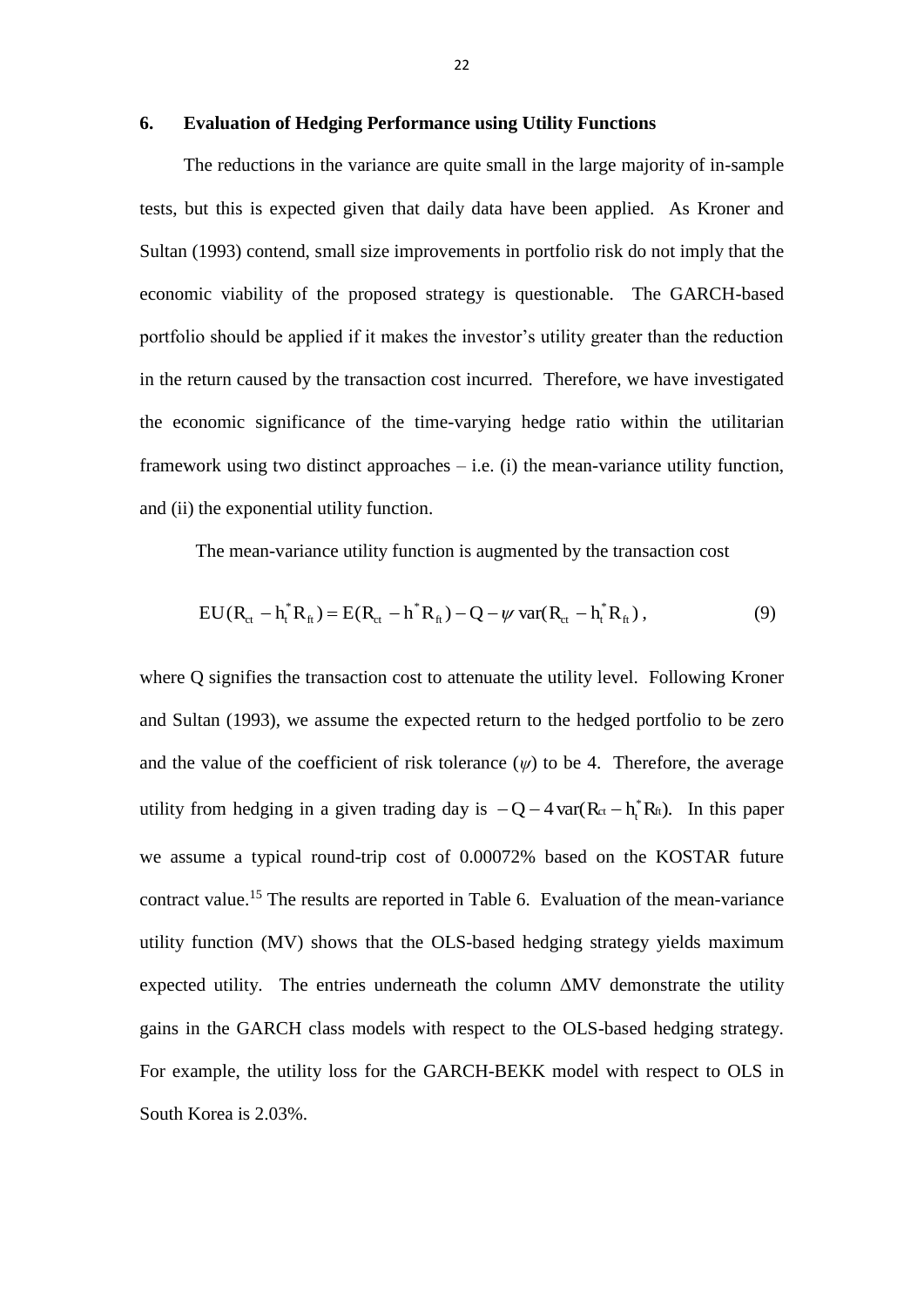#### **6. Evaluation of Hedging Performance using Utility Functions**

The reductions in the variance are quite small in the large majority of in-sample tests, but this is expected given that daily data have been applied. As Kroner and Sultan (1993) contend, small size improvements in portfolio risk do not imply that the economic viability of the proposed strategy is questionable. The GARCH-based portfolio should be applied if it makes the investor's utility greater than the reduction in the return caused by the transaction cost incurred. Therefore, we have investigated the economic significance of the time-varying hedge ratio within the utilitarian framework using two distinct approaches – i.e. (i) the mean-variance utility function, and (ii) the exponential utility function.

The mean-variance utility function is augmented by the transaction cost

$$
EU(R_{ct} - h_t^*R_{ft}) = E(R_{ct} - h^*R_{ft}) - Q - \psi \text{ var}(R_{ct} - h_t^*R_{ft}),
$$
\n(9)

where Q signifies the transaction cost to attenuate the utility level. Following Kroner and Sultan (1993), we assume the expected return to the hedged portfolio to be zero and the value of the coefficient of risk tolerance  $(\psi)$  to be 4. Therefore, the average utility from hedging in a given trading day is  $-Q-4$  var $(R_{ct} - h_t^* R_{ft})$ . In this paper we assume a typical round-trip cost of 0.00072% based on the KOSTAR future contract value.<sup>15</sup> The results are reported in Table 6. Evaluation of the mean-variance utility function (MV) shows that the OLS-based hedging strategy yields maximum expected utility. The entries underneath the column ∆MV demonstrate the utility gains in the GARCH class models with respect to the OLS-based hedging strategy. For example, the utility loss for the GARCH-BEKK model with respect to OLS in South Korea is 2.03%.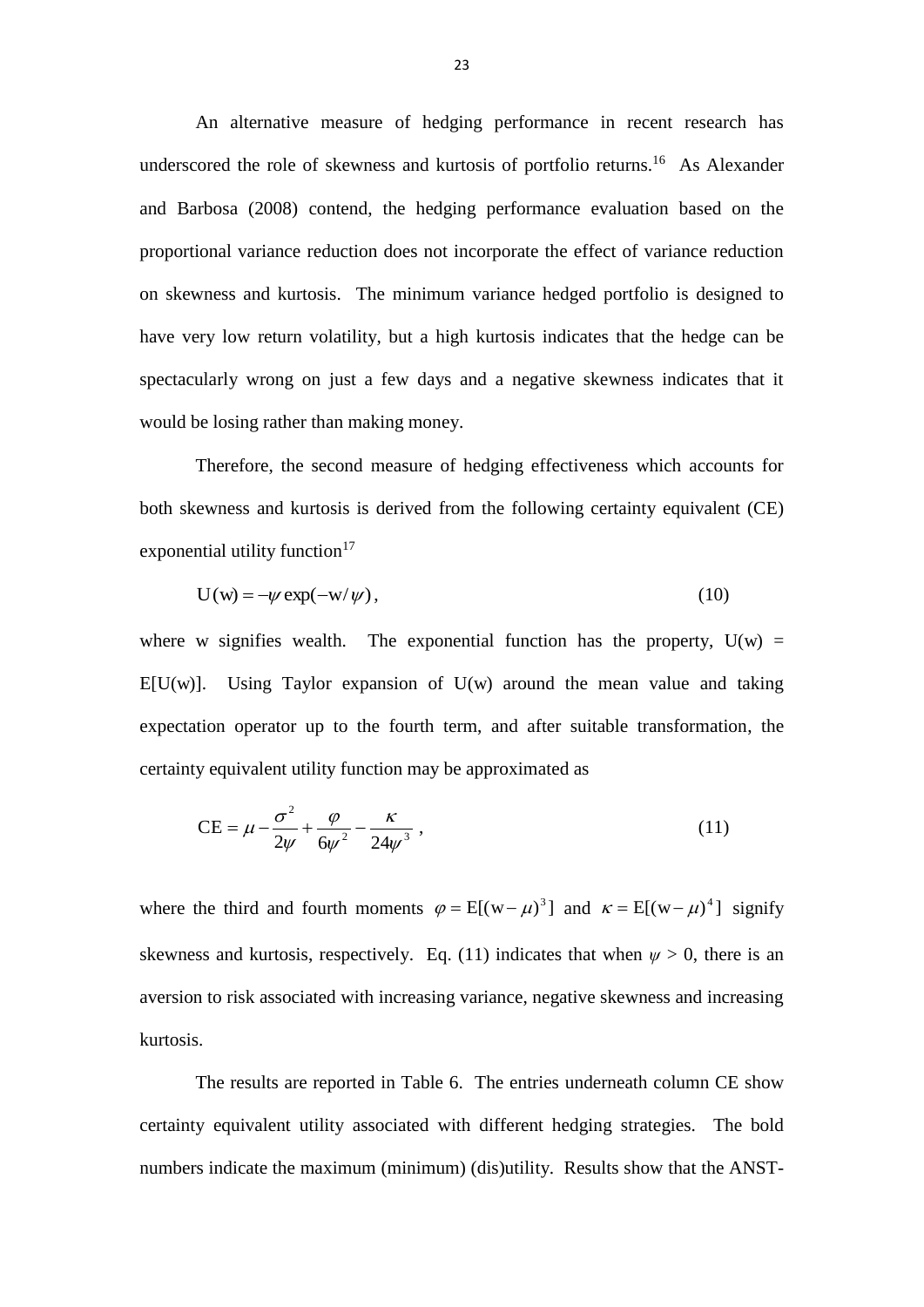An alternative measure of hedging performance in recent research has underscored the role of skewness and kurtosis of portfolio returns.<sup>16</sup> As Alexander and Barbosa (2008) contend, the hedging performance evaluation based on the proportional variance reduction does not incorporate the effect of variance reduction on skewness and kurtosis. The minimum variance hedged portfolio is designed to have very low return volatility, but a high kurtosis indicates that the hedge can be spectacularly wrong on just a few days and a negative skewness indicates that it would be losing rather than making money.

Therefore, the second measure of hedging effectiveness which accounts for both skewness and kurtosis is derived from the following certainty equivalent (CE) exponential utility function $17$ 

$$
U(w) = -\psi \exp(-w/\psi), \qquad (10)
$$

where w signifies wealth. The exponential function has the property,  $U(w)$  =  $E[U(w)]$ . Using Taylor expansion of U(w) around the mean value and taking expectation operator up to the fourth term, and after suitable transformation, the certainty equivalent utility function may be approximated as

$$
CE = \mu - \frac{\sigma^2}{2\psi} + \frac{\varphi}{6\psi^2} - \frac{\kappa}{24\psi^3} ,\qquad (11)
$$

where the third and fourth moments  $\varphi = E[(w - \mu)^3]$  and  $\kappa = E[(w - \mu)^4]$  signify skewness and kurtosis, respectively. Eq. (11) indicates that when  $\psi > 0$ , there is an aversion to risk associated with increasing variance, negative skewness and increasing kurtosis.

The results are reported in Table 6. The entries underneath column CE show certainty equivalent utility associated with different hedging strategies. The bold numbers indicate the maximum (minimum) (dis)utility. Results show that the ANST-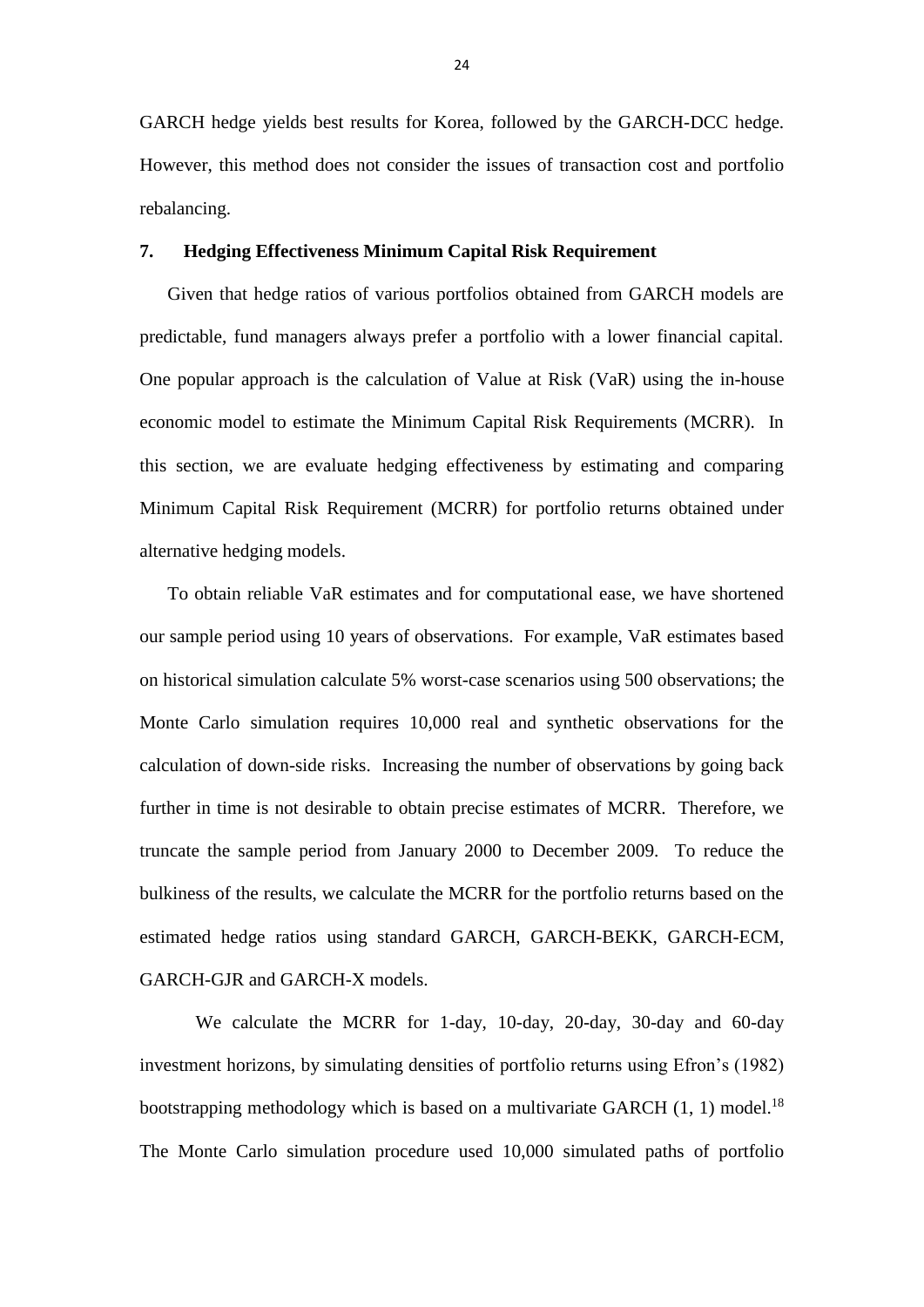GARCH hedge yields best results for Korea, followed by the GARCH-DCC hedge. However, this method does not consider the issues of transaction cost and portfolio rebalancing.

# **7. Hedging Effectiveness Minimum Capital Risk Requirement**

Given that hedge ratios of various portfolios obtained from GARCH models are predictable, fund managers always prefer a portfolio with a lower financial capital. One popular approach is the calculation of Value at Risk (VaR) using the in-house economic model to estimate the Minimum Capital Risk Requirements (MCRR). In this section, we are evaluate hedging effectiveness by estimating and comparing Minimum Capital Risk Requirement (MCRR) for portfolio returns obtained under alternative hedging models.

To obtain reliable VaR estimates and for computational ease, we have shortened our sample period using 10 years of observations. For example, VaR estimates based on historical simulation calculate 5% worst-case scenarios using 500 observations; the Monte Carlo simulation requires 10,000 real and synthetic observations for the calculation of down-side risks. Increasing the number of observations by going back further in time is not desirable to obtain precise estimates of MCRR. Therefore, we truncate the sample period from January 2000 to December 2009. To reduce the bulkiness of the results, we calculate the MCRR for the portfolio returns based on the estimated hedge ratios using standard GARCH, GARCH-BEKK, GARCH-ECM, GARCH-GJR and GARCH-X models.

 We calculate the MCRR for 1-day, 10-day, 20-day, 30-day and 60-day investment horizons, by simulating densities of portfolio returns using Efron's (1982) bootstrapping methodology which is based on a multivariate GARCH  $(1, 1)$  model.<sup>18</sup> The Monte Carlo simulation procedure used 10,000 simulated paths of portfolio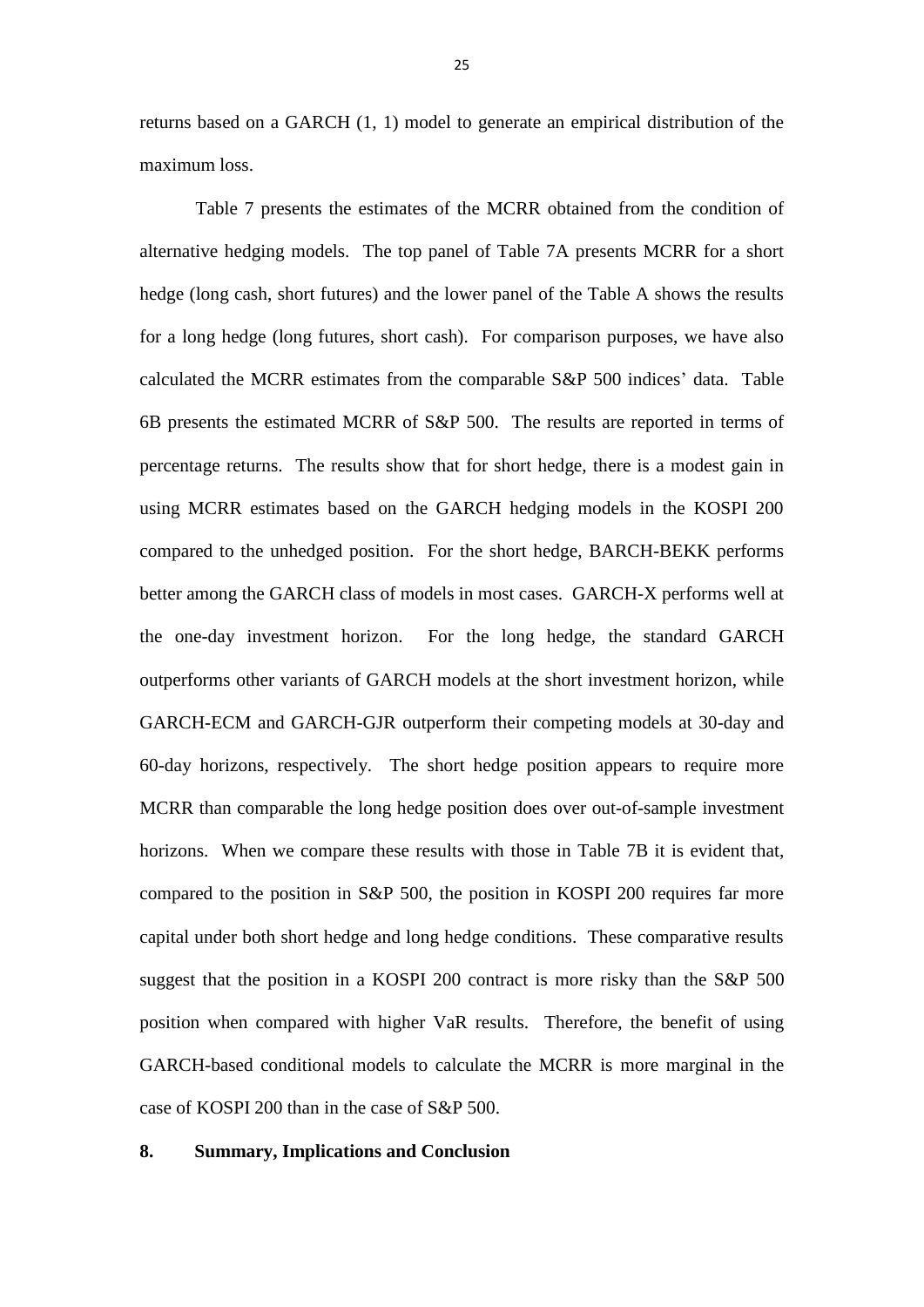returns based on a GARCH (1, 1) model to generate an empirical distribution of the maximum loss.

 Table 7 presents the estimates of the MCRR obtained from the condition of alternative hedging models. The top panel of Table 7A presents MCRR for a short hedge (long cash, short futures) and the lower panel of the Table A shows the results for a long hedge (long futures, short cash). For comparison purposes, we have also calculated the MCRR estimates from the comparable S&P 500 indices' data. Table 6B presents the estimated MCRR of S&P 500. The results are reported in terms of percentage returns. The results show that for short hedge, there is a modest gain in using MCRR estimates based on the GARCH hedging models in the KOSPI 200 compared to the unhedged position. For the short hedge, BARCH-BEKK performs better among the GARCH class of models in most cases. GARCH-X performs well at the one-day investment horizon. For the long hedge, the standard GARCH outperforms other variants of GARCH models at the short investment horizon, while GARCH-ECM and GARCH-GJR outperform their competing models at 30-day and 60-day horizons, respectively. The short hedge position appears to require more MCRR than comparable the long hedge position does over out-of-sample investment horizons. When we compare these results with those in Table 7B it is evident that, compared to the position in S&P 500, the position in KOSPI 200 requires far more capital under both short hedge and long hedge conditions. These comparative results suggest that the position in a KOSPI 200 contract is more risky than the S&P 500 position when compared with higher VaR results. Therefore, the benefit of using GARCH-based conditional models to calculate the MCRR is more marginal in the case of KOSPI 200 than in the case of S&P 500.

# **8. Summary, Implications and Conclusion**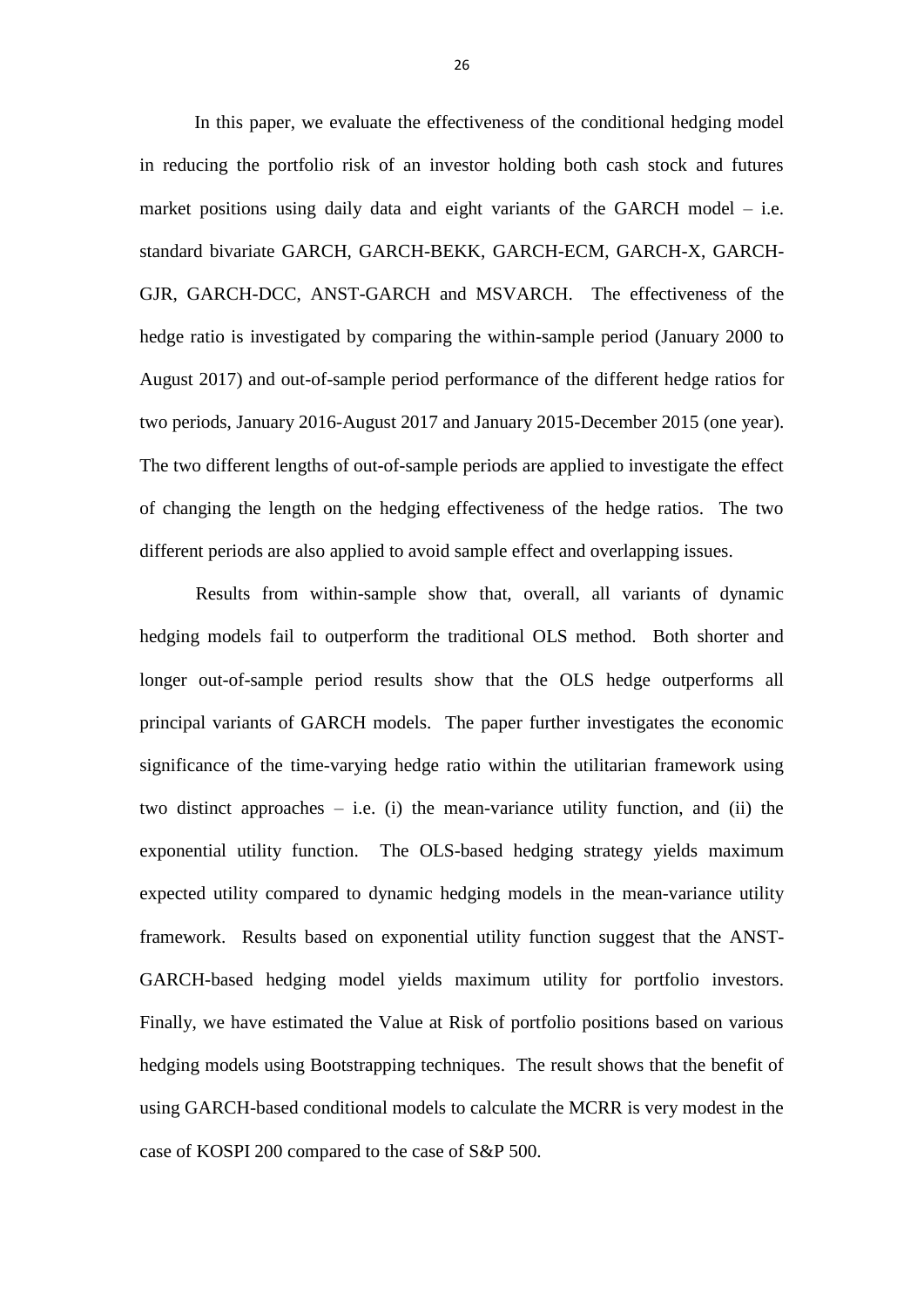In this paper, we evaluate the effectiveness of the conditional hedging model in reducing the portfolio risk of an investor holding both cash stock and futures market positions using daily data and eight variants of the GARCH model – i.e. standard bivariate GARCH, GARCH-BEKK, GARCH-ECM, GARCH-X, GARCH-GJR, GARCH-DCC, ANST-GARCH and MSVARCH. The effectiveness of the hedge ratio is investigated by comparing the within-sample period (January 2000 to August 2017) and out-of-sample period performance of the different hedge ratios for two periods, January 2016-August 2017 and January 2015-December 2015 (one year). The two different lengths of out-of-sample periods are applied to investigate the effect of changing the length on the hedging effectiveness of the hedge ratios. The two different periods are also applied to avoid sample effect and overlapping issues.

 Results from within-sample show that, overall, all variants of dynamic hedging models fail to outperform the traditional OLS method. Both shorter and longer out-of-sample period results show that the OLS hedge outperforms all principal variants of GARCH models. The paper further investigates the economic significance of the time-varying hedge ratio within the utilitarian framework using two distinct approaches  $-$  i.e. (i) the mean-variance utility function, and (ii) the exponential utility function. The OLS-based hedging strategy yields maximum expected utility compared to dynamic hedging models in the mean-variance utility framework. Results based on exponential utility function suggest that the ANST-GARCH-based hedging model yields maximum utility for portfolio investors. Finally, we have estimated the Value at Risk of portfolio positions based on various hedging models using Bootstrapping techniques. The result shows that the benefit of using GARCH-based conditional models to calculate the MCRR is very modest in the case of KOSPI 200 compared to the case of S&P 500.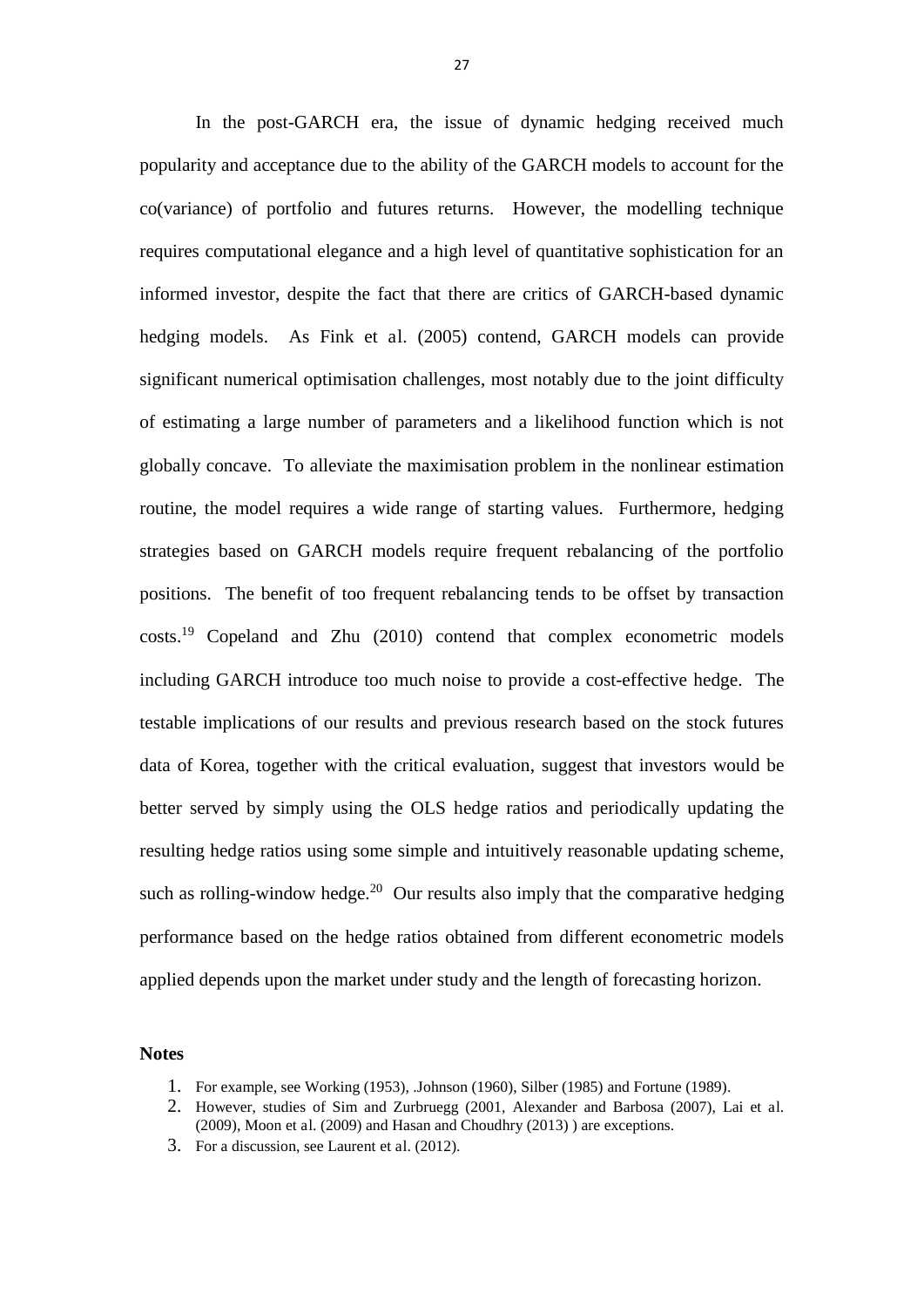In the post-GARCH era, the issue of dynamic hedging received much popularity and acceptance due to the ability of the GARCH models to account for the co(variance) of portfolio and futures returns. However, the modelling technique requires computational elegance and a high level of quantitative sophistication for an informed investor, despite the fact that there are critics of GARCH-based dynamic hedging models. As Fink et al. (2005) contend, GARCH models can provide significant numerical optimisation challenges, most notably due to the joint difficulty of estimating a large number of parameters and a likelihood function which is not globally concave. To alleviate the maximisation problem in the nonlinear estimation routine, the model requires a wide range of starting values. Furthermore, hedging strategies based on GARCH models require frequent rebalancing of the portfolio positions. The benefit of too frequent rebalancing tends to be offset by transaction costs.<sup>19</sup> Copeland and Zhu (2010) contend that complex econometric models including GARCH introduce too much noise to provide a cost-effective hedge. The testable implications of our results and previous research based on the stock futures data of Korea, together with the critical evaluation, suggest that investors would be better served by simply using the OLS hedge ratios and periodically updating the resulting hedge ratios using some simple and intuitively reasonable updating scheme, such as rolling-window hedge.<sup>20</sup> Our results also imply that the comparative hedging performance based on the hedge ratios obtained from different econometric models applied depends upon the market under study and the length of forecasting horizon.

#### **Notes**

- 1. For example, see Working (1953), .Johnson (1960), Silber (1985) and Fortune (1989).
- 2. However, studies of Sim and Zurbruegg (2001, Alexander and Barbosa (2007), Lai et al. (2009), Moon et al. (2009) and Hasan and Choudhry (2013) ) are exceptions.
- 3. For a discussion, see Laurent et al. (2012).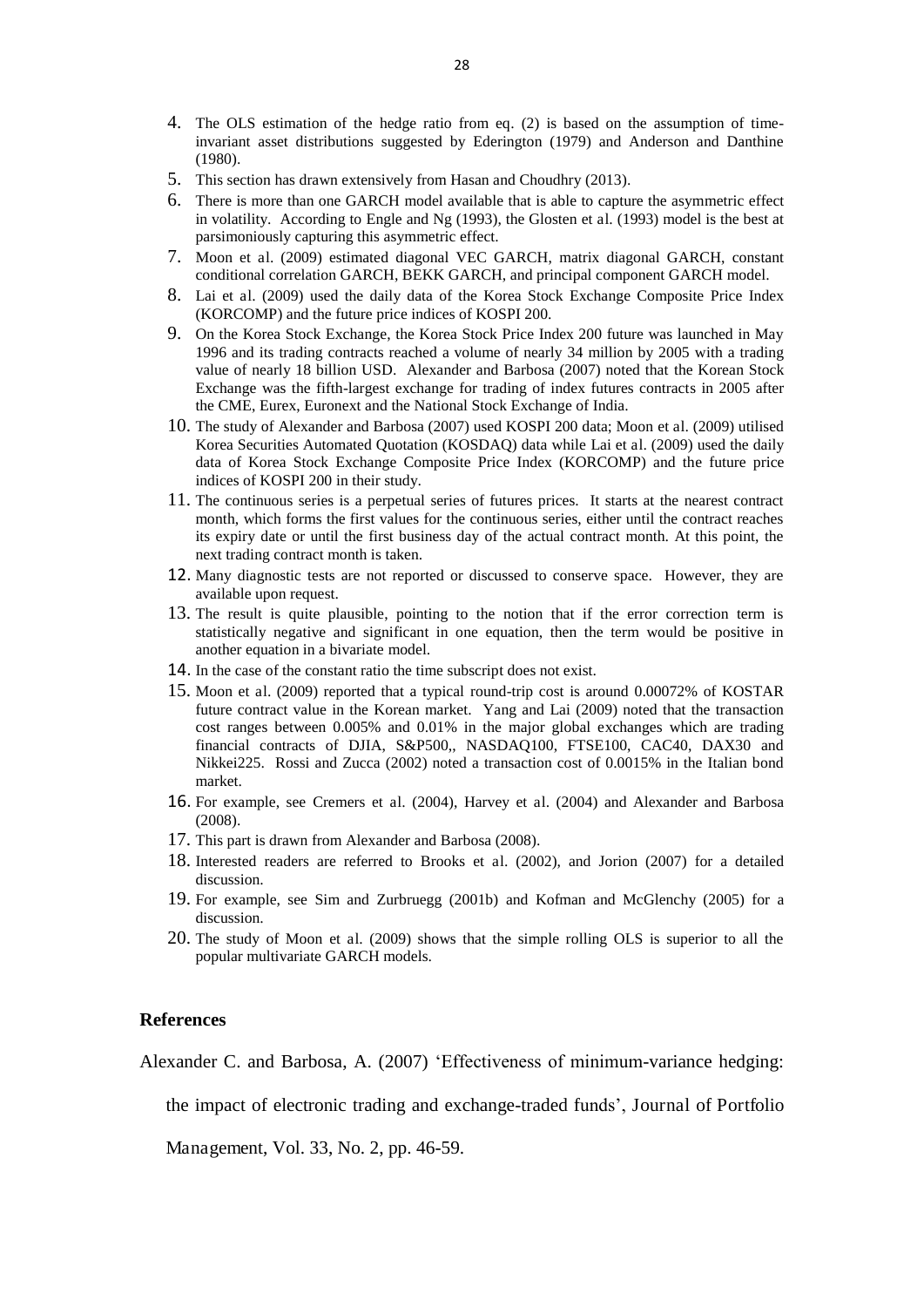- 4. The OLS estimation of the hedge ratio from eq. (2) is based on the assumption of timeinvariant asset distributions suggested by Ederington (1979) and Anderson and Danthine (1980).
- 5. This section has drawn extensively from Hasan and Choudhry (2013).
- 6. There is more than one GARCH model available that is able to capture the asymmetric effect in volatility. According to Engle and Ng (1993), the Glosten et al. (1993) model is the best at parsimoniously capturing this asymmetric effect.
- 7. Moon et al. (2009) estimated diagonal VEC GARCH, matrix diagonal GARCH, constant conditional correlation GARCH, BEKK GARCH, and principal component GARCH model.
- 8. Lai et al. (2009) used the daily data of the Korea Stock Exchange Composite Price Index (KORCOMP) and the future price indices of KOSPI 200.
- 9. On the Korea Stock Exchange, the Korea Stock Price Index 200 future was launched in May 1996 and its trading contracts reached a volume of nearly 34 million by 2005 with a trading value of nearly 18 billion USD. Alexander and Barbosa (2007) noted that the Korean Stock Exchange was the fifth-largest exchange for trading of index futures contracts in 2005 after the CME, Eurex, Euronext and the National Stock Exchange of India.
- 10. The study of Alexander and Barbosa (2007) used KOSPI 200 data; Moon et al. (2009) utilised Korea Securities Automated Quotation (KOSDAQ) data while Lai et al. (2009) used the daily data of Korea Stock Exchange Composite Price Index (KORCOMP) and the future price indices of KOSPI 200 in their study.
- 11. The continuous series is a perpetual series of futures prices. It starts at the nearest contract month, which forms the first values for the continuous series, either until the contract reaches its expiry date or until the first business day of the actual contract month. At this point, the next trading contract month is taken.
- 12. Many diagnostic tests are not reported or discussed to conserve space. However, they are available upon request.
- 13. The result is quite plausible, pointing to the notion that if the error correction term is statistically negative and significant in one equation, then the term would be positive in another equation in a bivariate model.
- 14. In the case of the constant ratio the time subscript does not exist.
- 15. Moon et al. (2009) reported that a typical round-trip cost is around 0.00072% of KOSTAR future contract value in the Korean market. Yang and Lai (2009) noted that the transaction cost ranges between 0.005% and 0.01% in the major global exchanges which are trading financial contracts of DJIA, S&P500,, NASDAQ100, FTSE100, CAC40, DAX30 and Nikkei225. Rossi and Zucca (2002) noted a transaction cost of 0.0015% in the Italian bond market.
- 16. For example, see Cremers et al. (2004), Harvey et al. (2004) and Alexander and Barbosa (2008).
- 17. This part is drawn from Alexander and Barbosa (2008).
- 18. Interested readers are referred to Brooks et al. (2002), and Jorion (2007) for a detailed discussion.
- 19. For example, see Sim and Zurbruegg (2001b) and Kofman and McGlenchy (2005) for a discussion.
- 20. The study of Moon et al. (2009) shows that the simple rolling OLS is superior to all the popular multivariate GARCH models.

#### **References**

Alexander C. and Barbosa, A. (2007) 'Effectiveness of minimum-variance hedging:

the impact of electronic trading and exchange-traded funds', Journal of Portfolio

Management, Vol. 33, No. 2, pp. 46-59.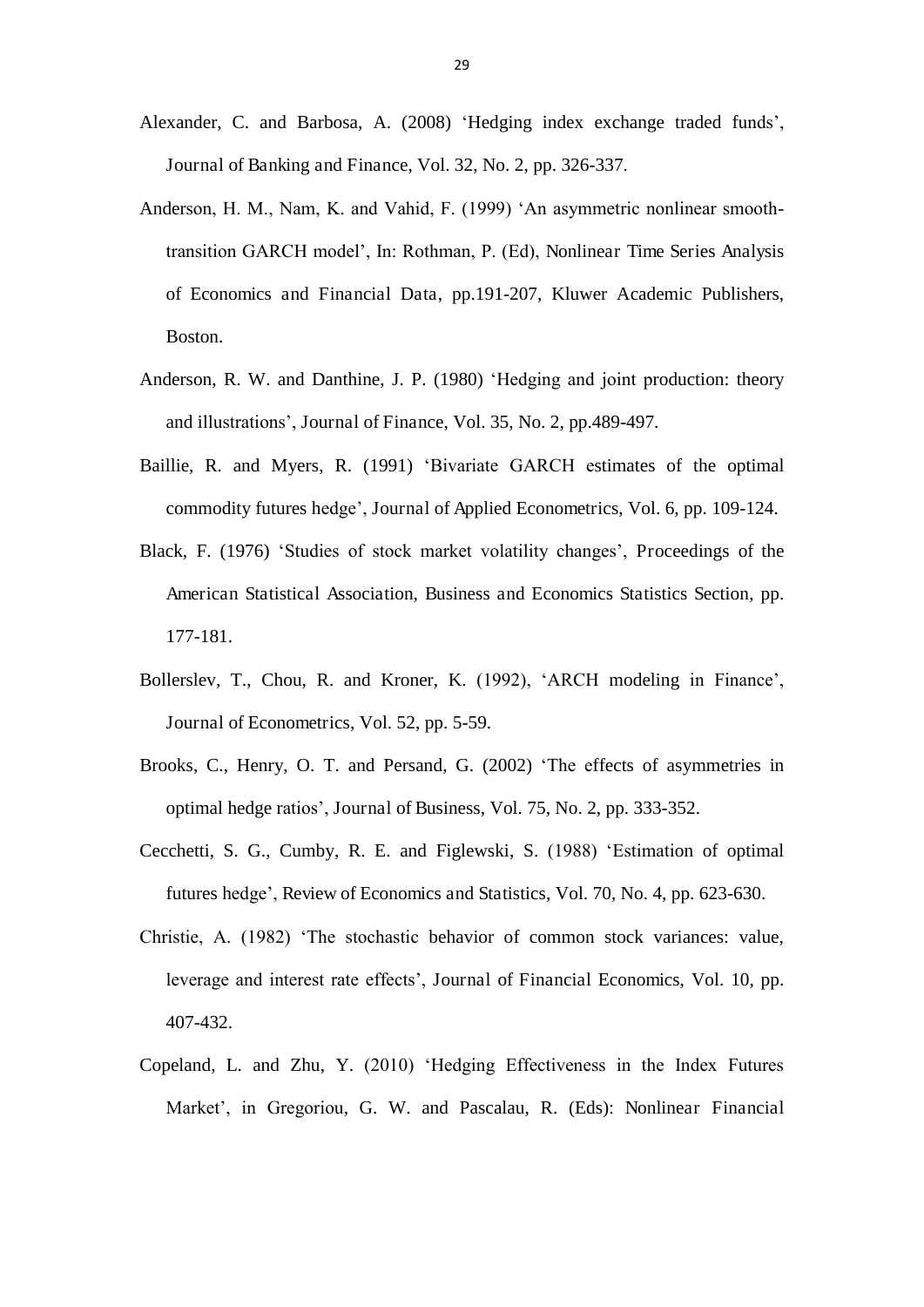- Alexander, C. and Barbosa, A. (2008) 'Hedging index exchange traded funds', Journal of Banking and Finance, Vol. 32, No. 2, pp. 326-337.
- Anderson, H. M., Nam, K. and Vahid, F. (1999) 'An asymmetric nonlinear smoothtransition GARCH model', In: Rothman, P. (Ed), Nonlinear Time Series Analysis of Economics and Financial Data, pp.191-207, Kluwer Academic Publishers, Boston.
- Anderson, R. W. and Danthine, J. P. (1980) 'Hedging and joint production: theory and illustrations', Journal of Finance, Vol. 35, No. 2, pp.489-497.
- Baillie, R. and Myers, R. (1991) 'Bivariate GARCH estimates of the optimal commodity futures hedge', Journal of Applied Econometrics, Vol. 6, pp. 109-124.
- Black, F. (1976) 'Studies of stock market volatility changes', Proceedings of the American Statistical Association, Business and Economics Statistics Section, pp. 177-181.
- Bollerslev, T., Chou, R. and Kroner, K. (1992), 'ARCH modeling in Finance', Journal of Econometrics, Vol. 52, pp. 5-59.
- Brooks, C., Henry, O. T. and Persand, G. (2002) 'The effects of asymmetries in optimal hedge ratios', Journal of Business, Vol. 75, No. 2, pp. 333-352.
- Cecchetti, S. G., Cumby, R. E. and Figlewski, S. (1988) 'Estimation of optimal futures hedge', Review of Economics and Statistics, Vol. 70, No. 4, pp. 623-630.
- Christie, A. (1982) 'The stochastic behavior of common stock variances: value, leverage and interest rate effects', Journal of Financial Economics, Vol. 10, pp. 407-432.
- Copeland, L. and Zhu, Y. (2010) 'Hedging Effectiveness in the Index Futures Market', in Gregoriou, G. W. and Pascalau, R. (Eds): Nonlinear Financial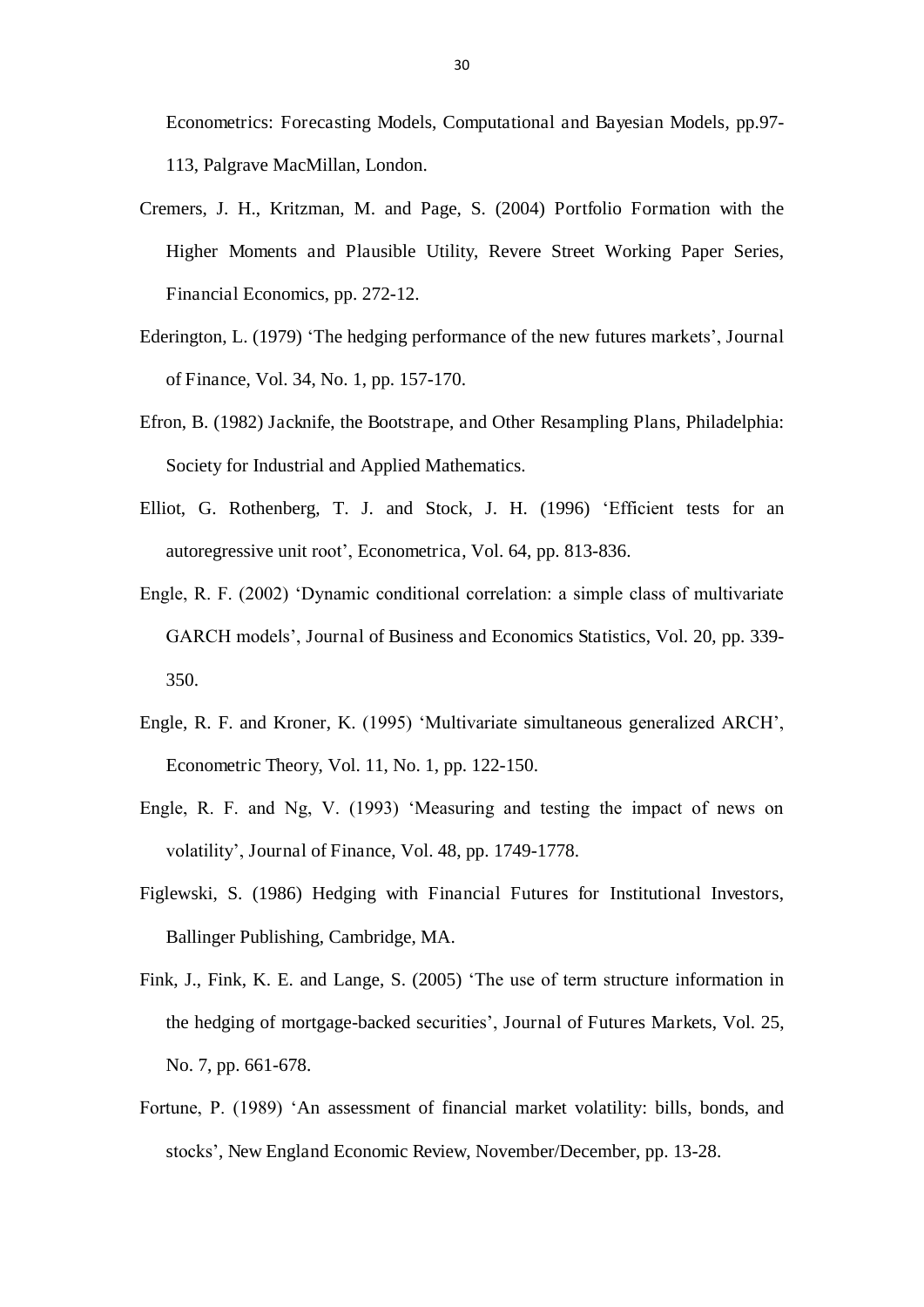Econometrics: Forecasting Models, Computational and Bayesian Models, pp.97- 113, Palgrave MacMillan, London.

- Cremers, J. H., Kritzman, M. and Page, S. (2004) Portfolio Formation with the Higher Moments and Plausible Utility, Revere Street Working Paper Series, Financial Economics, pp. 272-12.
- Ederington, L. (1979) 'The hedging performance of the new futures markets', Journal of Finance, Vol. 34, No. 1, pp. 157-170.
- Efron, B. (1982) Jacknife, the Bootstrape, and Other Resampling Plans, Philadelphia: Society for Industrial and Applied Mathematics.
- Elliot, G. Rothenberg, T. J. and Stock, J. H. (1996) 'Efficient tests for an autoregressive unit root', Econometrica, Vol. 64, pp. 813-836.
- Engle, R. F. (2002) 'Dynamic conditional correlation: a simple class of multivariate GARCH models', Journal of Business and Economics Statistics, Vol. 20, pp. 339- 350.
- Engle, R. F. and Kroner, K. (1995) 'Multivariate simultaneous generalized ARCH', Econometric Theory, Vol. 11, No. 1, pp. 122-150.
- Engle, R. F. and Ng, V. (1993) 'Measuring and testing the impact of news on volatility', Journal of Finance, Vol. 48, pp. 1749-1778.
- Figlewski, S. (1986) Hedging with Financial Futures for Institutional Investors, Ballinger Publishing, Cambridge, MA.
- Fink, J., Fink, K. E. and Lange, S. (2005) 'The use of term structure information in the hedging of mortgage-backed securities', Journal of Futures Markets, Vol. 25, No. 7, pp. 661-678.
- Fortune, P. (1989) 'An assessment of financial market volatility: bills, bonds, and stocks', New England Economic Review, November/December, pp. 13-28.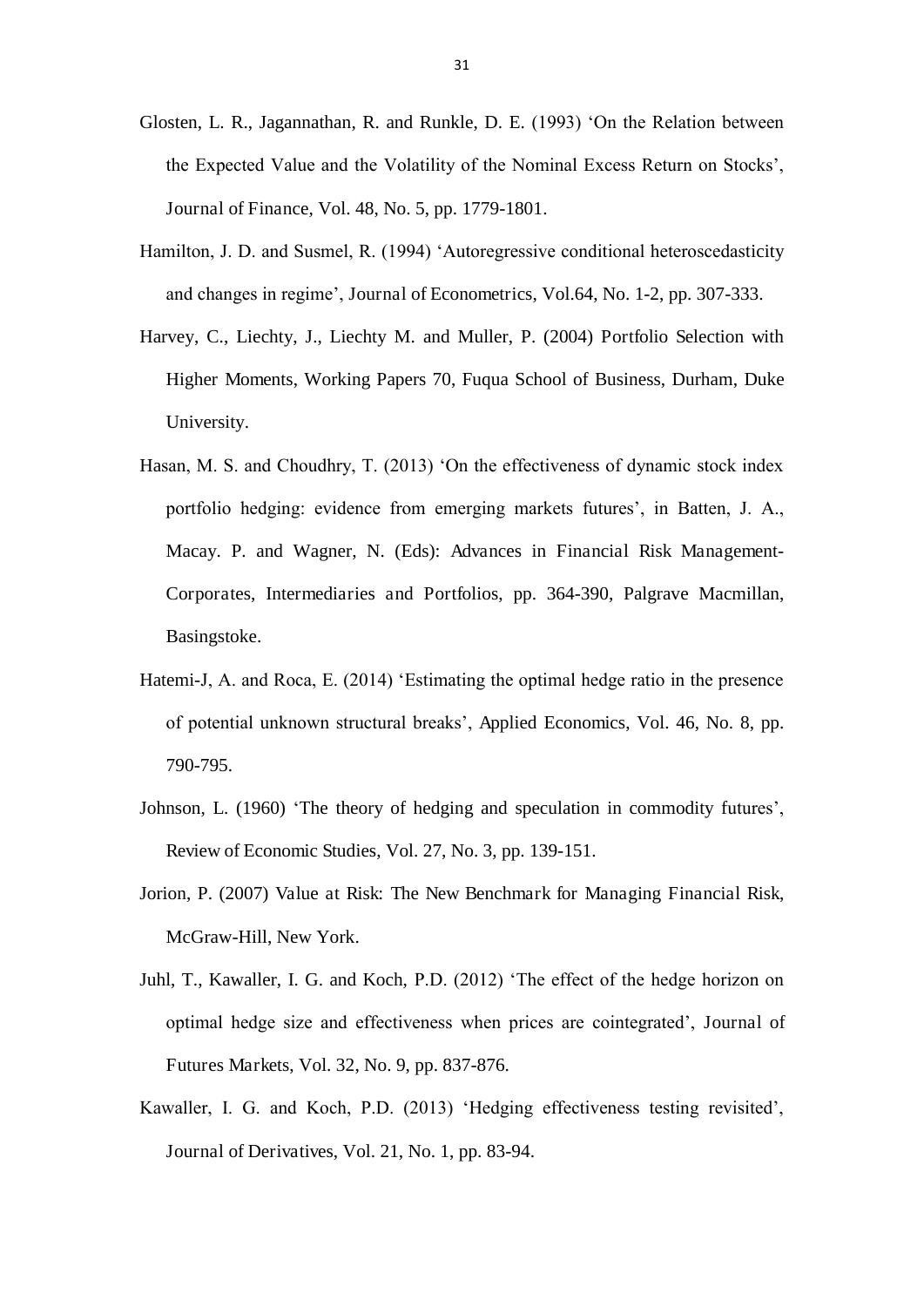- Glosten, L. R., Jagannathan, R. and Runkle, D. E. (1993) 'On the Relation between the Expected Value and the Volatility of the Nominal Excess Return on Stocks', Journal of Finance, Vol. 48, No. 5, pp. 1779-1801.
- Hamilton, J. D. and Susmel, R. (1994) 'Autoregressive conditional heteroscedasticity and changes in regime', Journal of Econometrics, Vol.64, No. 1-2, pp. 307-333.
- Harvey, C., Liechty, J., Liechty M. and Muller, P. (2004) Portfolio Selection with Higher Moments, Working Papers 70, Fuqua School of Business, Durham, Duke University.
- Hasan, M. S. and Choudhry, T. (2013) 'On the effectiveness of dynamic stock index portfolio hedging: evidence from emerging markets futures', in Batten, J. A., Macay. P. and Wagner, N. (Eds): Advances in Financial Risk Management-Corporates, Intermediaries and Portfolios, pp. 364-390, Palgrave Macmillan, Basingstoke.
- Hatemi-J, A. and Roca, E. (2014) 'Estimating the optimal hedge ratio in the presence of potential unknown structural breaks', Applied Economics, Vol. 46, No. 8, pp. 790-795.
- Johnson, L. (1960) 'The theory of hedging and speculation in commodity futures', Review of Economic Studies, Vol. 27, No. 3, pp. 139-151.
- Jorion, P. (2007) Value at Risk: The New Benchmark for Managing Financial Risk, McGraw-Hill, New York.
- Juhl, T., Kawaller, I. G. and Koch, P.D. (2012) 'The effect of the hedge horizon on optimal hedge size and effectiveness when prices are cointegrated', Journal of Futures Markets, Vol. 32, No. 9, pp. 837-876.
- Kawaller, I. G. and Koch, P.D. (2013) 'Hedging effectiveness testing revisited', Journal of Derivatives, Vol. 21, No. 1, pp. 83-94.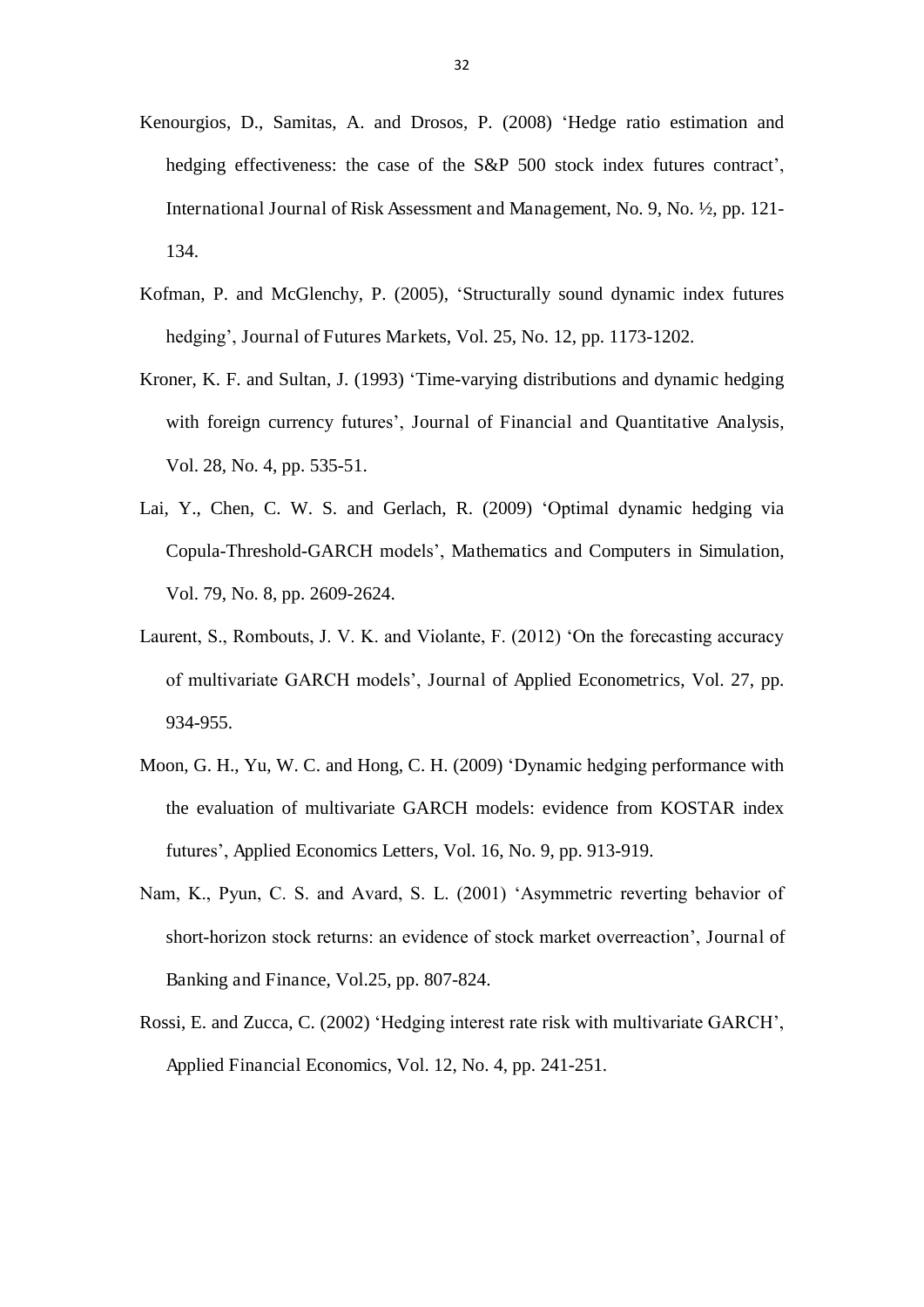- Kenourgios, D., Samitas, A. and Drosos, P. (2008) 'Hedge ratio estimation and hedging effectiveness: the case of the S&P 500 stock index futures contract', International Journal of Risk Assessment and Management, No. 9, No. ½, pp. 121- 134.
- Kofman, P. and McGlenchy, P. (2005), 'Structurally sound dynamic index futures hedging', Journal of Futures Markets, Vol. 25, No. 12, pp. 1173-1202.
- Kroner, K. F. and Sultan, J. (1993) 'Time-varying distributions and dynamic hedging with foreign currency futures', Journal of Financial and Quantitative Analysis, Vol. 28, No. 4, pp. 535-51.
- Lai, Y., Chen, C. W. S. and Gerlach, R. (2009) 'Optimal dynamic hedging via Copula-Threshold-GARCH models', Mathematics and Computers in Simulation, Vol. 79, No. 8, pp. 2609-2624.
- Laurent, S., Rombouts, J. V. K. and Violante, F. (2012) 'On the forecasting accuracy of multivariate GARCH models', Journal of Applied Econometrics, Vol. 27, pp. 934-955.
- Moon, G. H., Yu, W. C. and Hong, C. H. (2009) 'Dynamic hedging performance with the evaluation of multivariate GARCH models: evidence from KOSTAR index futures', Applied Economics Letters, Vol. 16, No. 9, pp. 913-919.
- Nam, K., Pyun, C. S. and Avard, S. L. (2001) 'Asymmetric reverting behavior of short-horizon stock returns: an evidence of stock market overreaction', Journal of Banking and Finance, Vol.25, pp. 807-824.
- Rossi, E. and Zucca, C. (2002) 'Hedging interest rate risk with multivariate GARCH', Applied Financial Economics, Vol. 12, No. 4, pp. 241-251.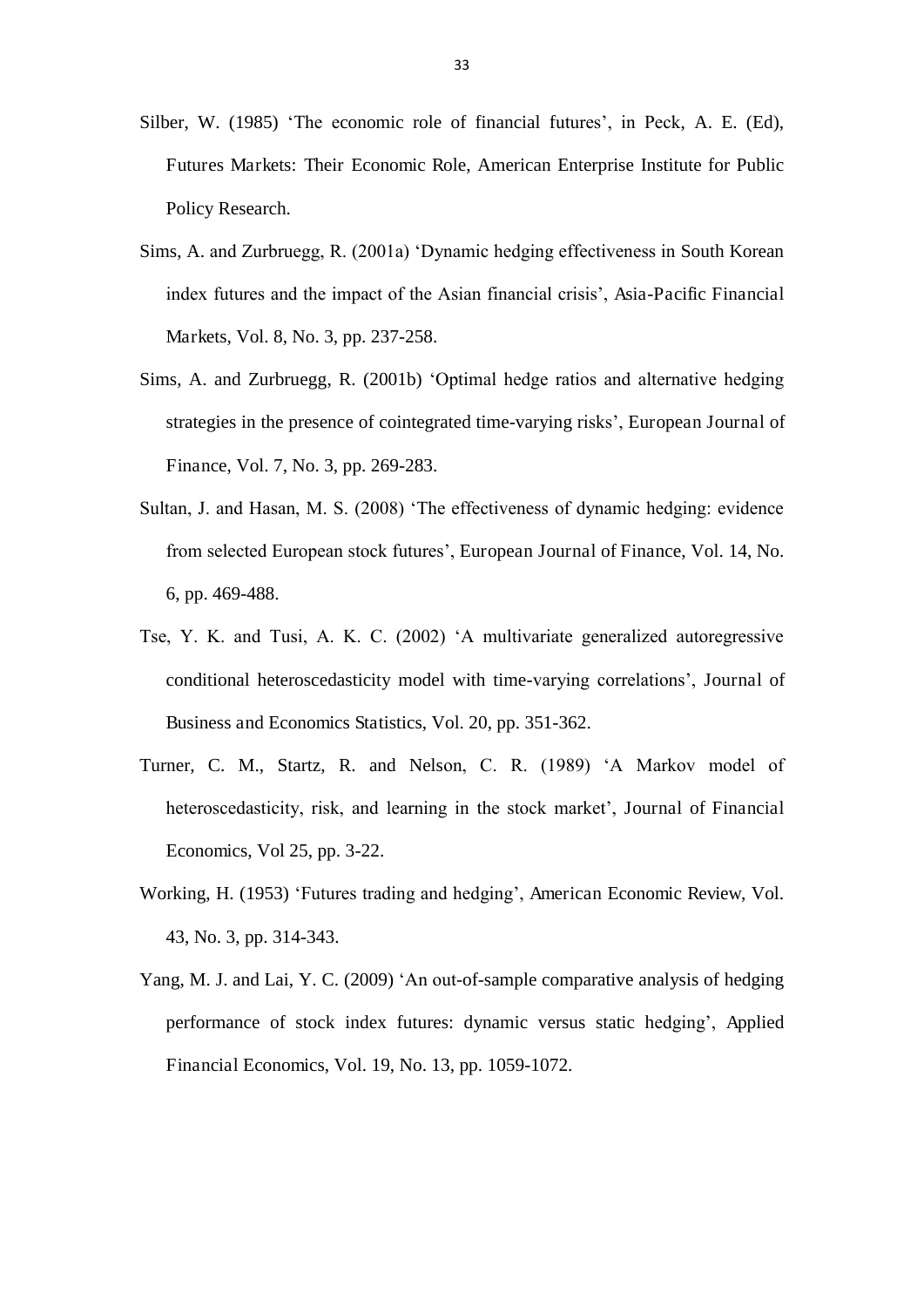- Silber, W. (1985) 'The economic role of financial futures', in Peck, A. E. (Ed), Futures Markets: Their Economic Role, American Enterprise Institute for Public Policy Research.
- Sims, A. and Zurbruegg, R. (2001a) 'Dynamic hedging effectiveness in South Korean index futures and the impact of the Asian financial crisis', Asia-Pacific Financial Markets, Vol. 8, No. 3, pp. 237-258.
- Sims, A. and Zurbruegg, R. (2001b) 'Optimal hedge ratios and alternative hedging strategies in the presence of cointegrated time-varying risks', European Journal of Finance, Vol. 7, No. 3, pp. 269-283.
- Sultan, J. and Hasan, M. S. (2008) 'The effectiveness of dynamic hedging: evidence from selected European stock futures', European Journal of Finance, Vol. 14, No. 6, pp. 469-488.
- Tse, Y. K. and Tusi, A. K. C. (2002) 'A multivariate generalized autoregressive conditional heteroscedasticity model with time-varying correlations', Journal of Business and Economics Statistics, Vol. 20, pp. 351-362.
- Turner, C. M., Startz, R. and Nelson, C. R. (1989) 'A Markov model of heteroscedasticity, risk, and learning in the stock market', Journal of Financial Economics, Vol 25, pp. 3-22.
- Working, H. (1953) 'Futures trading and hedging', American Economic Review, Vol. 43, No. 3, pp. 314-343.
- Yang, M. J. and Lai, Y. C. (2009) 'An out-of-sample comparative analysis of hedging performance of stock index futures: dynamic versus static hedging', Applied Financial Economics, Vol. 19, No. 13, pp. 1059-1072.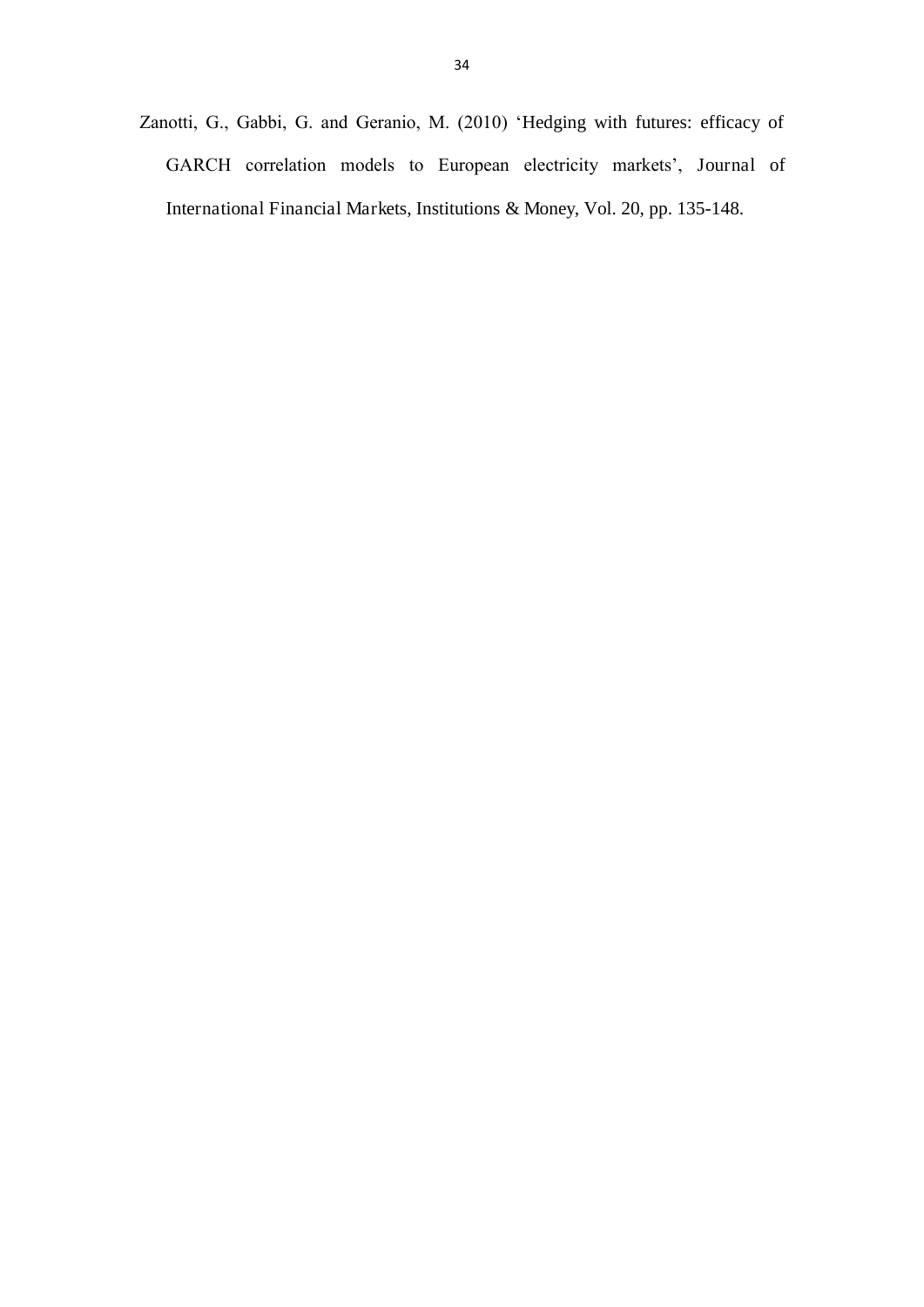Zanotti, G., Gabbi, G. and Geranio, M. (2010) 'Hedging with futures: efficacy of GARCH correlation models to European electricity markets', Journal of International Financial Markets, Institutions & Money, Vol. 20, pp. 135-148.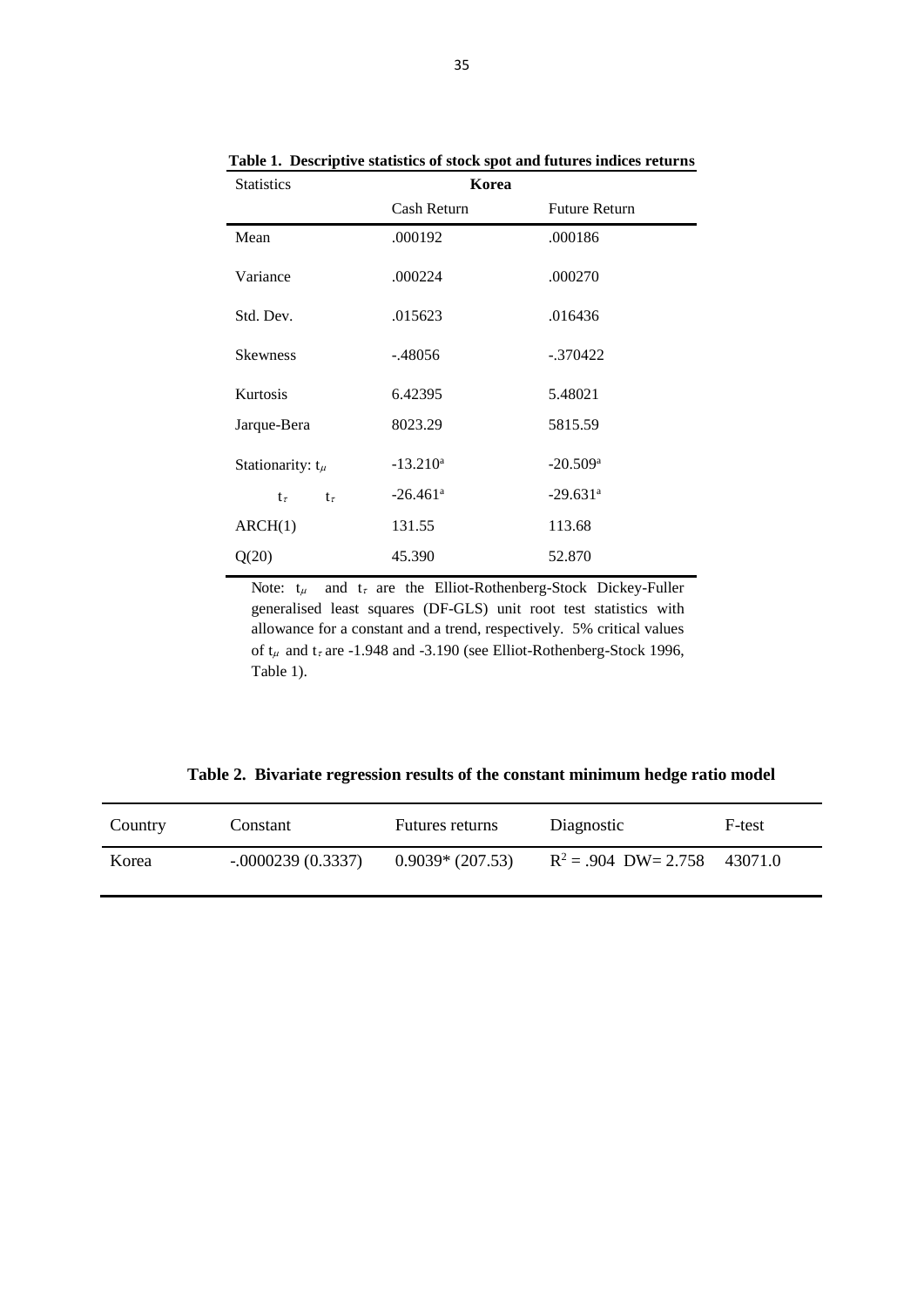| <b>Statistics</b>        | Korea                  |                        |  |  |  |
|--------------------------|------------------------|------------------------|--|--|--|
|                          | Cash Return            | <b>Future Return</b>   |  |  |  |
| Mean                     | .000192                | .000186                |  |  |  |
| Variance                 | .000224                | .000270                |  |  |  |
| Std. Dev.                | .015623                | .016436                |  |  |  |
| <b>Skewness</b>          | $-.48056$              | $-.370422$             |  |  |  |
| <b>Kurtosis</b>          | 6.42395                | 5.48021                |  |  |  |
| Jarque-Bera              | 8023.29                | 5815.59                |  |  |  |
| Stationarity: $t_{\mu}$  | $-13.210^a$            | $-20.509$ <sup>a</sup> |  |  |  |
| $t_{\tau}$<br>$t_{\tau}$ | $-26.461$ <sup>a</sup> | $-29.631$ <sup>a</sup> |  |  |  |
| ARCH(1)                  | 131.55                 | 113.68                 |  |  |  |
| Q(20)                    | 45.390                 | 52.870                 |  |  |  |

**Table 1. Descriptive statistics of stock spot and futures indices returns** 

Note:  $t_{\mu}$  and  $t_{\tau}$  are the Elliot-Rothenberg-Stock Dickey-Fuller generalised least squares (DF-GLS) unit root test statistics with allowance for a constant and a trend, respectively. 5% critical values of  $t_{\mu}$  and  $t_{\tau}$  are -1.948 and -3.190 (see Elliot-Rothenberg-Stock 1996, Table 1).

**Table 2. Bivariate regression results of the constant minimum hedge ratio model** 

| Country | Constant            | Futures returns   | Diagnostic             | F-test  |
|---------|---------------------|-------------------|------------------------|---------|
| Korea   | $-.0000239(0.3337)$ | $0.9039*(207.53)$ | $R^2 = .904$ DW= 2.758 | 43071.0 |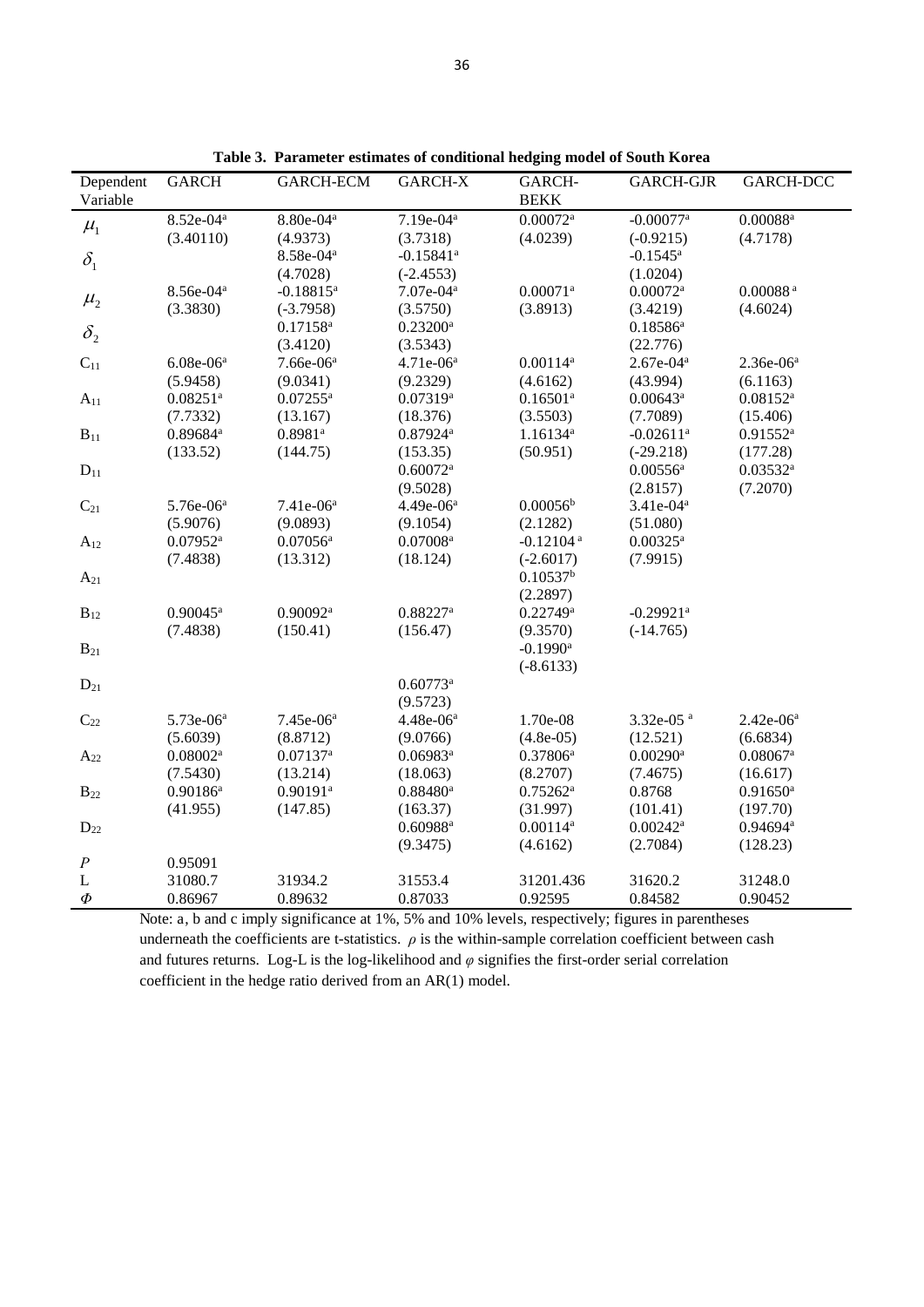| Dependent               | <b>GARCH</b>           | <b>GARCH-ECM</b>        | GARCH-X                 | GARCH-                  | <b>GARCH-GJR</b>        | GARCH-DCC              |
|-------------------------|------------------------|-------------------------|-------------------------|-------------------------|-------------------------|------------------------|
| Variable                |                        |                         |                         | <b>BEKK</b>             |                         |                        |
| $\mu_{\text{\tiny{l}}}$ | $8.52e-04^a$           | $8.80e-04a$             | $7.19e-04^a$            | $0.00072$ <sup>a</sup>  | $-0.00077$ <sup>a</sup> | $0.00088$ <sup>a</sup> |
|                         | (3.40110)              | (4.9373)                | (3.7318)                | (4.0239)                | $(-0.9215)$             | (4.7178)               |
| $\delta_{\rm i}$        |                        | 8.58e-04 <sup>a</sup>   | $-0.15841$ <sup>a</sup> |                         | $-0.1545$ <sup>a</sup>  |                        |
|                         |                        | (4.7028)                | $(-2.4553)$             |                         | (1.0204)                |                        |
| $\mu_{2}$               | 8.56e-04 <sup>a</sup>  | $-0.18815$ <sup>a</sup> | 7.07e-04 <sup>a</sup>   | $0.00071$ <sup>a</sup>  | $0.00072$ <sup>a</sup>  | $0.00088$ $^{\rm a}$   |
|                         | (3.3830)               | $(-3.7958)$             | (3.5750)                | (3.8913)                | (3.4219)                | (4.6024)               |
| $\delta_{2}$            |                        | $0.17158^a$             | $0.23200$ <sup>a</sup>  |                         | $0.18586^a$             |                        |
|                         |                        | (3.4120)                | (3.5343)                |                         | (22.776)                |                        |
| $C_{11}$                | $6.08e-06a$            | $7.66e-06a$             | $4.71e-06^a$            | $0.00114^a$             | $2.67e-04^a$            | $2.36e-06^a$           |
|                         | (5.9458)               | (9.0341)                | (9.2329)                | (4.6162)                | (43.994)                | (6.1163)               |
| $A_{11}$                | $0.08251$ <sup>a</sup> | $0.07255^{\mathrm{a}}$  | $0.07319^{a}$           | $0.16501^a$             | $0.00643^a$             | $0.08152^a$            |
|                         | (7.7332)               | (13.167)                | (18.376)                | (3.5503)                | (7.7089)                | (15.406)               |
| $B_{11}$                | 0.89684 <sup>a</sup>   | $0.8981$ <sup>a</sup>   | 0.87924a                | 1.16134 <sup>a</sup>    | $-0.02611$ <sup>a</sup> | $0.91552^a$            |
|                         | (133.52)               | (144.75)                | (153.35)                | (50.951)                | $(-29.218)$             | (177.28)               |
| $D_{11}$                |                        |                         | $0.60072$ <sup>a</sup>  |                         | $0.00556^{\rm a}$       | $0.03532^a$            |
|                         |                        |                         | (9.5028)                |                         | (2.8157)                | (7.2070)               |
| $C_{21}$                | 5.76e-06 <sup>a</sup>  | 7.41e-06 <sup>a</sup>   | 4.49e-06 <sup>a</sup>   | 0.00056 <sup>b</sup>    | $3.41e-04^a$            |                        |
|                         | (5.9076)               | (9.0893)                | (9.1054)                | (2.1282)                | (51.080)                |                        |
| $A_{12}$                | 0.07952a               | $0.07056$ <sup>a</sup>  | $0.07008$ <sup>a</sup>  | $-0.12104$ <sup>a</sup> | $0.00325^a$             |                        |
|                         | (7.4838)               | (13.312)                | (18.124)                | $(-2.6017)$             | (7.9915)                |                        |
| $A_{21}$                |                        |                         |                         | $0.10537^{b}$           |                         |                        |
|                         |                        |                         |                         | (2.2897)                |                         |                        |
| $B_{12}$                | $0.90045^{\text{a}}$   | $0.90092$ <sup>a</sup>  | $0.88227$ <sup>a</sup>  | $0.22749^a$             | $-0.29921$ <sup>a</sup> |                        |
|                         | (7.4838)               | (150.41)                | (156.47)                | (9.3570)                | $(-14.765)$             |                        |
| $B_{21}$                |                        |                         |                         | $-0.1990$ <sup>a</sup>  |                         |                        |
|                         |                        |                         |                         | $(-8.6133)$             |                         |                        |
| $D_{21}$                |                        |                         | 0.60773a                |                         |                         |                        |
|                         |                        |                         | (9.5723)                |                         |                         |                        |
| $C_{22}$                | 5.73e-06 <sup>a</sup>  | 7.45e-06 <sup>a</sup>   | 4.48e-06 <sup>a</sup>   | 1.70e-08                | 3.32e-05 <sup>a</sup>   | $2.42e-06^a$           |
|                         | (5.6039)               | (8.8712)                | (9.0766)                | $(4.8e-05)$             | (12.521)                | (6.6834)               |
| $A_{22}$                | $0.08002$ <sup>a</sup> | $0.07137$ <sup>a</sup>  | $0.06983^a$             | $0.37806^a$             | $0.00290$ <sup>a</sup>  | $0.08067$ <sup>a</sup> |
|                         | (7.5430)               | (13.214)                | (18.063)                | (8.2707)                | (7.4675)                | (16.617)               |
| $B_{22}$                | $0.90186^a$            | $0.90191$ <sup>a</sup>  | 0.88480a                | $0.75262^a$             | 0.8768                  | $0.91650$ <sup>a</sup> |
|                         | (41.955)               | (147.85)                | (163.37)                | (31.997)                | (101.41)                | (197.70)               |
| $D_{22}$                |                        |                         | $0.60988$ <sup>a</sup>  | $0.00114^a$             | $0.00242$ <sup>a</sup>  | $0.94694$ <sup>a</sup> |
|                         |                        |                         | (9.3475)                | (4.6162)                | (2.7084)                | (128.23)               |
| $\cal P$                | 0.95091                |                         |                         |                         |                         |                        |
| $\mathbf L$             | 31080.7                | 31934.2                 | 31553.4                 | 31201.436               | 31620.2                 | 31248.0                |
| $\boldsymbol{\varPhi}$  | 0.86967                | 0.89632                 | 0.87033                 | 0.92595                 | 0.84582                 | 0.90452                |

**Table 3. Parameter estimates of conditional hedging model of South Korea** 

Note: a, b and c imply significance at 1%, 5% and 10% levels, respectively; figures in parentheses underneath the coefficients are t-statistics.  $\rho$  is the within-sample correlation coefficient between cash and futures returns. Log-L is the log-likelihood and  $\varphi$  signifies the first-order serial correlation coefficient in the hedge ratio derived from an AR(1) model.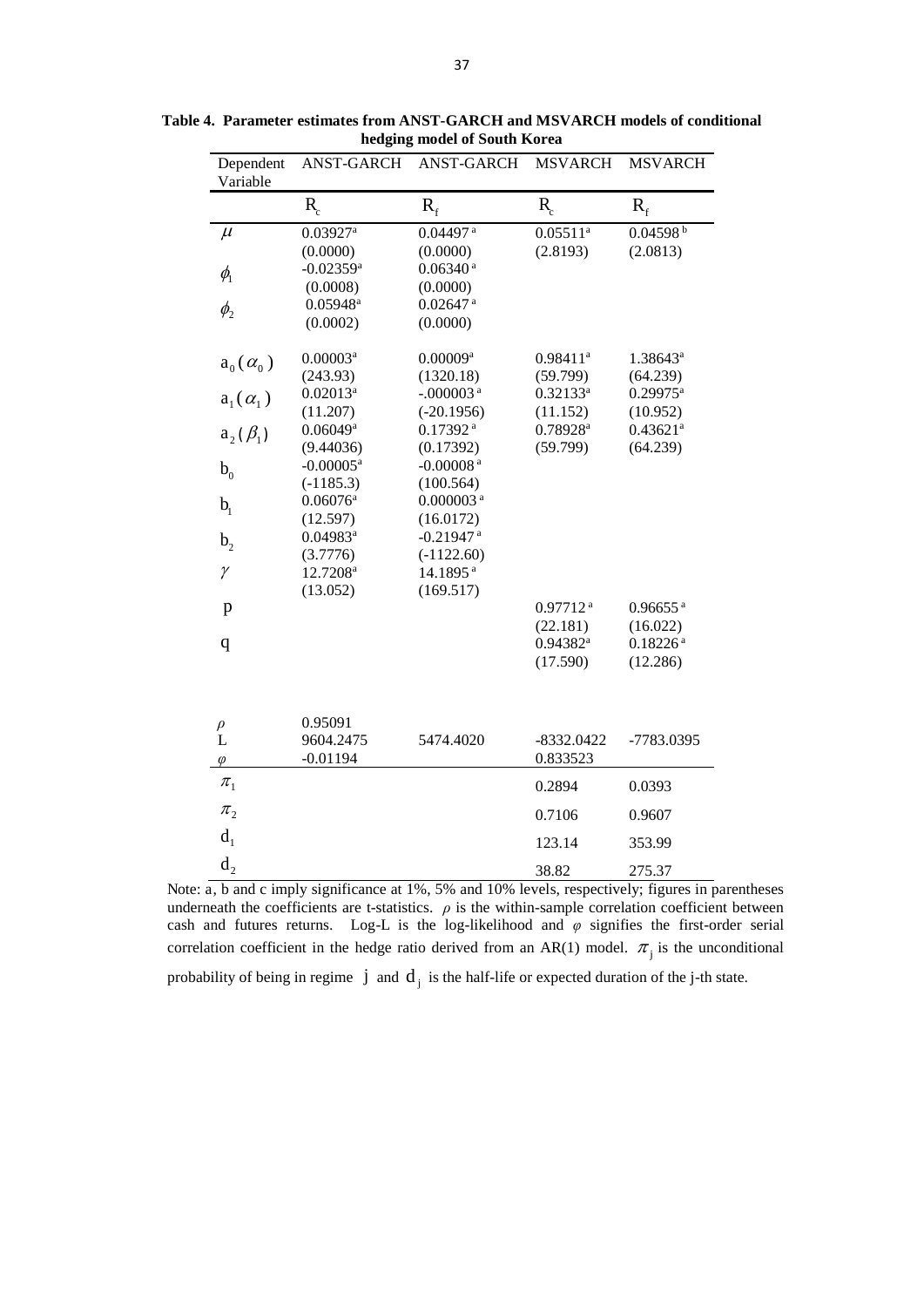| Dependent         | <b>ANST-GARCH</b>       | <b>ANST-GARCH</b>       | <b>MSVARCH</b>         | <b>MSVARCH</b>         |
|-------------------|-------------------------|-------------------------|------------------------|------------------------|
| Variable          |                         |                         |                        |                        |
|                   | $R_{c}$                 | $R_f$                   | $R_{c}$                | $R_{f}$                |
| $\mu$             | $0.03927$ <sup>a</sup>  | $0.04497$ <sup>a</sup>  | $0.05511^{\text{a}}$   | 0.04598 <sup>b</sup>   |
|                   | (0.0000)                | (0.0000)                | (2.8193)               | (2.0813)               |
| $\phi_{1}$        | $-0.02359$ <sup>a</sup> | $0.06340$ <sup>a</sup>  |                        |                        |
|                   | (0.0008)                | (0.0000)                |                        |                        |
| $\phi_{2}$        | $0.05948^{\rm a}$       | $0.02647$ <sup>a</sup>  |                        |                        |
|                   | (0.0002)                | (0.0000)                |                        |                        |
| $a_0(\alpha_0)$   | $0.00003$ <sup>a</sup>  | $0.00009$ <sup>a</sup>  | $0.98411$ <sup>a</sup> | $1.38643^a$            |
|                   | (243.93)                | (1320.18)               | (59.799)               | (64.239)               |
| $a_1(\alpha_1)$   | $0.02013^a$             | $-.000003$ <sup>a</sup> | $0.32133^a$            | $0.29975^a$            |
|                   | (11.207)                | $(-20.1956)$            | (11.152)               | (10.952)               |
| $a_2(\beta_1)$    | $0.06049$ <sup>a</sup>  | $0.17392$ <sup>a</sup>  | 0.78928 <sup>a</sup>   | $0.43621$ <sup>a</sup> |
|                   | (9.44036)               | (0.17392)               | (59.799)               | (64.239)               |
| b <sub>0</sub>    | $-0.00005$ <sup>a</sup> | $-0.00008$ <sup>a</sup> |                        |                        |
|                   | $(-1185.3)$             | (100.564)               |                        |                        |
| b <sub>1</sub>    | $0.06076$ <sup>a</sup>  | $0.000003$ <sup>a</sup> |                        |                        |
|                   | (12.597)                | (16.0172)               |                        |                        |
| b <sub>2</sub>    | $0.04983$ <sup>a</sup>  | $-0.21947$ <sup>a</sup> |                        |                        |
|                   | (3.7776)                | $(-1122.60)$            |                        |                        |
| $\gamma$          | 12.7208 <sup>a</sup>    | 14.1895 <sup>a</sup>    |                        |                        |
|                   | (13.052)                | (169.517)               |                        |                        |
| p                 |                         |                         | $0.97712$ <sup>a</sup> | $0.96655$ <sup>a</sup> |
|                   |                         |                         | (22.181)               | (16.022)               |
| q                 |                         |                         | 0.94382a               | $0.18226$ <sup>a</sup> |
|                   |                         |                         | (17.590)               | (12.286)               |
|                   |                         |                         |                        |                        |
|                   | 0.95091                 |                         |                        |                        |
| $_{\rm L}^{\rho}$ | 9604.2475               | 5474.4020               | $-8332.0422$           | -7783.0395             |
| $\varphi$         | $-0.01194$              |                         | 0.833523               |                        |
| $\pi_1$           |                         |                         | 0.2894                 | 0.0393                 |
| $\pi_{2}$         |                         |                         | 0.7106                 | 0.9607                 |
| d <sub>1</sub>    |                         |                         | 123.14                 | 353.99                 |
| $d_{2}$           |                         |                         | 38.82                  | 275.37                 |

**Table 4. Parameter estimates from ANST-GARCH and MSVARCH models of conditional hedging model of South Korea** 

Note: a, b and c imply significance at 1%, 5% and 10% levels, respectively; figures in parentheses underneath the coefficients are t-statistics.  $\rho$  is the within-sample correlation coefficient between cash and futures returns. Log-L is the log-likelihood and  $\varphi$  signifies the first-order serial correlation coefficient in the hedge ratio derived from an AR(1) model.  $\pi$ <sub>j</sub> is the unconditional probability of being in regime  $j$  and  $d_j$  is the half-life or expected duration of the j-th state.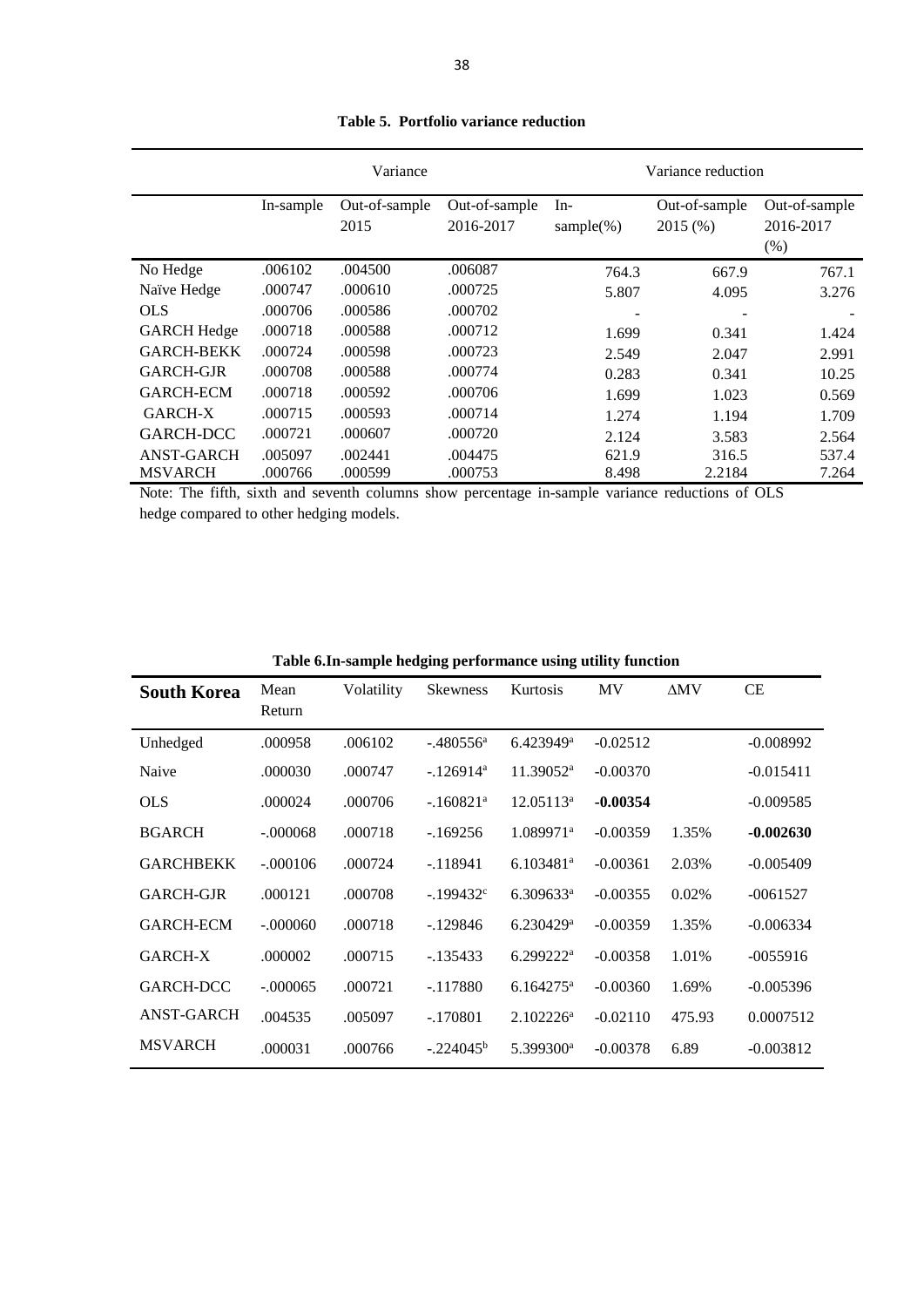|                    |           | Variance              |                            | Variance reduction     |                          |                                      |  |
|--------------------|-----------|-----------------------|----------------------------|------------------------|--------------------------|--------------------------------------|--|
|                    | In-sample | Out-of-sample<br>2015 | Out-of-sample<br>2016-2017 | $In-$<br>sample $(\%)$ | Out-of-sample<br>2015(%) | Out-of-sample<br>2016-2017<br>$(\%)$ |  |
| No Hedge           | .006102   | .004500               | .006087                    | 764.3                  | 667.9                    | 767.1                                |  |
| Naïve Hedge        | .000747   | .000610               | .000725                    | 5.807                  | 4.095                    | 3.276                                |  |
| <b>OLS</b>         | .000706   | .000586               | .000702                    |                        |                          |                                      |  |
| <b>GARCH Hedge</b> | .000718   | .000588               | .000712                    | 1.699                  | 0.341                    | 1.424                                |  |
| <b>GARCH-BEKK</b>  | .000724   | .000598               | .000723                    | 2.549                  | 2.047                    | 2.991                                |  |
| GARCH-GJR          | .000708   | .000588               | .000774                    | 0.283                  | 0.341                    | 10.25                                |  |
| <b>GARCH-ECM</b>   | .000718   | .000592               | .000706                    | 1.699                  | 1.023                    | 0.569                                |  |
| <b>GARCH-X</b>     | .000715   | .000593               | .000714                    | 1.274                  | 1.194                    | 1.709                                |  |
| <b>GARCH-DCC</b>   | .000721   | .000607               | .000720                    | 2.124                  | 3.583                    | 2.564                                |  |
| <b>ANST-GARCH</b>  | .005097   | .002441               | .004475                    | 621.9                  | 316.5                    | 537.4                                |  |
| <b>MSVARCH</b>     | .000766   | .000599               | .000753                    | 8.498                  | 2.2184                   | 7.264                                |  |

**Table 5. Portfolio variance reduction** 

Note: The fifth, sixth and seventh columns show percentage in-sample variance reductions of OLS hedge compared to other hedging models.

| <b>South Korea</b> | Mean<br>Return | Volatility | <b>Skewness</b>         | Kurtosis                | MV         | $\Delta$ MV | <b>CE</b>   |
|--------------------|----------------|------------|-------------------------|-------------------------|------------|-------------|-------------|
| Unhedged           | .000958        | .006102    | $-.480556$ <sup>a</sup> | 6.423949a               | $-0.02512$ |             | $-0.008992$ |
| Naive              | .000030        | .000747    | $-.126914$ <sup>a</sup> | $11.39052^a$            | $-0.00370$ |             | $-0.015411$ |
| <b>OLS</b>         | .000024        | .000706    | $-.160821a$             | $12.05113^a$            | $-0.00354$ |             | $-0.009585$ |
| <b>BGARCH</b>      | $-.000068$     | .000718    | $-169256$               | $1.089971^{\text{a}}$   | $-0.00359$ | 1.35%       | $-0.002630$ |
| <b>GARCHBEKK</b>   | $-.000106$     | .000724    | $-118941$               | 6.103481a               | $-0.00361$ | 2.03%       | $-0.005409$ |
| <b>GARCH-GJR</b>   | .000121        | .000708    | $-199432$ <sup>c</sup>  | $6.309633^a$            | $-0.00355$ | 0.02%       | $-0061527$  |
| <b>GARCH-ECM</b>   | $-.000060$     | .000718    | $-129846$               | $6.230429$ <sup>a</sup> | $-0.00359$ | 1.35%       | $-0.006334$ |
| GARCH-X            | .000002        | .000715    | $-135433$               | $6.299222^a$            | $-0.00358$ | 1.01%       | $-0055916$  |
| GARCH-DCC          | $-.000065$     | .000721    | $-.117880$              | $6.164275^{\text{a}}$   | $-0.00360$ | 1.69%       | $-0.005396$ |
| <b>ANST-GARCH</b>  | .004535        | .005097    | $-.170801$              | $2.102226^{\rm a}$      | $-0.02110$ | 475.93      | 0.0007512   |
| <b>MSVARCH</b>     | .000031        | .000766    | $-.224045^b$            | 5.399300 <sup>a</sup>   | $-0.00378$ | 6.89        | $-0.003812$ |

**Table 6.In-sample hedging performance using utility function**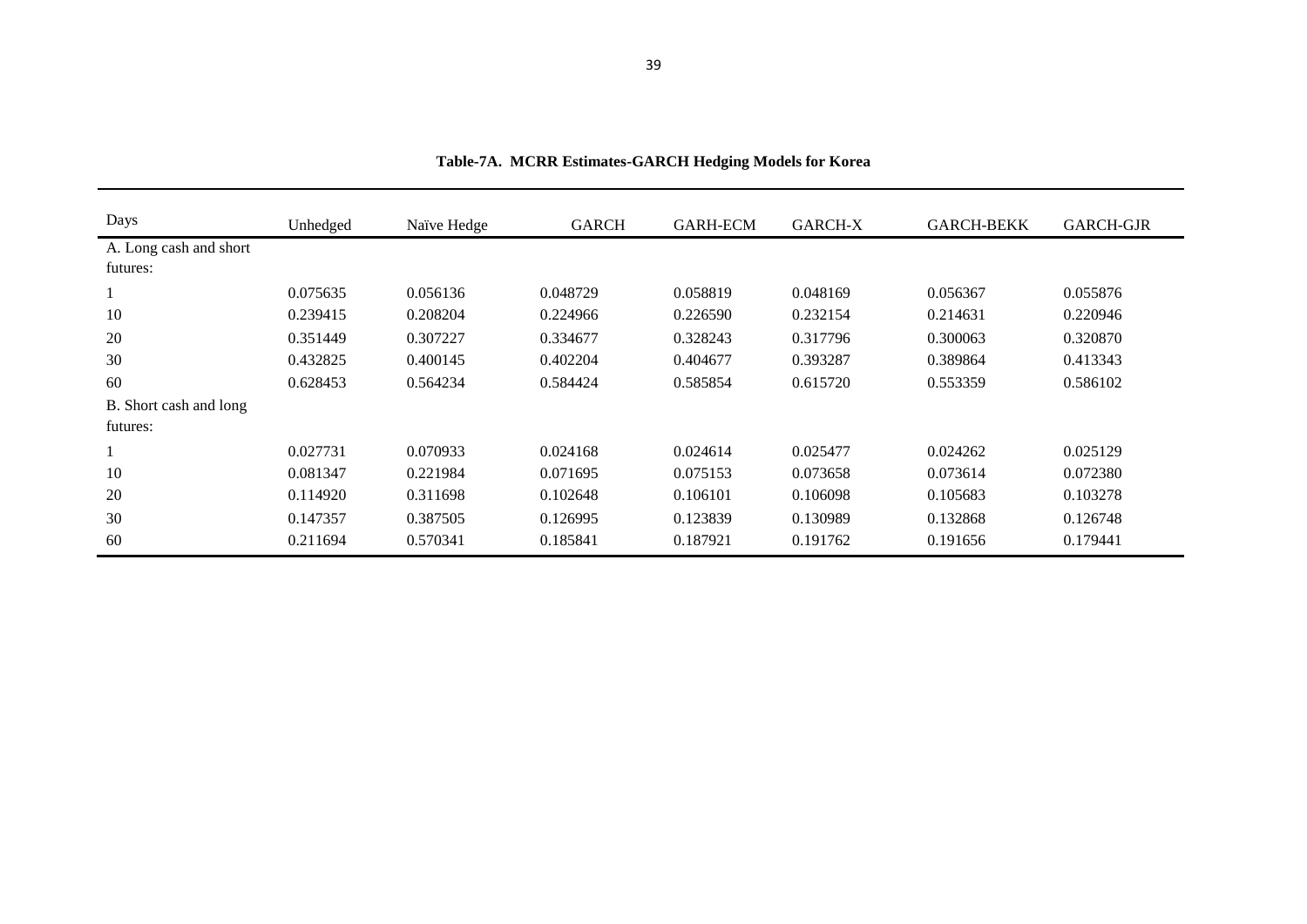| Days                   | Unhedged | Naïve Hedge | <b>GARCH</b> | <b>GARH-ECM</b> | <b>GARCH-X</b> | <b>GARCH-BEKK</b> | <b>GARCH-GJR</b> |
|------------------------|----------|-------------|--------------|-----------------|----------------|-------------------|------------------|
| A. Long cash and short |          |             |              |                 |                |                   |                  |
| futures:               |          |             |              |                 |                |                   |                  |
|                        | 0.075635 | 0.056136    | 0.048729     | 0.058819        | 0.048169       | 0.056367          | 0.055876         |
| 10                     | 0.239415 | 0.208204    | 0.224966     | 0.226590        | 0.232154       | 0.214631          | 0.220946         |
| 20                     | 0.351449 | 0.307227    | 0.334677     | 0.328243        | 0.317796       | 0.300063          | 0.320870         |
| 30                     | 0.432825 | 0.400145    | 0.402204     | 0.404677        | 0.393287       | 0.389864          | 0.413343         |
| 60                     | 0.628453 | 0.564234    | 0.584424     | 0.585854        | 0.615720       | 0.553359          | 0.586102         |
| B. Short cash and long |          |             |              |                 |                |                   |                  |
| futures:               |          |             |              |                 |                |                   |                  |
|                        | 0.027731 | 0.070933    | 0.024168     | 0.024614        | 0.025477       | 0.024262          | 0.025129         |
| 10                     | 0.081347 | 0.221984    | 0.071695     | 0.075153        | 0.073658       | 0.073614          | 0.072380         |
| 20                     | 0.114920 | 0.311698    | 0.102648     | 0.106101        | 0.106098       | 0.105683          | 0.103278         |
| 30                     | 0.147357 | 0.387505    | 0.126995     | 0.123839        | 0.130989       | 0.132868          | 0.126748         |
| 60                     | 0.211694 | 0.570341    | 0.185841     | 0.187921        | 0.191762       | 0.191656          | 0.179441         |

**Table-7A. MCRR Estimates-GARCH Hedging Models for Korea**